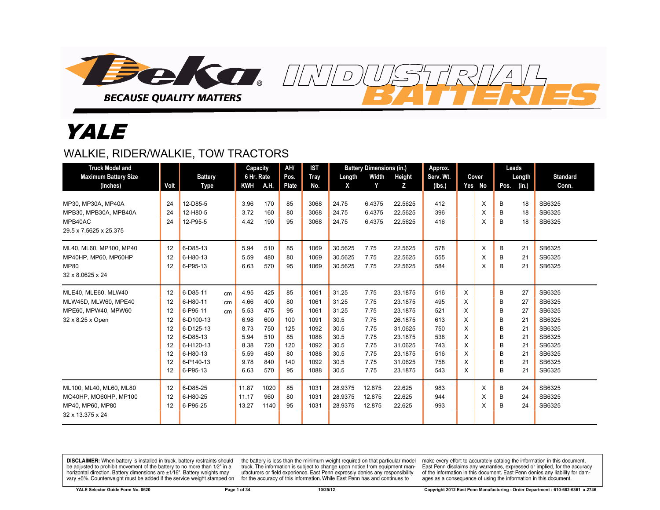

# YALE

#### WALKIE, RIDER/WALKIE, TOW TRACTORS

| <b>Truck Model and</b><br><b>Maximum Battery Size</b><br>(Inches)                        | Volt                                                     | <b>Battery</b><br>Type                                                                                                   |                | Capacity<br>6 Hr. Rate<br><b>KWH</b>                                         | A.H.                                                               | AH/<br>Pos.<br>Plate                                         | <b>IST</b><br>Tray<br>No.                                                    | Length<br>X                                                                     | <b>Battery Dimensions (in.)</b><br>Width<br>Y                                | Height<br>Z                                                                                                | Approx.<br>Serv. Wt.<br>(lbs.)                                     |                                                | Cover<br>Yes No | Leads<br>Length<br>Pos.<br>(in.)                                                                           | <b>Standard</b><br>Conn.                                                                         |
|------------------------------------------------------------------------------------------|----------------------------------------------------------|--------------------------------------------------------------------------------------------------------------------------|----------------|------------------------------------------------------------------------------|--------------------------------------------------------------------|--------------------------------------------------------------|------------------------------------------------------------------------------|---------------------------------------------------------------------------------|------------------------------------------------------------------------------|------------------------------------------------------------------------------------------------------------|--------------------------------------------------------------------|------------------------------------------------|-----------------|------------------------------------------------------------------------------------------------------------|--------------------------------------------------------------------------------------------------|
| MP30, MP30A, MP40A<br>MPB30, MPB30A, MPB40A<br>MPB40AC                                   | 24<br>24<br>24                                           | 12-D85-5<br>12-H80-5<br>12-P95-5                                                                                         |                | 3.96<br>3.72<br>4.42                                                         | 170<br>160<br>190                                                  | 85<br>80<br>95                                               | 3068<br>3068<br>3068                                                         | 24.75<br>24.75<br>24.75                                                         | 6.4375<br>6.4375<br>6.4375                                                   | 22.5625<br>22.5625<br>22.5625                                                                              | 412<br>396<br>416                                                  |                                                | X<br>X<br>X     | 18<br>B<br>B<br>18<br>18<br>B                                                                              | SB6325<br>SB6325<br>SB6325                                                                       |
| 29.5 x 7.5625 x 25.375                                                                   |                                                          |                                                                                                                          |                |                                                                              |                                                                    |                                                              |                                                                              |                                                                                 |                                                                              |                                                                                                            |                                                                    |                                                |                 |                                                                                                            |                                                                                                  |
| ML40, ML60, MP100, MP40<br>MP40HP, MP60, MP60HP<br><b>MP80</b><br>32 x 8.0625 x 24       | 12<br>12<br>12                                           | 6-D85-13<br>6-H80-13<br>6-P95-13                                                                                         |                | 5.94<br>5.59<br>6.63                                                         | 510<br>480<br>570                                                  | 85<br>80<br>95                                               | 1069<br>1069<br>1069                                                         | 30.5625<br>30.5625<br>30.5625                                                   | 7.75<br>7.75<br>7.75                                                         | 22.5625<br>22.5625<br>22.5625                                                                              | 578<br>555<br>584                                                  |                                                | X<br>X<br>X     | B<br>21<br>B<br>21<br>B<br>21                                                                              | SB6325<br>SB6325<br>SB6325                                                                       |
| MLE40, MLE60, MLW40<br>MLW45D, MLW60, MPE40<br>MPE60, MPW40, MPW60<br>32 x 8.25 x Open   | 12<br>12<br>12<br>12<br>12<br>12<br>12<br>12<br>12<br>12 | 6-D85-11<br>6-H80-11<br>6-P95-11<br>6-D100-13<br>6-D125-13<br>6-D85-13<br>6-H120-13<br>6-H80-13<br>6-P140-13<br>6-P95-13 | cm<br>cm<br>cm | 4.95<br>4.66<br>5.53<br>6.98<br>8.73<br>5.94<br>8.38<br>5.59<br>9.78<br>6.63 | 425<br>400<br>475<br>600<br>750<br>510<br>720<br>480<br>840<br>570 | 85<br>80<br>95<br>100<br>125<br>85<br>120<br>80<br>140<br>95 | 1061<br>1061<br>1061<br>1091<br>1092<br>1088<br>1092<br>1088<br>1092<br>1088 | 31.25<br>31.25<br>31.25<br>30.5<br>30.5<br>30.5<br>30.5<br>30.5<br>30.5<br>30.5 | 7.75<br>7.75<br>7.75<br>7.75<br>7.75<br>7.75<br>7.75<br>7.75<br>7.75<br>7.75 | 23.1875<br>23.1875<br>23.1875<br>26.1875<br>31.0625<br>23.1875<br>31.0625<br>23.1875<br>31.0625<br>23.1875 | 516<br>495<br>521<br>613<br>750<br>538<br>743<br>516<br>758<br>543 | X<br>X<br>X<br>X<br>X<br>X<br>X<br>X<br>X<br>X |                 | В<br>27<br>B<br>27<br>B<br>27<br>21<br>В<br>B<br>21<br>B<br>21<br>B<br>21<br>B<br>21<br>21<br>B<br>B<br>21 | SB6325<br>SB6325<br>SB6325<br>SB6325<br>SB6325<br>SB6325<br>SB6325<br>SB6325<br>SB6325<br>SB6325 |
| ML100, ML40, ML60, ML80<br>MO40HP, MO60HP, MP100<br>MP40, MP60, MP80<br>32 x 13.375 x 24 | 12<br>12<br>12                                           | 6-D85-25<br>6-H80-25<br>6-P95-25                                                                                         |                | 11.87<br>11.17<br>13.27                                                      | 1020<br>960<br>1140                                                | 85<br>80<br>95                                               | 1031<br>1031<br>1031                                                         | 28.9375<br>28.9375<br>28.9375                                                   | 12.875<br>12.875<br>12.875                                                   | 22.625<br>22.625<br>22.625                                                                                 | 983<br>944<br>993                                                  |                                                | X<br>X<br>X     | B<br>24<br>B<br>24<br>B<br>24                                                                              | SB6325<br>SB6325<br>SB6325                                                                       |

 $\overline{D}$ 

DISCLAIMER: When battery is installed in truck, battery restraints should be adjusted to prohibit movement of the battery to no more than 1/2" in a horizontal direction. Battery dimensions are  $\pm 1/16$ ". Battery weights may vary ±5%. Counterweight must be added if the service weight stamped on

the battery is less than the minimum weight required on that particular model truck. The information is subject to change upon notice from equipment manufacturers or field experience. East Penn expressly denies any responsibility for the accuracy of this information. While East Penn has and continues to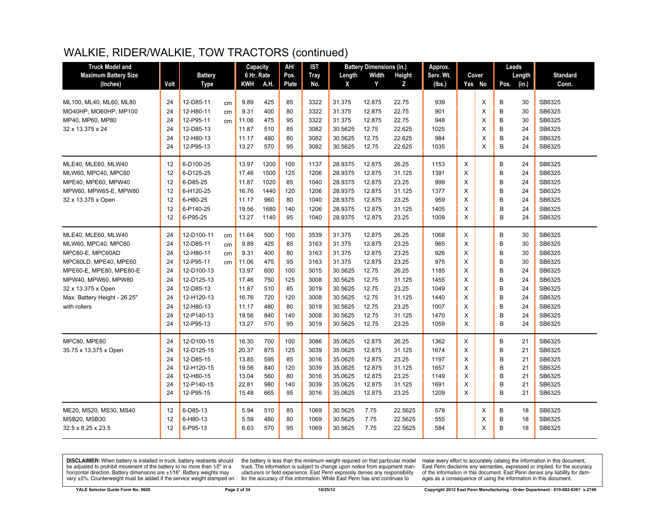| <b>Truck Model and</b>       |      |                |    | Capacity   |      | AH/   | IST         |         | <b>Battery Dimensions (in.)</b> |         | Approx.   |   |        | Leads |        |                 |
|------------------------------|------|----------------|----|------------|------|-------|-------------|---------|---------------------------------|---------|-----------|---|--------|-------|--------|-----------------|
| <b>Maximum Battery Size</b>  |      | <b>Battery</b> |    | 6 Hr. Rate |      | Pos.  | <b>Tray</b> | Length  | Width                           | Height  | Serv. Wt. |   | Cover  |       | Length | <b>Standard</b> |
| (Inches)                     | Volt | <b>Type</b>    |    | KWH        | A.H. | Plate | No.         | X       | Y                               | z       | (lbs.)    |   | Yes No | Pos.  | (in.)  | Conn.           |
|                              |      |                |    |            |      |       |             |         |                                 |         |           |   |        |       |        |                 |
| ML100, ML40, ML60, ML80      | 24   | 12-D85-11      | cm | 9.89       | 425  | 85    | 3322        | 31.375  | 12.875                          | 22.75   | 939       |   | X      | В     | 30     | SB6325          |
| MO40HP, MO60HP, MP100        | 24   | 12-H80-11      | cm | 9.31       | 400  | 80    | 3322        | 31.375  | 12.875                          | 22.75   | 901       |   | X      | B     | 30     | SB6325          |
| MP40, MP60, MP80             | 24   | 12-P95-11      | cm | 11.06      | 475  | 95    | 3322        | 31.375  | 12.875                          | 22.75   | 948       |   | X      | B     | 30     | SB6325          |
| 32 x 13.375 x 24             | 24   | 12-D85-13      |    | 11.87      | 510  | 85    | 3082        | 30.5625 | 12.75                           | 22.625  | 1025      |   | X      | B     | 24     | SB6325          |
|                              | 24   | 12-H80-13      |    | 11.17      | 480  | 80    | 3082        | 30.5625 | 12.75                           | 22.625  | 984       |   | X      | B     | 24     | SB6325          |
|                              | 24   | 12-P95-13      |    | 13.27      | 570  | 95    | 3082        | 30.5625 | 12.75                           | 22.625  | 1035      |   | X      | B     | 24     | SB6325          |
| MLE40. MLE60. MLW40          | 12   | 6-D100-25      |    | 13.97      | 1200 | 100   | 1137        | 28.9375 | 12.875                          | 26.25   | 1153      | X |        | B     | 24     | SB6325          |
| MLW60, MPC40, MPC60          | 12   | 6-D125-25      |    | 17.46      | 1500 | 125   | 1206        | 28.9375 | 12.875                          | 31.125  | 1391      | X |        | B     | 24     | SB6325          |
| MPE40, MPE60, MPW40          | 12   | 6-D85-25       |    | 11.87      | 1020 | 85    | 1040        | 28.9375 | 12.875                          | 23.25   | 999       | X |        | B     | 24     | SB6325          |
| MPW60, MPW65-E, MPW80        | 12   | 6-H120-25      |    | 16.76      | 1440 | 120   | 1206        | 28.9375 | 12.875                          | 31.125  | 1377      | X |        | B     | 24     | SB6325          |
| 32 x 13.375 x Open           | 12   | 6-H80-25       |    | 11.17      | 960  | 80    | 1040        | 28.9375 | 12.875                          | 23.25   | 959       | X |        | B     | 24     | SB6325          |
|                              | 12   | 6-P140-25      |    | 19.56      | 1680 | 140   | 1206        | 28.9375 | 12.875                          | 31.125  | 1405      | X |        | B     | 24     | SB6325          |
|                              | 12   | 6-P95-25       |    | 13.27      | 1140 | 95    | 1040        | 28.9375 | 12.875                          | 23.25   | 1009      | X |        | B     | 24     | SB6325          |
| MLE40, MLE60, MLW40          | 24   | 12-D100-11     | cm | 11.64      | 500  | 100   | 3539        | 31.375  | 12.875                          | 26.25   | 1068      | X |        | B     | 30     | SB6325          |
| MLW60, MPC40, MPC60          | 24   | 12-D85-11      | cm | 9.89       | 425  | 85    | 3163        | 31.375  | 12.875                          | 23.25   | 965       | X |        | B     | 30     | SB6325          |
| MPC60-E, MPC60AD             | 24   | 12-H80-11      | cm | 9.31       | 400  | 80    | 3163        | 31.375  | 12.875                          | 23.25   | 926       | X |        | B     | 30     | SB6325          |
| MPC60LD, MPE40, MPE60        | 24   | 12-P95-11      | cm | 11.06      | 475  | 95    | 3163        | 31.375  | 12.875                          | 23.25   | 975       | X |        | B     | 30     | SB6325          |
| MPE60-E, MPE80, MPE80-E      | 24   | 12-D100-13     |    | 13.97      | 600  | 100   | 3015        | 30.5625 | 12.75                           | 26.25   | 1185      | X |        | B     | 24     | SB6325          |
| MPW40, MPW60, MPW80          | 24   | 12-D125-13     |    | 17.46      | 750  | 125   | 3008        | 30.5625 | 12.75                           | 31.125  | 1455      | X |        | B     | 24     | SB6325          |
| 32 x 13.375 x Open           | 24   | 12-D85-13      |    | 11.87      | 510  | 85    | 3019        | 30.5625 | 12.75                           | 23.25   | 1049      | X |        | B     | 24     | SB6325          |
| Max. Battery Height - 26.25" | 24   | 12-H120-13     |    | 16.76      | 720  | 120   | 3008        | 30.5625 | 12.75                           | 31.125  | 1440      | X |        | B     | 24     | SB6325          |
| with rollers                 | 24   | 12-H80-13      |    | 11.17      | 480  | 80    | 3019        | 30.5625 | 12.75                           | 23.25   | 1007      | X |        | B     | 24     | SB6325          |
|                              | 24   | 12-P140-13     |    | 19.56      | 840  | 140   | 3008        | 30.5625 | 12.75                           | 31.125  | 1470      | X |        | B     | 24     | SB6325          |
|                              | 24   | 12-P95-13      |    | 13.27      | 570  | 95    | 3019        | 30.5625 | 12.75                           | 23.25   | 1059      | X |        | B     | 24     | SB6325          |
| <b>MPC80, MPE80</b>          | 24   | 12-D100-15     |    | 16.30      | 700  | 100   | 3086        | 35.0625 | 12.875                          | 26.25   | 1362      | X |        | В     | 21     | SB6325          |
| 35.75 x 13.375 x Open        | 24   | 12-D125-15     |    | 20.37      | 875  | 125   | 3039        | 35.0625 | 12.875                          | 31.125  | 1674      | X |        | B     | 21     | SB6325          |
|                              | 24   | 12-D85-15      |    | 13.85      | 595  | 85    | 3016        | 35.0625 | 12.875                          | 23.25   | 1197      | X |        | B     | 21     | SB6325          |
|                              | 24   | 12-H120-15     |    | 19.56      | 840  | 120   | 3039        | 35.0625 | 12.875                          | 31.125  | 1657      | X |        | B     | 21     | SB6325          |
|                              | 24   | 12-H80-15      |    | 13.04      | 560  | 80    | 3016        | 35.0625 | 12.875                          | 23.25   | 1149      | X |        | B     | 21     | SB6325          |
|                              | 24   | 12-P140-15     |    | 22.81      | 980  | 140   | 3039        | 35.0625 | 12.875                          | 31.125  | 1691      | X |        | B     | 21     | SB6325          |
|                              | 24   | 12-P95-15      |    | 15.48      | 665  | 95    | 3016        | 35.0625 | 12.875                          | 23.25   | 1209      | X |        | B     | 21     | SB6325          |
| ME20, MS20, MS30, MS40       | 12   | 6-D85-13       |    | 5.94       | 510  | 85    | 1069        | 30.5625 | 7.75                            | 22.5625 | 578       |   | Χ      | В     | 18     | SB6325          |
| <b>MSB20, MSB30</b>          | 12   | 6-H80-13       |    | 5.59       | 480  | 80    | 1069        | 30.5625 | 7.75                            | 22.5625 | 555       |   | X      | B     | 18     | SB6325          |
| 32.5 x 8.25 x 23.5           | 12   | 6-P95-13       |    | 6.63       | 570  | 95    | 1069        | 30.5625 | 7.75                            | 22.5625 | 584       |   | X      | B     | 18     | SB6325          |

**DISCLAIMER:** When battery is installed in truck, battery restraints should be adjusted to prohibit movement of the battery to no more than  $12^v$  in a horizontal direction. Battery dimensions are  $\pm 1/16^v$ . Battery wei

the battery is less than the minimum weight required on that particular model<br>truck. The information is subject to change upon notice from equipment manufacturers or field experience. East Penn expressly denies any responsibility for the accuracy of this information. While East Penn has and continues to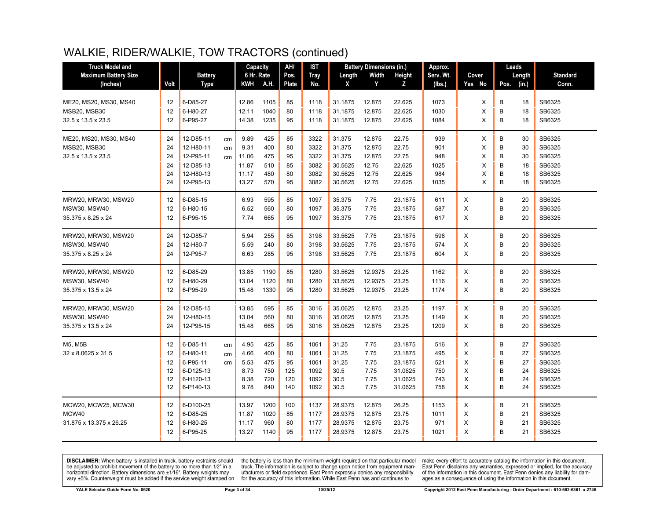| <b>Truck Model and</b>      |      |                |    | Capacity   |      | AH/   | <b>IST</b>  |         | <b>Battery Dimensions (in.)</b> |               | Approx.   |   |          | Leads |        |                 |
|-----------------------------|------|----------------|----|------------|------|-------|-------------|---------|---------------------------------|---------------|-----------|---|----------|-------|--------|-----------------|
| <b>Maximum Battery Size</b> |      | <b>Battery</b> |    | 6 Hr. Rate |      | Pos.  | <b>Tray</b> | Length  | Width                           | <b>Height</b> | Serv. Wt. |   | Cover    |       | Length | <b>Standard</b> |
| (Inches)                    | Volt | Type           |    | KWH        | A.H. | Plate | No.         | X       | Y                               | Z             | (lbs.)    |   | Yes No   | Pos.  | (in.)  | Conn.           |
| ME20, MS20, MS30, MS40      | 12   | 6-D85-27       |    | 12.86      | 1105 | 85    | 1118        | 31.1875 | 12.875                          | 22.625        | 1073      |   | X        | В     | 18     | SB6325          |
| MSB20, MSB30                | 12   | 6-H80-27       |    | 12.11      | 1040 | 80    | 1118        | 31.1875 | 12.875                          | 22.625        | 1030      |   | X        | B     | 18     | SB6325          |
| 32.5 x 13.5 x 23.5          | 12   | 6-P95-27       |    | 14.38      | 1235 | 95    | 1118        | 31.1875 | 12.875                          | 22.625        | 1084      |   | $\times$ | B     | 18     | SB6325          |
| ME20, MS20, MS30, MS40      | 24   | 12-D85-11      | cm | 9.89       | 425  | 85    | 3322        | 31.375  | 12.875                          | 22.75         | 939       |   | X        | B     | 30     | SB6325          |
| MSB20, MSB30                | 24   | 12-H80-11      | cm | 9.31       | 400  | 80    | 3322        | 31.375  | 12.875                          | 22.75         | 901       |   | X        | B     | 30     | SB6325          |
| 32.5 x 13.5 x 23.5          | 24   | 12-P95-11      | cm | 11.06      | 475  | 95    | 3322        | 31.375  | 12.875                          | 22.75         | 948       |   | X        | B     | 30     | SB6325          |
|                             | 24   | 12-D85-13      |    | 11.87      | 510  | 85    | 3082        | 30.5625 | 12.75                           | 22.625        | 1025      |   | X        | B     | 18     | SB6325          |
|                             | 24   | 12-H80-13      |    | 11.17      | 480  | 80    | 3082        | 30.5625 | 12.75                           | 22.625        | 984       |   | X        | B     | 18     | SB6325          |
|                             | 24   | 12-P95-13      |    | 13.27      | 570  | 95    | 3082        | 30.5625 | 12.75                           | 22.625        | 1035      |   | X        | B     | 18     | SB6325          |
| MRW20, MRW30, MSW20         | 12   | 6-D85-15       |    | 6.93       | 595  | 85    | 1097        | 35.375  | 7.75                            | 23.1875       | 611       | X |          | B     | 20     | SB6325          |
| <b>MSW30, MSW40</b>         | 12   | 6-H80-15       |    | 6.52       | 560  | 80    | 1097        | 35.375  | 7.75                            | 23.1875       | 587       | X |          | B     | 20     | SB6325          |
| 35.375 x 8.25 x 24          | 12   | 6-P95-15       |    | 7.74       | 665  | 95    | 1097        | 35.375  | 7.75                            | 23.1875       | 617       | X |          | B     | 20     | SB6325          |
| MRW20, MRW30, MSW20         | 24   | 12-D85-7       |    | 5.94       | 255  | 85    | 3198        | 33.5625 | 7.75                            | 23.1875       | 598       | X |          | В     | 20     | SB6325          |
| <b>MSW30, MSW40</b>         | 24   | 12-H80-7       |    | 5.59       | 240  | 80    | 3198        | 33.5625 | 7.75                            | 23.1875       | 574       | X |          | B     | 20     | SB6325          |
| 35.375 x 8.25 x 24          | 24   | 12-P95-7       |    | 6.63       | 285  | 95    | 3198        | 33.5625 | 7.75                            | 23.1875       | 604       | Χ |          | B     | 20     | SB6325          |
| MRW20, MRW30, MSW20         | 12   | 6-D85-29       |    | 13.85      | 1190 | 85    | 1280        | 33.5625 | 12.9375                         | 23.25         | 1162      | Χ |          | B     | 20     | SB6325          |
| <b>MSW30, MSW40</b>         | 12   | 6-H80-29       |    | 13.04      | 1120 | 80    | 1280        | 33.5625 | 12.9375                         | 23.25         | 1116      | X |          | B     | 20     | SB6325          |
| 35.375 x 13.5 x 24          | 12   | 6-P95-29       |    | 15.48      | 1330 | 95    | 1280        | 33.5625 | 12.9375                         | 23.25         | 1174      | X |          | B     | 20     | SB6325          |
| MRW20, MRW30, MSW20         | 24   | 12-D85-15      |    | 13.85      | 595  | 85    | 3016        | 35.0625 | 12.875                          | 23.25         | 1197      | X |          | B     | 20     | SB6325          |
| <b>MSW30. MSW40</b>         | 24   | 12-H80-15      |    | 13.04      | 560  | 80    | 3016        | 35.0625 | 12.875                          | 23.25         | 1149      | X |          | B     | 20     | SB6325          |
| 35.375 x 13.5 x 24          | 24   | 12-P95-15      |    | 15.48      | 665  | 95    | 3016        | 35.0625 | 12.875                          | 23.25         | 1209      | Χ |          | B     | 20     | SB6325          |
| M5, M5B                     | 12   | 6-D85-11       | cm | 4.95       | 425  | 85    | 1061        | 31.25   | 7.75                            | 23.1875       | 516       | X |          | B     | 27     | SB6325          |
| 32 x 8.0625 x 31.5          | 12   | 6-H80-11       | cm | 4.66       | 400  | 80    | 1061        | 31.25   | 7.75                            | 23.1875       | 495       | X |          | B     | 27     | SB6325          |
|                             | 12   | 6-P95-11       | cm | 5.53       | 475  | 95    | 1061        | 31.25   | 7.75                            | 23.1875       | 521       | X |          | B     | 27     | SB6325          |
|                             | 12   | 6-D125-13      |    | 8.73       | 750  | 125   | 1092        | 30.5    | 7.75                            | 31.0625       | 750       | X |          | B     | 24     | SB6325          |
|                             | 12   | 6-H120-13      |    | 8.38       | 720  | 120   | 1092        | 30.5    | 7.75                            | 31.0625       | 743       | X |          | B     | 24     | SB6325          |
|                             | 12   | 6-P140-13      |    | 9.78       | 840  | 140   | 1092        | 30.5    | 7.75                            | 31.0625       | 758       | X |          | B     | 24     | SB6325          |
| MCW20, MCW25, MCW30         | 12   | 6-D100-25      |    | 13.97      | 1200 | 100   | 1137        | 28.9375 | 12.875                          | 26.25         | 1153      | X |          | B     | 21     | SB6325          |
| MCW40                       | 12   | 6-D85-25       |    | 11.87      | 1020 | 85    | 1177        | 28.9375 | 12.875                          | 23.75         | 1011      | X |          | B     | 21     | SB6325          |
| 31.875 x 13.375 x 26.25     | 12   | 6-H80-25       |    | 11.17      | 960  | 80    | 1177        | 28.9375 | 12.875                          | 23.75         | 971       | Х |          | B     | 21     | SB6325          |
|                             | 12   | 6-P95-25       |    | 13.27      | 1140 | 95    | 1177        | 28.9375 | 12.875                          | 23.75         | 1021      | X |          | в     | 21     | SB6325          |

**DISCLAIMER:** When battery is installed in truck, battery restraints should be adjusted to prohibit movement of the battery to no more than  $1/2$ " in a horizontal direction. Battery dimensions are  $\pm 1/16$ ". Battery weig

the battery is less than the minimum weight required on that particular model<br>truck. The information is subject to change upon notice from equipment manufacturers or field experience. East Penn expressly denies any responsibility for the accuracy of this information. While East Penn has and continues to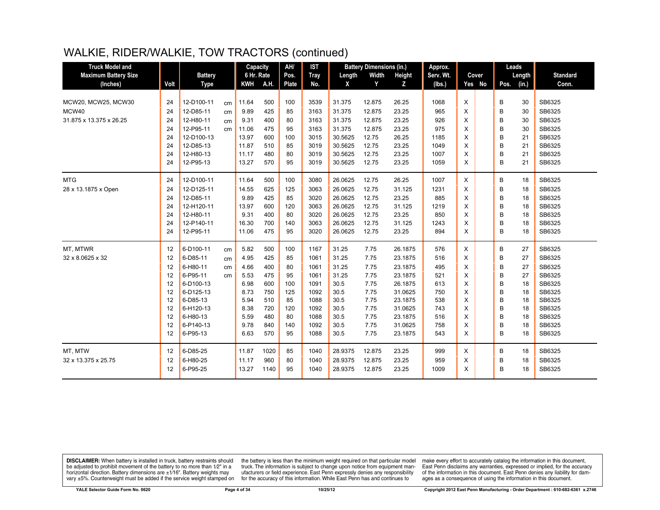| <b>Truck Model and</b>      |      |                |    | Capacity   |      | AH/          | <b>IST</b>  |         | <b>Battery Dimensions (in.)</b> |         | Approx.   |   |        |      | Leads  |                 |
|-----------------------------|------|----------------|----|------------|------|--------------|-------------|---------|---------------------------------|---------|-----------|---|--------|------|--------|-----------------|
| <b>Maximum Battery Size</b> |      | <b>Battery</b> |    | 6 Hr. Rate |      | Pos.         | <b>Tray</b> | Length  | Width                           | Height  | Serv. Wt. |   | Cover  |      | Length | <b>Standard</b> |
| (Inches)                    | Volt | <b>Type</b>    |    | <b>KWH</b> | A.H. | <b>Plate</b> | No.         | X       | Y                               | Z       | (lbs.)    |   | Yes No | Pos. | (in.)  | Conn.           |
|                             |      |                |    |            |      |              |             |         |                                 |         |           |   |        |      |        |                 |
| MCW20, MCW25, MCW30         | 24   | 12-D100-11     | cm | 11.64      | 500  | 100          | 3539        | 31.375  | 12.875                          | 26.25   | 1068      | X |        | В    | 30     | SB6325          |
| MCW40                       | 24   | 12-D85-11      | cm | 9.89       | 425  | 85           | 3163        | 31.375  | 12.875                          | 23.25   | 965       | X |        | B    | 30     | SB6325          |
| 31.875 x 13.375 x 26.25     | 24   | 12-H80-11      | cm | 9.31       | 400  | 80           | 3163        | 31.375  | 12.875                          | 23.25   | 926       | X |        | B    | 30     | SB6325          |
|                             | 24   | 12-P95-11      | cm | 11.06      | 475  | 95           | 3163        | 31.375  | 12.875                          | 23.25   | 975       | X |        | B    | 30     | SB6325          |
|                             | 24   | 12-D100-13     |    | 13.97      | 600  | 100          | 3015        | 30.5625 | 12.75                           | 26.25   | 1185      | X |        | B    | 21     | SB6325          |
|                             | 24   | 12-D85-13      |    | 11.87      | 510  | 85           | 3019        | 30.5625 | 12.75                           | 23.25   | 1049      | X |        | B    | 21     | SB6325          |
|                             | 24   | 12-H80-13      |    | 11.17      | 480  | 80           | 3019        | 30.5625 | 12.75                           | 23.25   | 1007      | X |        | B    | 21     | SB6325          |
|                             | 24   | 12-P95-13      |    | 13.27      | 570  | 95           | 3019        | 30.5625 | 12.75                           | 23.25   | 1059      | X |        | B    | 21     | SB6325          |
| <b>MTG</b>                  | 24   | 12-D100-11     |    | 11.64      | 500  | 100          | 3080        | 26.0625 | 12.75                           | 26.25   | 1007      | X |        | B    | 18     | SB6325          |
| 28 x 13.1875 x Open         | 24   | 12-D125-11     |    | 14.55      | 625  | 125          | 3063        | 26.0625 | 12.75                           | 31.125  | 1231      | X |        | B    | 18     | SB6325          |
|                             | 24   | 12-D85-11      |    | 9.89       | 425  | 85           | 3020        | 26.0625 | 12.75                           | 23.25   | 885       | X |        | B    | 18     | SB6325          |
|                             | 24   | 12-H120-11     |    | 13.97      | 600  | 120          | 3063        | 26.0625 | 12.75                           | 31.125  | 1219      | X |        | B    | 18     | SB6325          |
|                             | 24   | 12-H80-11      |    | 9.31       | 400  | 80           | 3020        | 26.0625 | 12.75                           | 23.25   | 850       | X |        | B    | 18     | SB6325          |
|                             | 24   | 12-P140-11     |    | 16.30      | 700  | 140          | 3063        | 26.0625 | 12.75                           | 31.125  | 1243      | X |        | B    | 18     | SB6325          |
|                             | 24   | 12-P95-11      |    | 11.06      | 475  | 95           | 3020        | 26.0625 | 12.75                           | 23.25   | 894       | X |        | B    | 18     | SB6325          |
| MT, MTWR                    | 12   | 6-D100-11      | cm | 5.82       | 500  | 100          | 1167        | 31.25   | 7.75                            | 26.1875 | 576       | X |        | B    | 27     | SB6325          |
| 32 x 8.0625 x 32            | 12   | 6-D85-11       | cm | 4.95       | 425  | 85           | 1061        | 31.25   | 7.75                            | 23.1875 | 516       | X |        | B    | 27     | SB6325          |
|                             | 12   | 6-H80-11       | cm | 4.66       | 400  | 80           | 1061        | 31.25   | 7.75                            | 23.1875 | 495       | X |        | B    | 27     | SB6325          |
|                             | 12   | 6-P95-11       | cm | 5.53       | 475  | 95           | 1061        | 31.25   | 7.75                            | 23.1875 | 521       | X |        | B    | 27     | SB6325          |
|                             | 12   | 6-D100-13      |    | 6.98       | 600  | 100          | 1091        | 30.5    | 7.75                            | 26.1875 | 613       | X |        | B    | 18     | SB6325          |
|                             | 12   | 6-D125-13      |    | 8.73       | 750  | 125          | 1092        | 30.5    | 7.75                            | 31.0625 | 750       | X |        | B    | 18     | SB6325          |
|                             | 12   | 6-D85-13       |    | 5.94       | 510  | 85           | 1088        | 30.5    | 7.75                            | 23.1875 | 538       | X |        | В    | 18     | SB6325          |
|                             | 12   | 6-H120-13      |    | 8.38       | 720  | 120          | 1092        | 30.5    | 7.75                            | 31.0625 | 743       | X |        | B    | 18     | SB6325          |
|                             | 12   | 6-H80-13       |    | 5.59       | 480  | 80           | 1088        | 30.5    | 7.75                            | 23.1875 | 516       | X |        | B    | 18     | SB6325          |
|                             | 12   | 6-P140-13      |    | 9.78       | 840  | 140          | 1092        | 30.5    | 7.75                            | 31.0625 | 758       | X |        | B    | 18     | SB6325          |
|                             | 12   | 6-P95-13       |    | 6.63       | 570  | 95           | 1088        | 30.5    | 7.75                            | 23.1875 | 543       | X |        | B    | 18     | SB6325          |
| MT. MTW                     | 12   | 6-D85-25       |    | 11.87      | 1020 | 85           | 1040        | 28.9375 | 12.875                          | 23.25   | 999       | X |        | В    | 18     | SB6325          |
| 32 x 13.375 x 25.75         | 12   | 6-H80-25       |    | 11.17      | 960  | 80           | 1040        | 28.9375 | 12.875                          | 23.25   | 959       | X |        | B    | 18     | SB6325          |
|                             | 12   | 6-P95-25       |    | 13.27      | 1140 | 95           | 1040        | 28.9375 | 12.875                          | 23.25   | 1009      | X |        | B    | 18     | SB6325          |

**DISCLAIMER:** When battery is installed in truck, battery restraints should be adjusted to prohibit movement of the battery to no more than  $1/2$ " in a horizontal direction. Battery dimensions are  $\pm 1/16$ ". Battery weig

the battery is less than the minimum weight required on that particular model<br>truck. The information is subject to change upon notice from equipment manufacturers or field experience. East Penn expressly denies any responsibility for the accuracy of this information. While East Penn has and continues to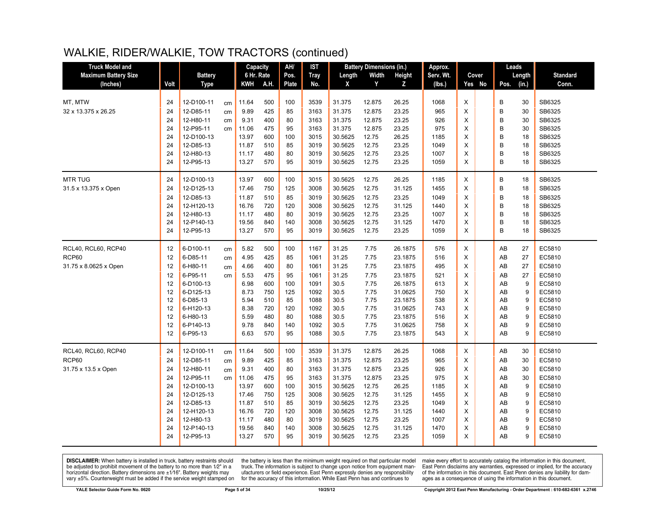| <b>Truck Model and</b>      |      |                |    | Capacity   |      | AH/   | <b>IST</b>  |         | <b>Battery Dimensions (in.)</b> |         | Approx.   |                | Leads |        |                 |
|-----------------------------|------|----------------|----|------------|------|-------|-------------|---------|---------------------------------|---------|-----------|----------------|-------|--------|-----------------|
| <b>Maximum Battery Size</b> |      | <b>Battery</b> |    | 6 Hr. Rate |      | Pos.  | <b>Tray</b> | Length  | Width                           | Height  | Serv. Wt. | Cover          |       | Length | <b>Standard</b> |
| (Inches)                    | Volt | Type           |    | <b>KWH</b> | A.H. | Plate | No.         | X       | Y                               | Z       | (lbs.)    | Yes No         | Pos.  | (in.)  | Conn.           |
|                             |      |                |    |            |      |       |             |         |                                 |         |           |                |       |        |                 |
| MT, MTW                     | 24   | 12-D100-11     | cm | 11.64      | 500  | 100   | 3539        | 31.375  | 12.875                          | 26.25   | 1068      | X              | В     | 30     | SB6325          |
| 32 x 13.375 x 26.25         | 24   | 12-D85-11      | cm | 9.89       | 425  | 85    | 3163        | 31.375  | 12.875                          | 23.25   | 965       | X              | B     | 30     | SB6325          |
|                             | 24   | 12-H80-11      | cm | 9.31       | 400  | 80    | 3163        | 31.375  | 12.875                          | 23.25   | 926       | X              | B     | 30     | SB6325          |
|                             | 24   | 12-P95-11      | cm | 11.06      | 475  | 95    | 3163        | 31.375  | 12.875                          | 23.25   | 975       | X              | B     | 30     | SB6325          |
|                             | 24   | 12-D100-13     |    | 13.97      | 600  | 100   | 3015        | 30.5625 | 12.75                           | 26.25   | 1185      | X              | B     | 18     | SB6325          |
|                             | 24   | 12-D85-13      |    | 11.87      | 510  | 85    | 3019        | 30.5625 | 12.75                           | 23.25   | 1049      | X              | B     | 18     | SB6325          |
|                             | 24   | 12-H80-13      |    | 11.17      | 480  | 80    | 3019        | 30.5625 | 12.75                           | 23.25   | 1007      | X              | B     | 18     | SB6325          |
|                             | 24   | 12-P95-13      |    | 13.27      | 570  | 95    | 3019        | 30.5625 | 12.75                           | 23.25   | 1059      | X              | B     | 18     | SB6325          |
| <b>MTR TUG</b>              | 24   | 12-D100-13     |    | 13.97      | 600  | 100   | 3015        | 30.5625 | 12.75                           | 26.25   | 1185      | X              | В     | 18     | SB6325          |
| 31.5 x 13.375 x Open        | 24   | 12-D125-13     |    | 17.46      | 750  | 125   | 3008        | 30.5625 | 12.75                           | 31.125  | 1455      | X              | B     | 18     | SB6325          |
|                             | 24   | 12-D85-13      |    | 11.87      | 510  | 85    | 3019        | 30.5625 | 12.75                           | 23.25   | 1049      | X              | B     | 18     | SB6325          |
|                             | 24   | 12-H120-13     |    | 16.76      | 720  | 120   | 3008        | 30.5625 | 12.75                           | 31.125  | 1440      | X              | B     | 18     | SB6325          |
|                             | 24   | 12-H80-13      |    | 11.17      | 480  | 80    | 3019        | 30.5625 | 12.75                           | 23.25   | 1007      | X              | B     | 18     | SB6325          |
|                             | 24   | 12-P140-13     |    | 19.56      | 840  | 140   | 3008        | 30.5625 | 12.75                           | 31.125  | 1470      | X              | B     | 18     | SB6325          |
|                             | 24   | 12-P95-13      |    | 13.27      | 570  | 95    | 3019        | 30.5625 | 12.75                           | 23.25   | 1059      | X              | B     | 18     | SB6325          |
| RCL40, RCL60, RCP40         | 12   | 6-D100-11      | cm | 5.82       | 500  | 100   | 1167        | 31.25   | 7.75                            | 26.1875 | 576       | X              | AB    | 27     | EC5810          |
| RCP60                       | 12   | 6-D85-11       | cm | 4.95       | 425  | 85    | 1061        | 31.25   | 7.75                            | 23.1875 | 516       | X              | AB    | 27     | EC5810          |
| 31.75 x 8.0625 x Open       | 12   | 6-H80-11       | cm | 4.66       | 400  | 80    | 1061        | 31.25   | 7.75                            | 23.1875 | 495       | X              | AB    | 27     | EC5810          |
|                             | 12   | 6-P95-11       | cm | 5.53       | 475  | 95    | 1061        | 31.25   | 7.75                            | 23.1875 | 521       | $\pmb{\times}$ | AB    | 27     | EC5810          |
|                             | 12   | 6-D100-13      |    | 6.98       | 600  | 100   | 1091        | 30.5    | 7.75                            | 26.1875 | 613       | X              | AB    | 9      | EC5810          |
|                             | 12   | 6-D125-13      |    | 8.73       | 750  | 125   | 1092        | 30.5    | 7.75                            | 31.0625 | 750       | X              | AB    | 9      | EC5810          |
|                             | 12   | 6-D85-13       |    | 5.94       | 510  | 85    | 1088        | 30.5    | 7.75                            | 23.1875 | 538       | X              | AB    | 9      | EC5810          |
|                             | 12   | 6-H120-13      |    | 8.38       | 720  | 120   | 1092        | 30.5    | 7.75                            | 31.0625 | 743       | X              | AB    | 9      | EC5810          |
|                             | 12   | 6-H80-13       |    | 5.59       | 480  | 80    | 1088        | 30.5    | 7.75                            | 23.1875 | 516       | X              | AB    | 9      | EC5810          |
|                             | 12   | 6-P140-13      |    | 9.78       | 840  | 140   | 1092        | 30.5    | 7.75                            | 31.0625 | 758       | X              | AB    | 9      | EC5810          |
|                             | 12   | 6-P95-13       |    | 6.63       | 570  | 95    | 1088        | 30.5    | 7.75                            | 23.1875 | 543       | X              | AB    | 9      | EC5810          |
| RCL40, RCL60, RCP40         | 24   | 12-D100-11     | cm | 11.64      | 500  | 100   | 3539        | 31.375  | 12.875                          | 26.25   | 1068      | X              | AB    | 30     | EC5810          |
| RCP60                       | 24   | 12-D85-11      | cm | 9.89       | 425  | 85    | 3163        | 31.375  | 12.875                          | 23.25   | 965       | X              | AB    | 30     | EC5810          |
| 31.75 x 13.5 x Open         | 24   | 12-H80-11      | cm | 9.31       | 400  | 80    | 3163        | 31.375  | 12.875                          | 23.25   | 926       | X              | AB    | 30     | EC5810          |
|                             | 24   | 12-P95-11      | cm | 11.06      | 475  | 95    | 3163        | 31.375  | 12.875                          | 23.25   | 975       | X              | AB    | 30     | EC5810          |
|                             | 24   | 12-D100-13     |    | 13.97      | 600  | 100   | 3015        | 30.5625 | 12.75                           | 26.25   | 1185      | X              | AB    | 9      | EC5810          |
|                             | 24   | 12-D125-13     |    | 17.46      | 750  | 125   | 3008        | 30.5625 | 12.75                           | 31.125  | 1455      | X              | AB    | 9      | EC5810          |
|                             | 24   | 12-D85-13      |    | 11.87      | 510  | 85    | 3019        | 30.5625 | 12.75                           | 23.25   | 1049      | X              | AB    | 9      | EC5810          |
|                             | 24   | 12-H120-13     |    | 16.76      | 720  | 120   | 3008        | 30.5625 | 12.75                           | 31.125  | 1440      | X              | AB    | 9      | EC5810          |
|                             | 24   | 12-H80-13      |    | 11.17      | 480  | 80    | 3019        | 30.5625 | 12.75                           | 23.25   | 1007      | X              | AB    | 9      | EC5810          |
|                             | 24   | 12-P140-13     |    | 19.56      | 840  | 140   | 3008        | 30.5625 | 12.75                           | 31.125  | 1470      | X              | AB    | 9      | EC5810          |
|                             | 24   | 12-P95-13      |    | 13.27      | 570  | 95    | 3019        | 30.5625 | 12.75                           | 23.25   | 1059      | X              | AB    | 9      | EC5810          |
|                             |      |                |    |            |      |       |             |         |                                 |         |           |                |       |        |                 |

**DISCLAIMER:** When battery is installed in truck, battery restraints should be adjusted to prohibit movement of the battery to no more than  $1/2$ " in a horizontal direction. Battery dimensions are  $\pm 1/16$ ". Battery weig

the battery is less than the minimum weight required on that particular model<br>truck. The information is subject to change upon notice from equipment manufacturers or field experience. East Penn expressly denies any responsibility for the accuracy of this information. While East Penn has and continues to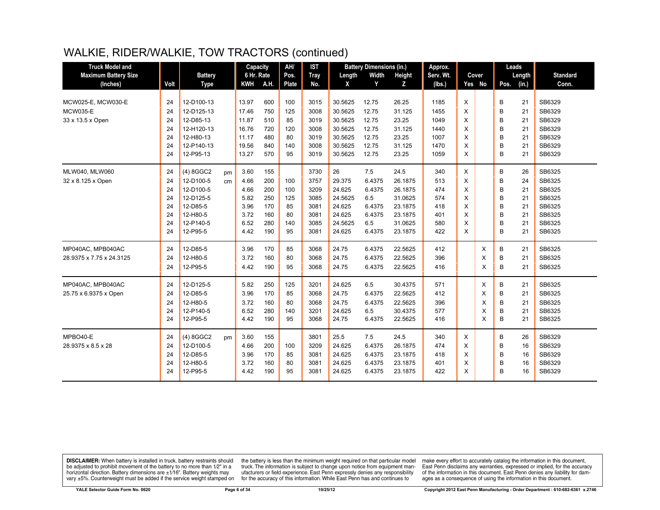| <b>Truck Model and</b>      |      |                |    | Capacity   |      | AH/   | <b>IST</b>  |         | <b>Battery Dimensions (in.)</b> |         | Approx.   |          |          | Leads |        |                 |
|-----------------------------|------|----------------|----|------------|------|-------|-------------|---------|---------------------------------|---------|-----------|----------|----------|-------|--------|-----------------|
| <b>Maximum Battery Size</b> |      | <b>Battery</b> |    | 6 Hr. Rate |      | Pos.  | <b>Tray</b> | Length  | Width                           | Height  | Serv. Wt. |          | Cover    |       | Length | <b>Standard</b> |
| (Inches)                    | Volt | <b>Type</b>    |    | <b>KWH</b> | A.H. | Plate | No.         | X       | Y                               | Z.      | (lbs.)    |          | Yes No   | Pos.  | (in.)  | Conn.           |
|                             |      |                |    |            |      |       |             |         |                                 |         |           |          |          |       |        |                 |
| MCW025-E, MCW030-E          | 24   | 12-D100-13     |    | 13.97      | 600  | 100   | 3015        | 30.5625 | 12.75                           | 26.25   | 1185      | X        |          | В     | 21     | SB6329          |
| <b>MCW035-E</b>             | 24   | 12-D125-13     |    | 17.46      | 750  | 125   | 3008        | 30.5625 | 12.75                           | 31.125  | 1455      | X        |          | B     | 21     | SB6329          |
| 33 x 13.5 x Open            | 24   | 12-D85-13      |    | 11.87      | 510  | 85    | 3019        | 30.5625 | 12.75                           | 23.25   | 1049      | X        |          | B     | 21     | SB6329          |
|                             | 24   | 12-H120-13     |    | 16.76      | 720  | 120   | 3008        | 30.5625 | 12.75                           | 31.125  | 1440      | X        |          | B     | 21     | SB6329          |
|                             | 24   | 12-H80-13      |    | 11.17      | 480  | 80    | 3019        | 30.5625 | 12.75                           | 23.25   | 1007      | X        |          | B     | 21     | SB6329          |
|                             | 24   | 12-P140-13     |    | 19.56      | 840  | 140   | 3008        | 30.5625 | 12.75                           | 31.125  | 1470      | X        |          | B     | 21     | SB6329          |
|                             | 24   | 12-P95-13      |    | 13.27      | 570  | 95    | 3019        | 30.5625 | 12.75                           | 23.25   | 1059      | X        |          | B     | 21     | SB6329          |
| MLW040, MLW060              | 24   | (4) 8GGC2      | pm | 3.60       | 155  |       | 3730        | 26      | 7.5                             | 24.5    | 340       | X        |          | В     | 26     | SB6325          |
| 32 x 8.125 x Open           | 24   | 12-D100-5      | cm | 4.66       | 200  | 100   | 3757        | 29.375  | 6.4375                          | 26.1875 | 513       | X        |          | B     | 24     | SB6325          |
|                             | 24   | 12-D100-5      |    | 4.66       | 200  | 100   | 3209        | 24.625  | 6.4375                          | 26.1875 | 474       | X        |          | B     | 21     | SB6325          |
|                             | 24   | 12-D125-5      |    | 5.82       | 250  | 125   | 3085        | 24.5625 | 6.5                             | 31.0625 | 574       | X        |          | B     | 21     | SB6325          |
|                             | 24   | 12-D85-5       |    | 3.96       | 170  | 85    | 3081        | 24.625  | 6.4375                          | 23.1875 | 418       | X        |          | B     | 21     | SB6325          |
|                             | 24   | 12-H80-5       |    | 3.72       | 160  | 80    | 3081        | 24.625  | 6.4375                          | 23.1875 | 401       | X        |          | B     | 21     | SB6325          |
|                             | 24   | 12-P140-5      |    | 6.52       | 280  | 140   | 3085        | 24.5625 | 6.5                             | 31.0625 | 580       | X        |          | B     | 21     | SB6325          |
|                             | 24   | 12-P95-5       |    | 4.42       | 190  | 95    | 3081        | 24.625  | 6.4375                          | 23.1875 | 422       | X        |          | B     | 21     | SB6325          |
| MP040AC, MPB040AC           | 24   | 12-D85-5       |    | 3.96       | 170  | 85    | 3068        | 24.75   | 6.4375                          | 22.5625 | 412       |          | X        | В     | 21     | SB6325          |
| 28.9375 x 7.75 x 24.3125    | 24   | 12-H80-5       |    | 3.72       | 160  | 80    | 3068        | 24.75   | 6.4375                          | 22.5625 | 396       |          | X        | B     | 21     | SB6325          |
|                             | 24   | 12-P95-5       |    | 4.42       | 190  | 95    | 3068        | 24.75   | 6.4375                          | 22.5625 | 416       |          | X        | В     | 21     | SB6325          |
| MP040AC, MPB040AC           | 24   | 12-D125-5      |    | 5.82       | 250  | 125   | 3201        | 24.625  | 6.5                             | 30.4375 | 571       |          | X        | B     | 21     | SB6325          |
| 25.75 x 6.9375 x Open       | 24   | 12-D85-5       |    | 3.96       | 170  | 85    | 3068        | 24.75   | 6.4375                          | 22.5625 | 412       |          | X        | В     | 21     | SB6325          |
|                             | 24   | 12-H80-5       |    | 3.72       | 160  | 80    | 3068        | 24.75   | 6.4375                          | 22.5625 | 396       |          | X        | B     | 21     | SB6325          |
|                             | 24   | 12-P140-5      |    | 6.52       | 280  | 140   | 3201        | 24.625  | 6.5                             | 30.4375 | 577       |          | X        | B     | 21     | SB6325          |
|                             | 24   | 12-P95-5       |    | 4.42       | 190  | 95    | 3068        | 24.75   | 6.4375                          | 22.5625 | 416       |          | $\times$ | B     | 21     | SB6325          |
| MPBO40-E                    | 24   | $(4)$ 8GGC2    | pm | 3.60       | 155  |       | 3801        | 25.5    | 7.5                             | 24.5    | 340       | $\times$ |          | B     | 26     | SB6329          |
| 28.9375 x 8.5 x 28          | 24   | 12-D100-5      |    | 4.66       | 200  | 100   | 3209        | 24.625  | 6.4375                          | 26.1875 | 474       | X        |          | B     | 16     | SB6329          |
|                             | 24   | 12-D85-5       |    | 3.96       | 170  | 85    | 3081        | 24.625  | 6.4375                          | 23.1875 | 418       | X        |          | B     | 16     | SB6329          |
|                             | 24   | 12-H80-5       |    | 3.72       | 160  | 80    | 3081        | 24.625  | 6.4375                          | 23.1875 | 401       | X        |          | B     | 16     | SB6329          |
|                             | 24   | 12-P95-5       |    | 4.42       | 190  | 95    | 3081        | 24.625  | 6.4375                          | 23.1875 | 422       | X        |          | B     | 16     | SB6329          |

**DISCLAIMER:** When battery is installed in truck, battery restraints should be adjusted to prohibit movement of the battery to no more than  $1/2$ " in a horizontal direction. Battery dimensions are  $\pm 1/16$ ". Battery weig

the battery is less than the minimum weight required on that particular model<br>truck. The information is subject to change upon notice from equipment manufacturers or field experience. East Penn expressly denies any responsibility for the accuracy of this information. While East Penn has and continues to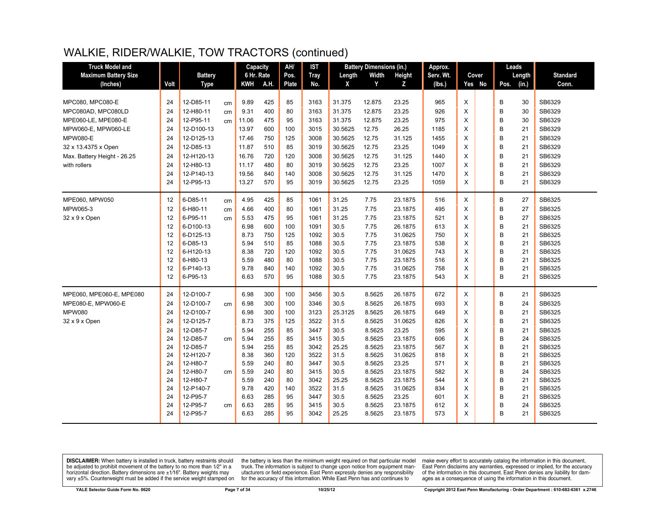| <b>Truck Model and</b>      |      |                |    | Capacity   |      | AH/   | <b>IST</b>  |         | <b>Battery Dimensions (in.)</b> |         | Approx.   |   |        |      | Leads  |                 |
|-----------------------------|------|----------------|----|------------|------|-------|-------------|---------|---------------------------------|---------|-----------|---|--------|------|--------|-----------------|
| <b>Maximum Battery Size</b> |      | <b>Battery</b> |    | 6 Hr. Rate |      | Pos.  | <b>Tray</b> | Length  | Width                           | Height  | Serv. Wt. |   | Cover  |      | Length | <b>Standard</b> |
| (Inches)                    | Volt | <b>Type</b>    |    | KWH        | A.H. | Plate | No.         | X       | Y                               | Z       | (lbs.)    |   | Yes No | Pos. | (in.)  | Conn.           |
|                             |      |                |    |            |      |       |             |         |                                 |         |           |   |        |      |        |                 |
| MPC080, MPC080-E            | 24   | 12-D85-11      | cm | 9.89       | 425  | 85    | 3163        | 31.375  | 12.875                          | 23.25   | 965       | X |        | B    | 30     | SB6329          |
| MPC080AD, MPC080LD          | 24   | 12-H80-11      | cm | 9.31       | 400  | 80    | 3163        | 31.375  | 12.875                          | 23.25   | 926       | X |        | B    | 30     | SB6329          |
| MPE060-LE, MPE080-E         | 24   | 12-P95-11      | cm | 11.06      | 475  | 95    | 3163        | 31.375  | 12.875                          | 23.25   | 975       | X |        | B    | 30     | SB6329          |
| MPW060-E, MPW060-LE         | 24   | 12-D100-13     |    | 13.97      | 600  | 100   | 3015        | 30.5625 | 12.75                           | 26.25   | 1185      | X |        | B    | 21     | SB6329          |
| <b>MPW080-E</b>             | 24   | 12-D125-13     |    | 17.46      | 750  | 125   | 3008        | 30.5625 | 12.75                           | 31.125  | 1455      | X |        | B    | 21     | SB6329          |
| 32 x 13.4375 x Open         | 24   | 12-D85-13      |    | 11.87      | 510  | 85    | 3019        | 30.5625 | 12.75                           | 23.25   | 1049      | X |        | B    | 21     | SB6329          |
| Max. Battery Height - 26.25 | 24   | 12-H120-13     |    | 16.76      | 720  | 120   | 3008        | 30.5625 | 12.75                           | 31.125  | 1440      | X |        | B    | 21     | SB6329          |
| with rollers                | 24   | 12-H80-13      |    | 11.17      | 480  | 80    | 3019        | 30.5625 | 12.75                           | 23.25   | 1007      | X |        | B    | 21     | SB6329          |
|                             | 24   | 12-P140-13     |    | 19.56      | 840  | 140   | 3008        | 30.5625 | 12.75                           | 31.125  | 1470      | X |        | B    | 21     | SB6329          |
|                             | 24   | 12-P95-13      |    | 13.27      | 570  | 95    | 3019        | 30.5625 | 12.75                           | 23.25   | 1059      | X |        | B    | 21     | SB6329          |
| MPE060, MPW050              | 12   | 6-D85-11       | cm | 4.95       | 425  | 85    | 1061        | 31.25   | 7.75                            | 23.1875 | 516       | X |        | B    | 27     | SB6325          |
| MPW065-3                    | 12   | 6-H80-11       | cm | 4.66       | 400  | 80    | 1061        | 31.25   | 7.75                            | 23.1875 | 495       | X |        | B    | 27     | SB6325          |
| 32 x 9 x Open               | 12   | 6-P95-11       | cm | 5.53       | 475  | 95    | 1061        | 31.25   | 7.75                            | 23.1875 | 521       | X |        | B    | 27     | SB6325          |
|                             | 12   | 6-D100-13      |    | 6.98       | 600  | 100   | 1091        | 30.5    | 7.75                            | 26.1875 | 613       | X |        | B    | 21     | SB6325          |
|                             | 12   | 6-D125-13      |    | 8.73       | 750  | 125   | 1092        | 30.5    | 7.75                            | 31.0625 | 750       | X |        | B    | 21     | SB6325          |
|                             | 12   | 6-D85-13       |    | 5.94       | 510  | 85    | 1088        | 30.5    | 7.75                            | 23.1875 | 538       | X |        | B    | 21     | SB6325          |
|                             | 12   | 6-H120-13      |    | 8.38       | 720  | 120   | 1092        | 30.5    | 7.75                            | 31.0625 | 743       | X |        | B    | 21     | SB6325          |
|                             | 12   | 6-H80-13       |    | 5.59       | 480  | 80    | 1088        | 30.5    | 7.75                            | 23.1875 | 516       | X |        | B    | 21     | SB6325          |
|                             | 12   | 6-P140-13      |    | 9.78       | 840  | 140   | 1092        | 30.5    | 7.75                            | 31.0625 | 758       | X |        | B    | 21     | SB6325          |
|                             | 12   | 6-P95-13       |    | 6.63       | 570  | 95    | 1088        | 30.5    | 7.75                            | 23.1875 | 543       | X |        | B    | 21     | SB6325          |
| MPE060, MPE060-E, MPE080    | 24   | 12-D100-7      |    | 6.98       | 300  | 100   | 3456        | 30.5    | 8.5625                          | 26.1875 | 672       | X |        | B    | 21     | SB6325          |
| MPE080-E, MPW060-E          | 24   | 12-D100-7      | cm | 6.98       | 300  | 100   | 3346        | 30.5    | 8.5625                          | 26.1875 | 693       | X |        | B    | 24     | SB6325          |
| <b>MPW080</b>               | 24   | 12-D100-7      |    | 6.98       | 300  | 100   | 3123        | 25.3125 | 8.5625                          | 26.1875 | 649       | X |        | B    | 21     | SB6325          |
| 32 x 9 x Open               | 24   | 12-D125-7      |    | 8.73       | 375  | 125   | 3522        | 31.5    | 8.5625                          | 31.0625 | 826       | X |        | B    | 21     | SB6325          |
|                             | 24   | 12-D85-7       |    | 5.94       | 255  | 85    | 3447        | 30.5    | 8.5625                          | 23.25   | 595       | X |        | B    | 21     | SB6325          |
|                             | 24   | 12-D85-7       | cm | 5.94       | 255  | 85    | 3415        | 30.5    | 8.5625                          | 23.1875 | 606       | X |        | B    | 24     | SB6325          |
|                             | 24   | 12-D85-7       |    | 5.94       | 255  | 85    | 3042        | 25.25   | 8.5625                          | 23.1875 | 567       | X |        | B    | 21     | SB6325          |
|                             | 24   | 12-H120-7      |    | 8.38       | 360  | 120   | 3522        | 31.5    | 8.5625                          | 31.0625 | 818       | X |        | B    | 21     | SB6325          |
|                             | 24   | 12-H80-7       |    | 5.59       | 240  | 80    | 3447        | 30.5    | 8.5625                          | 23.25   | 571       | X |        | B    | 21     | SB6325          |
|                             | 24   | 12-H80-7       | cm | 5.59       | 240  | 80    | 3415        | 30.5    | 8.5625                          | 23.1875 | 582       | X |        | B    | 24     | SB6325          |
|                             | 24   | 12-H80-7       |    | 5.59       | 240  | 80    | 3042        | 25.25   | 8.5625                          | 23.1875 | 544       | X |        | B    | 21     | SB6325          |
|                             | 24   | 12-P140-7      |    | 9.78       | 420  | 140   | 3522        | 31.5    | 8.5625                          | 31.0625 | 834       | X |        | B    | 21     | SB6325          |
|                             | 24   | 12-P95-7       |    | 6.63       | 285  | 95    | 3447        | 30.5    | 8.5625                          | 23.25   | 601       | X |        | B    | 21     | SB6325          |
|                             | 24   | 12-P95-7       | cm | 6.63       | 285  | 95    | 3415        | 30.5    | 8.5625                          | 23.1875 | 612       | X |        | B    | 24     | SB6325          |
|                             | 24   | 12-P95-7       |    | 6.63       | 285  | 95    | 3042        | 25.25   | 8.5625                          | 23.1875 | 573       | X |        | B    | 21     | SB6325          |

**DISCLAIMER:** When battery is installed in truck, battery restraints should be adjusted to prohibit movement of the battery to no more than  $12^v$  in a horizontal direction. Battery dimensions are  $\pm 1/16^v$ . Battery wei

the battery is less than the minimum weight required on that particular model<br>truck. The information is subject to change upon notice from equipment manufacturers or field experience. East Penn expressly denies any responsibility for the accuracy of this information. While East Penn has and continues to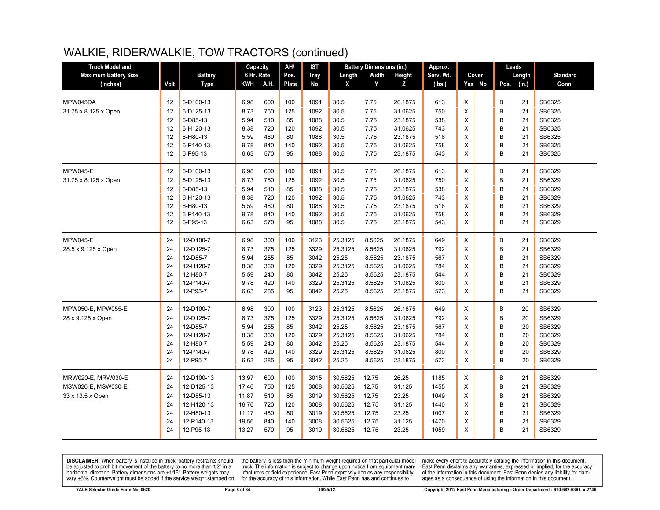| <b>Truck Model and</b>      |      |                | Capacity   |      | AH/   | IST         |         | <b>Battery Dimensions (in.)</b> |         | Approx.   |                |       | Leads         |        |                 |
|-----------------------------|------|----------------|------------|------|-------|-------------|---------|---------------------------------|---------|-----------|----------------|-------|---------------|--------|-----------------|
| <b>Maximum Battery Size</b> |      | <b>Battery</b> | 6 Hr. Rate |      | Pos.  | <b>Tray</b> | Length  | Width                           | Height  | Serv. Wt. |                | Cover | Length        |        | <b>Standard</b> |
| (Inches)                    | Volt | <b>Type</b>    | KWH        | A.H. | Plate | No.         | X       | Y                               | z       | (lbs.)    | Yes No         |       | (in.)<br>Pos. |        | Conn.           |
|                             |      |                |            |      |       |             |         |                                 |         |           |                |       |               |        |                 |
| MPW045DA                    | 12   | 6-D100-13      | 6.98       | 600  | 100   | 1091        | 30.5    | 7.75                            | 26.1875 | 613       | X              |       | B<br>21       | SB6325 |                 |
| 31.75 x 8.125 x Open        | 12   | 6-D125-13      | 8.73       | 750  | 125   | 1092        | 30.5    | 7.75                            | 31.0625 | 750       | X              |       | B<br>21       | SB6325 |                 |
|                             | 12   | 6-D85-13       | 5.94       | 510  | 85    | 1088        | 30.5    | 7.75                            | 23.1875 | 538       | X              |       | B<br>21       | SB6325 |                 |
|                             | 12   | 6-H120-13      | 8.38       | 720  | 120   | 1092        | 30.5    | 7.75                            | 31.0625 | 743       | X              |       | B<br>21       | SB6325 |                 |
|                             | 12   | 6-H80-13       | 5.59       | 480  | 80    | 1088        | 30.5    | 7.75                            | 23.1875 | 516       | X              |       | B<br>21       | SB6325 |                 |
|                             | 12   | 6-P140-13      | 9.78       | 840  | 140   | 1092        | 30.5    | 7.75                            | 31.0625 | 758       | X              |       | B<br>21       | SB6325 |                 |
|                             | 12   | 6-P95-13       | 6.63       | 570  | 95    | 1088        | 30.5    | 7.75                            | 23.1875 | 543       | X              |       | B<br>21       | SB6325 |                 |
| <b>MPW045-E</b>             | 12   | 6-D100-13      | 6.98       | 600  | 100   | 1091        | 30.5    | 7.75                            | 26.1875 | 613       | Χ              |       | В<br>21       | SB6329 |                 |
| 31.75 x 8.125 x Open        | 12   | 6-D125-13      | 8.73       | 750  | 125   | 1092        | 30.5    | 7.75                            | 31.0625 | 750       | X              |       | B<br>21       | SB6329 |                 |
|                             | 12   | 6-D85-13       | 5.94       | 510  | 85    | 1088        | 30.5    | 7.75                            | 23.1875 | 538       | X              |       | B<br>21       | SB6329 |                 |
|                             | 12   | 6-H120-13      | 8.38       | 720  | 120   | 1092        | 30.5    | 7.75                            | 31.0625 | 743       | X              |       | B<br>21       | SB6329 |                 |
|                             | 12   | 6-H80-13       | 5.59       | 480  | 80    | 1088        | 30.5    | 7.75                            | 23.1875 | 516       | X              |       | B<br>21       | SB6329 |                 |
|                             | 12   | 6-P140-13      | 9.78       | 840  | 140   | 1092        | 30.5    | 7.75                            | 31.0625 | 758       | X              |       | B<br>21       | SB6329 |                 |
|                             | 12   | 6-P95-13       | 6.63       | 570  | 95    | 1088        | 30.5    | 7.75                            | 23.1875 | 543       | X              |       | B<br>21       | SB6329 |                 |
| <b>MPW045-E</b>             | 24   | 12-D100-7      | 6.98       | 300  | 100   | 3123        | 25.3125 | 8.5625                          | 26.1875 | 649       | X              |       | B<br>21       | SB6329 |                 |
| 28.5 x 9.125 x Open         | 24   | 12-D125-7      | 8.73       | 375  | 125   | 3329        | 25.3125 | 8.5625                          | 31.0625 | 792       | $\sf X$        |       | B<br>21       | SB6329 |                 |
|                             | 24   | 12-D85-7       | 5.94       | 255  | 85    | 3042        | 25.25   | 8.5625                          | 23.1875 | 567       | X              |       | B<br>21       | SB6329 |                 |
|                             | 24   | 12-H120-7      | 8.38       | 360  | 120   | 3329        | 25.3125 | 8.5625                          | 31.0625 | 784       | X              |       | B<br>21       | SB6329 |                 |
|                             | 24   | 12-H80-7       | 5.59       | 240  | 80    | 3042        | 25.25   | 8.5625                          | 23.1875 | 544       | $\pmb{\times}$ |       | B<br>21       | SB6329 |                 |
|                             | 24   | 12-P140-7      | 9.78       | 420  | 140   | 3329        | 25.3125 | 8.5625                          | 31.0625 | 800       | X              |       | B<br>21       | SB6329 |                 |
|                             | 24   | 12-P95-7       | 6.63       | 285  | 95    | 3042        | 25.25   | 8.5625                          | 23.1875 | 573       | $\mathsf{x}$   |       | B<br>21       | SB6329 |                 |
| MPW050-E, MPW055-E          | 24   | 12-D100-7      | 6.98       | 300  | 100   | 3123        | 25.3125 | 8.5625                          | 26.1875 | 649       | X              |       | В<br>20       | SB6329 |                 |
| 28 x 9.125 x Open           | 24   | 12-D125-7      | 8.73       | 375  | 125   | 3329        | 25.3125 | 8.5625                          | 31.0625 | 792       | X              |       | B<br>20       | SB6329 |                 |
|                             | 24   | 12-D85-7       | 5.94       | 255  | 85    | 3042        | 25.25   | 8.5625                          | 23.1875 | 567       | $\pmb{\times}$ |       | B<br>20       | SB6329 |                 |
|                             | 24   | 12-H120-7      | 8.38       | 360  | 120   | 3329        | 25.3125 | 8.5625                          | 31.0625 | 784       | X              |       | B<br>20       | SB6329 |                 |
|                             | 24   | 12-H80-7       | 5.59       | 240  | 80    | 3042        | 25.25   | 8.5625                          | 23.1875 | 544       | X              |       | B<br>20       | SB6329 |                 |
|                             | 24   | 12-P140-7      | 9.78       | 420  | 140   | 3329        | 25.3125 | 8.5625                          | 31.0625 | 800       | X              |       | B<br>20       | SB6329 |                 |
|                             | 24   | 12-P95-7       | 6.63       | 285  | 95    | 3042        | 25.25   | 8.5625                          | 23.1875 | 573       | X              |       | B<br>20       | SB6329 |                 |
| MRW020-E, MRW030-E          | 24   | 12-D100-13     | 13.97      | 600  | 100   | 3015        | 30.5625 | 12.75                           | 26.25   | 1185      | X              |       | B<br>21       | SB6329 |                 |
| MSW020-E, MSW030-E          | 24   | 12-D125-13     | 17.46      | 750  | 125   | 3008        | 30.5625 | 12.75                           | 31.125  | 1455      | $\sf X$        |       | B<br>21       | SB6329 |                 |
| 33 x 13.5 x Open            | 24   | 12-D85-13      | 11.87      | 510  | 85    | 3019        | 30.5625 | 12.75                           | 23.25   | 1049      | X              |       | B<br>21       | SB6329 |                 |
|                             | 24   | 12-H120-13     | 16.76      | 720  | 120   | 3008        | 30.5625 | 12.75                           | 31.125  | 1440      | X              |       | B<br>21       | SB6329 |                 |
|                             | 24   | 12-H80-13      | 11.17      | 480  | 80    | 3019        | 30.5625 | 12.75                           | 23.25   | 1007      | X              |       | B<br>21       | SB6329 |                 |
|                             | 24   | 12-P140-13     | 19.56      | 840  | 140   | 3008        | 30.5625 | 12.75                           | 31.125  | 1470      | X              |       | B<br>21       | SB6329 |                 |
|                             | 24   | 12-P95-13      | 13.27      | 570  | 95    | 3019        | 30.5625 | 12.75                           | 23.25   | 1059      | X              |       | B<br>21       | SB6329 |                 |
|                             |      |                |            |      |       |             |         |                                 |         |           |                |       |               |        |                 |

**DISCLAIMER:** When battery is installed in truck, battery restraints should be adjusted to prohibit movement of the battery to no more than  $1/2$ " in a horizontal direction. Battery dimensions are  $\pm 1/16$ ". Battery weig

the battery is less than the minimum weight required on that particular model<br>truck. The information is subject to change upon notice from equipment manufacturers or field experience. East Penn expressly denies any responsibility for the accuracy of this information. While East Penn has and continues to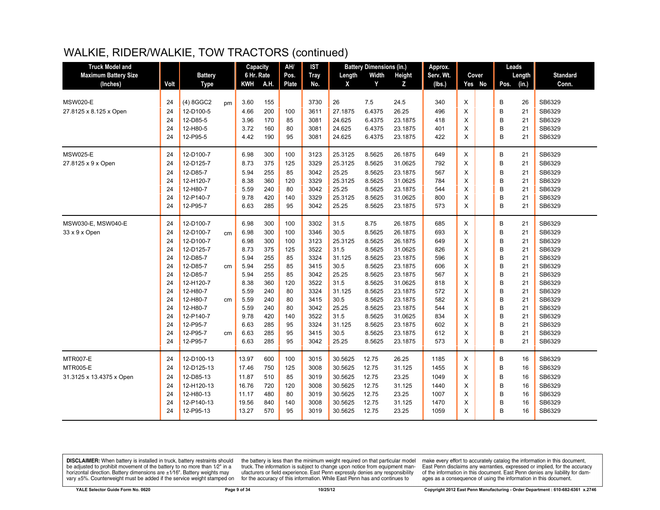| <b>Truck Model and</b>      |      |                |    | Capacity   |      | AH/          | <b>IST</b>  |         | <b>Battery Dimensions (in.)</b> |         | Approx.   |   |        | Leads |        |                 |
|-----------------------------|------|----------------|----|------------|------|--------------|-------------|---------|---------------------------------|---------|-----------|---|--------|-------|--------|-----------------|
| <b>Maximum Battery Size</b> |      | <b>Battery</b> |    | 6 Hr. Rate |      | Pos.         | <b>Tray</b> | Length  | Width                           | Height  | Serv. Wt. |   | Cover  |       | Length | <b>Standard</b> |
| (Inches)                    | Volt | <b>Type</b>    |    | KWH        | A.H. | <b>Plate</b> | No.         | X       | Y                               | z       | (Ibs.)    |   | Yes No | Pos.  | (in.)  | Conn.           |
|                             |      |                |    |            |      |              |             |         |                                 |         |           |   |        |       |        |                 |
| <b>MSW020-E</b>             | 24   | (4) 8GGC2      | pm | 3.60       | 155  |              | 3730        | 26      | 7.5                             | 24.5    | 340       | X |        | В     | 26     | SB6329          |
| 27.8125 x 8.125 x Open      | 24   | 12-D100-5      |    | 4.66       | 200  | 100          | 3611        | 27.1875 | 6.4375                          | 26.25   | 496       | X |        | B     | 21     | SB6329          |
|                             | 24   | 12-D85-5       |    | 3.96       | 170  | 85           | 3081        | 24.625  | 6.4375                          | 23.1875 | 418       | X |        | B     | 21     | SB6329          |
|                             | 24   | 12-H80-5       |    | 3.72       | 160  | 80           | 3081        | 24.625  | 6.4375                          | 23.1875 | 401       | X |        | B     | 21     | SB6329          |
|                             | 24   | 12-P95-5       |    | 4.42       | 190  | 95           | 3081        | 24.625  | 6.4375                          | 23.1875 | 422       | X |        | B     | 21     | SB6329          |
| <b>MSW025-E</b>             | 24   | 12-D100-7      |    | 6.98       | 300  | 100          | 3123        | 25.3125 | 8.5625                          | 26.1875 | 649       | X |        | B     | 21     | SB6329          |
| 27.8125 x 9 x Open          | 24   | 12-D125-7      |    | 8.73       | 375  | 125          | 3329        | 25.3125 | 8.5625                          | 31.0625 | 792       | X |        | B     | 21     | SB6329          |
|                             | 24   | 12-D85-7       |    | 5.94       | 255  | 85           | 3042        | 25.25   | 8.5625                          | 23.1875 | 567       | X |        | B     | 21     | SB6329          |
|                             | 24   | 12-H120-7      |    | 8.38       | 360  | 120          | 3329        | 25.3125 | 8.5625                          | 31.0625 | 784       | X |        | B     | 21     | SB6329          |
|                             | 24   | 12-H80-7       |    | 5.59       | 240  | 80           | 3042        | 25.25   | 8.5625                          | 23.1875 | 544       | X |        | B     | 21     | SB6329          |
|                             | 24   | 12-P140-7      |    | 9.78       | 420  | 140          | 3329        | 25.3125 | 8.5625                          | 31.0625 | 800       | X |        | B     | 21     | SB6329          |
|                             | 24   | 12-P95-7       |    | 6.63       | 285  | 95           | 3042        | 25.25   | 8.5625                          | 23.1875 | 573       | X |        | B     | 21     | SB6329          |
| MSW030-E, MSW040-E          | 24   | 12-D100-7      |    | 6.98       | 300  | 100          | 3302        | 31.5    | 8.75                            | 26.1875 | 685       | X |        | B     | 21     | SB6329          |
| 33 x 9 x Open               | 24   | 12-D100-7      | cm | 6.98       | 300  | 100          | 3346        | 30.5    | 8.5625                          | 26.1875 | 693       | Χ |        | B     | 21     | SB6329          |
|                             | 24   | 12-D100-7      |    | 6.98       | 300  | 100          | 3123        | 25.3125 | 8.5625                          | 26.1875 | 649       | X |        | B     | 21     | SB6329          |
|                             | 24   | 12-D125-7      |    | 8.73       | 375  | 125          | 3522        | 31.5    | 8.5625                          | 31.0625 | 826       | X |        | B     | 21     | SB6329          |
|                             | 24   | 12-D85-7       |    | 5.94       | 255  | 85           | 3324        | 31.125  | 8.5625                          | 23.1875 | 596       | X |        | B     | 21     | SB6329          |
|                             | 24   | 12-D85-7       | cm | 5.94       | 255  | 85           | 3415        | 30.5    | 8.5625                          | 23.1875 | 606       | X |        | B     | 21     | SB6329          |
|                             | 24   | 12-D85-7       |    | 5.94       | 255  | 85           | 3042        | 25.25   | 8.5625                          | 23.1875 | 567       | X |        | B     | 21     | SB6329          |
|                             | 24   | 12-H120-7      |    | 8.38       | 360  | 120          | 3522        | 31.5    | 8.5625                          | 31.0625 | 818       | X |        | B     | 21     | SB6329          |
|                             | 24   | 12-H80-7       |    | 5.59       | 240  | 80           | 3324        | 31.125  | 8.5625                          | 23.1875 | 572       | X |        | B     | 21     | SB6329          |
|                             | 24   | 12-H80-7       | cm | 5.59       | 240  | 80           | 3415        | 30.5    | 8.5625                          | 23.1875 | 582       | X |        | B     | 21     | SB6329          |
|                             | 24   | 12-H80-7       |    | 5.59       | 240  | 80           | 3042        | 25.25   | 8.5625                          | 23.1875 | 544       | X |        | B     | 21     | SB6329          |
|                             | 24   | 12-P140-7      |    | 9.78       | 420  | 140          | 3522        | 31.5    | 8.5625                          | 31.0625 | 834       | X |        | B     | 21     | SB6329          |
|                             | 24   | 12-P95-7       |    | 6.63       | 285  | 95           | 3324        | 31.125  | 8.5625                          | 23.1875 | 602       | X |        | B     | 21     | SB6329          |
|                             | 24   | 12-P95-7       | cm | 6.63       | 285  | 95           | 3415        | 30.5    | 8.5625                          | 23.1875 | 612       | X |        | B     | 21     | SB6329          |
|                             | 24   | 12-P95-7       |    | 6.63       | 285  | 95           | 3042        | 25.25   | 8.5625                          | 23.1875 | 573       | X |        | B     | 21     | SB6329          |
| <b>MTR007-E</b>             | 24   | 12-D100-13     |    | 13.97      | 600  | 100          | 3015        | 30.5625 | 12.75                           | 26.25   | 1185      | X |        | B     | 16     | SB6329          |
| <b>MTR005-E</b>             | 24   | 12-D125-13     |    | 17.46      | 750  | 125          | 3008        | 30.5625 | 12.75                           | 31.125  | 1455      | X |        | B     | 16     | SB6329          |
| 31.3125 x 13.4375 x Open    | 24   | 12-D85-13      |    | 11.87      | 510  | 85           | 3019        | 30.5625 | 12.75                           | 23.25   | 1049      | X |        | B     | 16     | SB6329          |
|                             | 24   | 12-H120-13     |    | 16.76      | 720  | 120          | 3008        | 30.5625 | 12.75                           | 31.125  | 1440      | X |        | B     | 16     | SB6329          |
|                             | 24   | 12-H80-13      |    | 11.17      | 480  | 80           | 3019        | 30.5625 | 12.75                           | 23.25   | 1007      | X |        | B     | 16     | SB6329          |
|                             | 24   | 12-P140-13     |    | 19.56      | 840  | 140          | 3008        | 30.5625 | 12.75                           | 31.125  | 1470      | X |        | B     | 16     | SB6329          |
|                             | 24   | 12-P95-13      |    | 13.27      | 570  | 95           | 3019        | 30.5625 | 12.75                           | 23.25   | 1059      | X |        | B     | 16     | SB6329          |
|                             |      |                |    |            |      |              |             |         |                                 |         |           |   |        |       |        |                 |

**DISCLAIMER:** When battery is installed in truck, battery restraints should be adjusted to prohibit movement of the battery to no more than  $1/2$ " in a horizontal direction. Battery dimensions are  $\pm 1/16$ ". Battery weig

the battery is less than the minimum weight required on that particular model<br>truck. The information is subject to change upon notice from equipment manufacturers or field experience. East Penn expressly denies any responsibility for the accuracy of this information. While East Penn has and continues to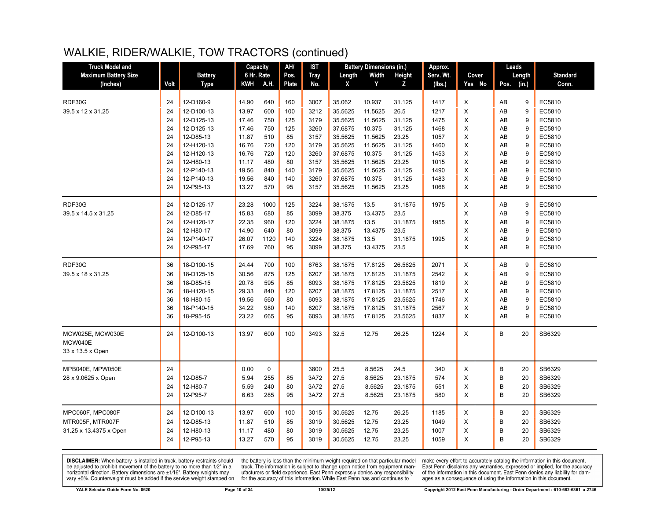| <b>Truck Model and</b>      |      |                | Capacity   |             | AH/          | <b>IST</b>  |         | <b>Battery Dimensions (in.)</b> |         | Approx.   |              | Leads         |    |                 |
|-----------------------------|------|----------------|------------|-------------|--------------|-------------|---------|---------------------------------|---------|-----------|--------------|---------------|----|-----------------|
| <b>Maximum Battery Size</b> |      | <b>Battery</b> | 6 Hr. Rate |             | Pos.         | <b>Tray</b> | Length  | Width                           | Height  | Serv. Wt. | Cover        | Length        |    | <b>Standard</b> |
| (Inches)                    | Volt | Type           | KWH        | A.H.        | <b>Plate</b> | No.         | X       | Y                               | Z       | (Ibs.)    | Yes No       | (in.)<br>Pos. |    | Conn.           |
|                             |      |                |            |             |              |             |         |                                 |         |           |              |               |    |                 |
| RDF30G                      | 24   | 12-D160-9      | 14.90      | 640         | 160          | 3007        | 35.062  | 10.937                          | 31.125  | 1417      | X            | AB            | 9  | EC5810          |
| 39.5 x 12 x 31.25           | 24   | 12-D100-13     | 13.97      | 600         | 100          | 3212        | 35.5625 | 11.5625                         | 26.5    | 1217      | X            | AB            | 9  | EC5810          |
|                             | 24   | 12-D125-13     | 17.46      | 750         | 125          | 3179        | 35.5625 | 11.5625                         | 31.125  | 1475      | X            | AB            | 9  | EC5810          |
|                             | 24   | 12-D125-13     | 17.46      | 750         | 125          | 3260        | 37.6875 | 10.375                          | 31.125  | 1468      | X            | AB            | 9  | EC5810          |
|                             | 24   | 12-D85-13      | 11.87      | 510         | 85           | 3157        | 35.5625 | 11.5625                         | 23.25   | 1057      | X            | AB            | 9  | EC5810          |
|                             | 24   | 12-H120-13     | 16.76      | 720         | 120          | 3179        | 35.5625 | 11.5625                         | 31.125  | 1460      | X            | AB            | 9  | EC5810          |
|                             | 24   | 12-H120-13     | 16.76      | 720         | 120          | 3260        | 37.6875 | 10.375                          | 31.125  | 1453      | X            | AB            | 9  | EC5810          |
|                             | 24   | 12-H80-13      | 11.17      | 480         | 80           | 3157        | 35.5625 | 11.5625                         | 23.25   | 1015      | X            | AB            | 9  | EC5810          |
|                             | 24   | 12-P140-13     | 19.56      | 840         | 140          | 3179        | 35.5625 | 11.5625                         | 31.125  | 1490      | X            | AB            | 9  | EC5810          |
|                             | 24   | 12-P140-13     | 19.56      | 840         | 140          | 3260        | 37.6875 | 10.375                          | 31.125  | 1483      | X            | AB            | 9  | EC5810          |
|                             | 24   | 12-P95-13      | 13.27      | 570         | 95           | 3157        | 35.5625 | 11.5625                         | 23.25   | 1068      | X            | AB            | 9  | EC5810          |
| RDF30G                      | 24   | 12-D125-17     | 23.28      | 1000        | 125          | 3224        | 38.1875 | 13.5                            | 31.1875 | 1975      | X            | AB            | 9  | EC5810          |
| 39.5 x 14.5 x 31.25         | 24   | 12-D85-17      | 15.83      | 680         | 85           | 3099        | 38.375  | 13.4375                         | 23.5    |           | X            | AB            | 9  | EC5810          |
|                             | 24   | 12-H120-17     | 22.35      | 960         | 120          | 3224        | 38.1875 | 13.5                            | 31.1875 | 1955      | X            | AB            | 9  | EC5810          |
|                             | 24   | 12-H80-17      | 14.90      | 640         | 80           | 3099        | 38.375  | 13.4375                         | 23.5    |           | X            | AB            | 9  | EC5810          |
|                             | 24   | 12-P140-17     | 26.07      | 1120        | 140          | 3224        | 38.1875 | 13.5                            | 31.1875 | 1995      | X            | AB            | 9  | EC5810          |
|                             | 24   | 12-P95-17      | 17.69      | 760         | 95           | 3099        | 38.375  | 13.4375                         | 23.5    |           | X            | AB            | 9  | EC5810          |
| RDF30G                      | 36   | 18-D100-15     | 24.44      | 700         | 100          | 6763        | 38.1875 | 17.8125                         | 26.5625 | 2071      | X            | AB            | 9  | EC5810          |
| 39.5 x 18 x 31.25           | 36   | 18-D125-15     | 30.56      | 875         | 125          | 6207        | 38.1875 | 17.8125                         | 31.1875 | 2542      | X            | AB            | 9  | EC5810          |
|                             | 36   | 18-D85-15      | 20.78      | 595         | 85           | 6093        | 38.1875 | 17.8125                         | 23.5625 | 1819      | X            | AB            | 9  | EC5810          |
|                             | 36   | 18-H120-15     | 29.33      | 840         | 120          | 6207        | 38.1875 | 17.8125                         | 31.1875 | 2517      | X            | AB            | 9  | EC5810          |
|                             | 36   | 18-H80-15      | 19.56      | 560         | 80           | 6093        | 38.1875 | 17.8125                         | 23.5625 | 1746      | X            | AB            | 9  | EC5810          |
|                             | 36   | 18-P140-15     | 34.22      | 980         | 140          | 6207        | 38.1875 | 17.8125                         | 31.1875 | 2567      | X            | AB            | 9  | EC5810          |
|                             | 36   | 18-P95-15      | 23.22      | 665         | 95           | 6093        | 38.1875 | 17.8125                         | 23.5625 | 1837      | X            | AB            | 9  | EC5810          |
|                             |      |                |            |             |              |             |         |                                 |         |           |              |               |    |                 |
| MCW025E, MCW030E            | 24   | 12-D100-13     | 13.97      | 600         | 100          | 3493        | 32.5    | 12.75                           | 26.25   | 1224      | X            | B             | 20 | SB6329          |
| MCW040E                     |      |                |            |             |              |             |         |                                 |         |           |              |               |    |                 |
| 33 x 13.5 x Open            |      |                |            |             |              |             |         |                                 |         |           |              |               |    |                 |
| MPB040E, MPW050E            | 24   |                | 0.00       | $\mathbf 0$ |              | 3800        | 25.5    | 8.5625                          | 24.5    | 340       | X            | B             | 20 | SB6329          |
| 28 x 9.0625 x Open          | 24   | 12-D85-7       | 5.94       | 255         | 85           | 3A72        | 27.5    | 8.5625                          | 23.1875 | 574       | X            | B             | 20 | SB6329          |
|                             | 24   | 12-H80-7       | 5.59       | 240         | 80           | 3A72        | 27.5    | 8.5625                          | 23.1875 | 551       | X            | B             | 20 | SB6329          |
|                             | 24   | 12-P95-7       | 6.63       | 285         | 95           | 3A72        | 27.5    | 8.5625                          | 23.1875 | 580       | X            | B             | 20 | SB6329          |
| MPC060F, MPC080F            | 24   | 12-D100-13     | 13.97      | 600         | 100          | 3015        | 30.5625 | 12.75                           | 26.25   | 1185      | X            | B             | 20 | SB6329          |
| MTR005F, MTR007F            | 24   | 12-D85-13      | 11.87      | 510         | 85           | 3019        | 30.5625 | 12.75                           | 23.25   | 1049      | X            | B             | 20 | SB6329          |
| 31.25 x 13.4375 x Open      | 24   | 12-H80-13      | 11.17      | 480         | 80           | 3019        | 30.5625 | 12.75                           | 23.25   | 1007      | X            | B             | 20 | SB6329          |
|                             | 24   | 12-P95-13      | 13.27      | 570         | 95           | 3019        | 30.5625 | 12.75                           | 23.25   | 1059      | $\mathsf{x}$ | B             | 20 | SB6329          |
|                             |      |                |            |             |              |             |         |                                 |         |           |              |               |    |                 |

**DISCLAIMER:** When battery is installed in truck, battery restraints should be adjusted to prohibit movement of the battery to no more than  $1/2$ " in a horizontal direction. Battery dimensions are  $\pm 1/16$ ". Battery weig

the battery is less than the minimum weight required on that particular model<br>truck. The information is subject to change upon notice from equipment manufacturers or field experience. East Penn expressly denies any responsibility for the accuracy of this information. While East Penn has and continues to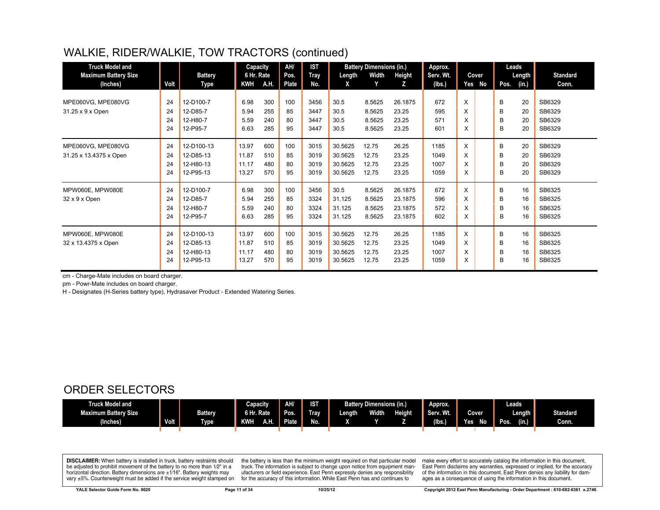| <b>Truck Model and</b><br><b>Maximum Battery Size</b><br>(Inches) | Volt                 | <b>Battery</b><br>Type                            | Capacity<br>6 Hr. Rate<br><b>KWH</b> | A.H.                     | AH/<br>Pos.<br>Plate  | <b>IST</b><br>Tray<br>No.    | Length<br>X                              | <b>Battery Dimensions (in.)</b><br>Width<br>Y | Height<br>z                              | Approx.<br>Serv. Wt.<br>(Ibs.) |                   | Cover<br>Yes No | Pos.             | Leads<br>Length<br>(in.) | <b>Standard</b><br>Conn.             |
|-------------------------------------------------------------------|----------------------|---------------------------------------------------|--------------------------------------|--------------------------|-----------------------|------------------------------|------------------------------------------|-----------------------------------------------|------------------------------------------|--------------------------------|-------------------|-----------------|------------------|--------------------------|--------------------------------------|
| MPE060VG, MPE080VG<br>31.25 x 9 x Open                            | 24<br>24<br>24<br>24 | 12-D100-7<br>12-D85-7<br>12-H80-7<br>12-P95-7     | 6.98<br>5.94<br>5.59<br>6.63         | 300<br>255<br>240<br>285 | 100<br>85<br>80<br>95 | 3456<br>3447<br>3447<br>3447 | 30.5<br>30.5<br>30.5<br>30.5             | 8.5625<br>8.5625<br>8.5625<br>8.5625          | 26.1875<br>23.25<br>23.25<br>23.25       | 672<br>595<br>571<br>601       | X<br>X.<br>X<br>X |                 | B<br>B<br>B<br>B | 20<br>20<br>20<br>20     | SB6329<br>SB6329<br>SB6329<br>SB6329 |
| MPE060VG, MPE080VG<br>31.25 x 13.4375 x Open                      | 24<br>24<br>24<br>24 | 12-D100-13<br>12-D85-13<br>12-H80-13<br>12-P95-13 | 13.97<br>11.87<br>11.17<br>13.27     | 600<br>510<br>480<br>570 | 100<br>85<br>80<br>95 | 3015<br>3019<br>3019<br>3019 | 30.5625<br>30.5625<br>30.5625<br>30.5625 | 12.75<br>12.75<br>12.75<br>12.75              | 26.25<br>23.25<br>23.25<br>23.25         | 1185<br>1049<br>1007<br>1059   | X<br>X<br>X<br>X  |                 | B<br>B<br>B<br>B | 20<br>20<br>20<br>20     | SB6329<br>SB6329<br>SB6329<br>SB6329 |
| MPW060E, MPW080E<br>32 x 9 x Open                                 | 24<br>24<br>24<br>24 | 12-D100-7<br>12-D85-7<br>12-H80-7<br>12-P95-7     | 6.98<br>5.94<br>5.59<br>6.63         | 300<br>255<br>240<br>285 | 100<br>85<br>80<br>95 | 3456<br>3324<br>3324<br>3324 | 30.5<br>31.125<br>31.125<br>31.125       | 8.5625<br>8.5625<br>8.5625<br>8.5625          | 26.1875<br>23.1875<br>23.1875<br>23.1875 | 672<br>596<br>572<br>602       | X<br>X<br>X<br>X  |                 | B<br>B<br>B<br>B | 16<br>16<br>16<br>16     | SB6325<br>SB6325<br>SB6325<br>SB6325 |
| MPW060E. MPW080E<br>32 x 13.4375 x Open                           | 24<br>24<br>24<br>24 | 12-D100-13<br>12-D85-13<br>12-H80-13<br>12-P95-13 | 13.97<br>11.87<br>11.17<br>13.27     | 600<br>510<br>480<br>570 | 100<br>85<br>80<br>95 | 3015<br>3019<br>3019<br>3019 | 30.5625<br>30.5625<br>30.5625<br>30.5625 | 12.75<br>12.75<br>12.75<br>12.75              | 26.25<br>23.25<br>23.25<br>23.25         | 1185<br>1049<br>1007<br>1059   | X<br>X<br>X<br>X  |                 | B<br>B<br>B<br>B | 16<br>16<br>16<br>16     | SB6325<br>SB6325<br>SB6325<br>SB6325 |

cm - Charge-Mate includes on board charger.

pm - Powr-Mate includes on board charger.

H - Designates (H-Series battery type), Hydrasaver Product - Extended Watering Series.

#### ORDER SELECTORS

| Truck Model and             |             |                | <b>Capacity</b>   | AH/   | <b>IST</b>  |         | <b>Battery Dimensions (in.)</b> |               | Approx.           |            | Leads         |                 |
|-----------------------------|-------------|----------------|-------------------|-------|-------------|---------|---------------------------------|---------------|-------------------|------------|---------------|-----------------|
| <b>Maximum Battery Size</b> |             | <b>Battery</b> | 6 Hr. Rate        | Pos.  | <b>Tray</b> | Length, | <b>Width</b>                    | <b>Height</b> | Serv. Wt.         | Cover      | Length        | <b>Standard</b> |
| (Inches)                    | <b>Volt</b> | <b>Type</b>    | <b>KWH</b><br>A.H | Plate | No.         |         |                                 |               | $(\mathsf{lbs.})$ | No<br>Yes. | (in.)<br>Pos. | Conn.           |
|                             |             |                |                   |       |             |         |                                 |               |                   |            |               |                 |

**DISCLAIMER:** When battery is installed in truck, battery restraints should be adjusted to prohibit movement of the battery to no more than 1/2" in a horizontal direction. Battery dimensions are ±1/16". Battery weights may vary ±5%. Counterweight must be added if the service weight stamped on

the battery is less than the minimum weight required on that particular model<br>truck. The information is subject to change upon notice from equipment manufacturers or field experience. East Penn expressly denies any responsibility for the accuracy of this information. While East Penn has and continues to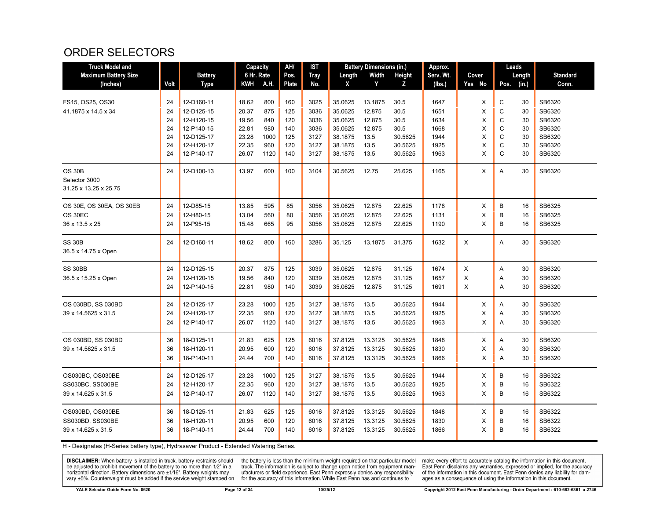#### ORDER SELECTORS

| <b>Truck Model and</b>                                  |          |                | Capacity   |             | AH/          | IST          |                    | <b>Battery Dimensions (in.)</b> |                    | Approx.      |   |        | Leads |          |                 |
|---------------------------------------------------------|----------|----------------|------------|-------------|--------------|--------------|--------------------|---------------------------------|--------------------|--------------|---|--------|-------|----------|-----------------|
| <b>Maximum Battery Size</b>                             |          | <b>Battery</b> | 6 Hr. Rate |             | Pos.         | <b>Tray</b>  | Length             | Width                           | Height             | Serv. Wt.    |   | Cover  |       | Length   | <b>Standard</b> |
| (Inches)                                                | Volt     | <b>Type</b>    | <b>KWH</b> | A.H.        | <b>Plate</b> | No.          | X                  | Y                               | Z                  | (lbs.)       |   | Yes No | Pos.  | (in.)    | Conn.           |
| FS15, OS25, OS30                                        | 24       | 12-D160-11     | 18.62      | 800         | 160          | 3025         | 35.0625            | 13.1875                         | 30.5               | 1647         |   | X      | C     | 30       | SB6320          |
| 41.1875 x 14.5 x 34                                     | 24       | 12-D125-15     | 20.37      | 875         | 125          | 3036         | 35.0625            | 12.875                          | 30.5               | 1651         |   | X      | C     | 30       | SB6320          |
|                                                         | 24       | 12-H120-15     | 19.56      | 840         | 120          | 3036         | 35.0625            | 12.875                          | 30.5               | 1634         |   | X      | C     | 30       | SB6320          |
|                                                         | 24       | 12-P140-15     | 22.81      | 980         | 140          | 3036         | 35.0625            | 12.875                          | 30.5               | 1668         |   | X      | C     | 30       | SB6320          |
|                                                         | 24       | 12-D125-17     | 23.28      | 1000        | 125          | 3127         | 38.1875            | 13.5                            | 30.5625            | 1944         |   | X      | C     | 30       | SB6320          |
|                                                         | 24       | 12-H120-17     | 22.35      | 960         | 120          | 3127         | 38.1875            | 13.5                            | 30.5625            | 1925         |   | X      | C     | 30       | SB6320          |
|                                                         | 24       | 12-P140-17     | 26.07      | 1120        | 140          | 3127         | 38.1875            | 13.5                            | 30.5625            | 1963         |   | X      | C     | 30       | SB6320          |
| <b>OS 30B</b><br>Selector 3000<br>31.25 x 13.25 x 25.75 | 24       | 12-D100-13     | 13.97      | 600         | 100          | 3104         | 30.5625            | 12.75                           | 25.625             | 1165         |   | X      | Α     | 30       | SB6320          |
|                                                         |          |                |            |             |              |              |                    |                                 |                    |              |   |        |       |          |                 |
| OS 30E, OS 30EA, OS 30EB                                | 24       | 12-D85-15      | 13.85      | 595         | 85           | 3056         | 35.0625            | 12.875                          | 22.625             | 1178         |   | X      | B     | 16       | SB6325          |
| OS 30EC                                                 | 24       | 12-H80-15      | 13.04      | 560         | 80           | 3056         | 35.0625            | 12.875                          | 22.625             | 1131         |   | X      | B     | 16       | SB6325          |
| 36 x 13.5 x 25                                          | 24       | 12-P95-15      | 15.48      | 665         | 95           | 3056         | 35.0625            | 12.875                          | 22.625             | 1190         |   | X      | B     | 16       | SB6325          |
| <b>SS 30B</b><br>36.5 x 14.75 x Open                    | 24       | 12-D160-11     | 18.62      | 800         | 160          | 3286         | 35.125             | 13.1875                         | 31.375             | 1632         | X |        | Α     | 30       | SB6320          |
| SS 30BB                                                 | 24       | 12-D125-15     | 20.37      | 875         | 125          | 3039         | 35.0625            | 12.875                          | 31.125             | 1674         | X |        | A     | 30       | SB6320          |
| 36.5 x 15.25 x Open                                     | 24       | 12-H120-15     | 19.56      | 840         | 120          | 3039         | 35.0625            | 12.875                          | 31.125             | 1657         | X |        | A     | 30       | SB6320          |
|                                                         | 24       | 12-P140-15     | 22.81      | 980         | 140          | 3039         | 35.0625            | 12.875                          | 31.125             | 1691         | X |        | Α     | 30       | SB6320          |
|                                                         |          | 12-D125-17     | 23.28      |             |              |              |                    |                                 |                    |              |   | X      |       |          | SB6320          |
| OS 030BD, SS 030BD                                      | 24<br>24 |                | 22.35      | 1000<br>960 | 125<br>120   | 3127<br>3127 | 38.1875<br>38.1875 | 13.5<br>13.5                    | 30.5625<br>30.5625 | 1944<br>1925 |   | X      | Α     | 30<br>30 | SB6320          |
| 39 x 14.5625 x 31.5                                     |          | 12-H120-17     |            |             |              |              |                    |                                 |                    |              |   |        | Α     |          |                 |
|                                                         | 24       | 12-P140-17     | 26.07      | 1120        | 140          | 3127         | 38.1875            | 13.5                            | 30.5625            | 1963         |   | X      | A     | 30       | SB6320          |
| OS 030BD, SS 030BD                                      | 36       | 18-D125-11     | 21.83      | 625         | 125          | 6016         | 37.8125            | 13.3125                         | 30.5625            | 1848         |   | X      | A     | 30       | SB6320          |
| 39 x 14.5625 x 31.5                                     | 36       | 18-H120-11     | 20.95      | 600         | 120          | 6016         | 37.8125            | 13.3125                         | 30.5625            | 1830         |   | X      | Α     | 30       | SB6320          |
|                                                         | 36       | 18-P140-11     | 24.44      | 700         | 140          | 6016         | 37.8125            | 13.3125                         | 30.5625            | 1866         |   | X      | Α     | 30       | SB6320          |
|                                                         |          |                |            |             |              |              |                    |                                 |                    |              |   |        |       |          |                 |
| OS030BC, OS030BE                                        | 24       | 12-D125-17     | 23.28      | 1000        | 125          | 3127         | 38.1875            | 13.5                            | 30.5625            | 1944         |   | X      | B     | 16       | SB6322          |
| SS030BC, SS030BE                                        | 24       | 12-H120-17     | 22.35      | 960         | 120          | 3127         | 38.1875            | 13.5                            | 30.5625            | 1925         |   | X      | B     | 16       | SB6322          |
| 39 x 14.625 x 31.5                                      | 24       | 12-P140-17     | 26.07      | 1120        | 140          | 3127         | 38.1875            | 13.5                            | 30.5625            | 1963         |   | X      | B     | 16       | SB6322          |
| OS030BD, OS030BE                                        | 36       | 18-D125-11     | 21.83      | 625         | 125          | 6016         | 37.8125            | 13.3125                         | 30.5625            | 1848         |   | X      | B     | 16       | SB6322          |
| SS030BD, SS030BE                                        | 36       | 18-H120-11     | 20.95      | 600         | 120          | 6016         | 37.8125            | 13.3125                         | 30.5625            | 1830         |   | X      | B     | 16       | SB6322          |
| 39 x 14.625 x 31.5                                      | 36       | 18-P140-11     | 24.44      | 700         | 140          | 6016         | 37.8125            | 13.3125                         | 30.5625            | 1866         |   | X      | B     | 16       | SB6322          |
|                                                         |          |                |            |             |              |              |                    |                                 |                    |              |   |        |       |          |                 |

H - Designates (H-Series battery type), Hydrasaver Product - Extended Watering Series.

**DISCLAIMER:** When battery is installed in truck, battery restraints should the battery is less than the minimum weight required on that particular mod<br>be adjusted to prohibit movement of the battery to no more than 1/2"

the battery is less than the minimum weight required on that particular model<br>truck. The information is subject to change upon notice from equipment man-<br>ufacturers or field experience. East Penn expressly denies any respo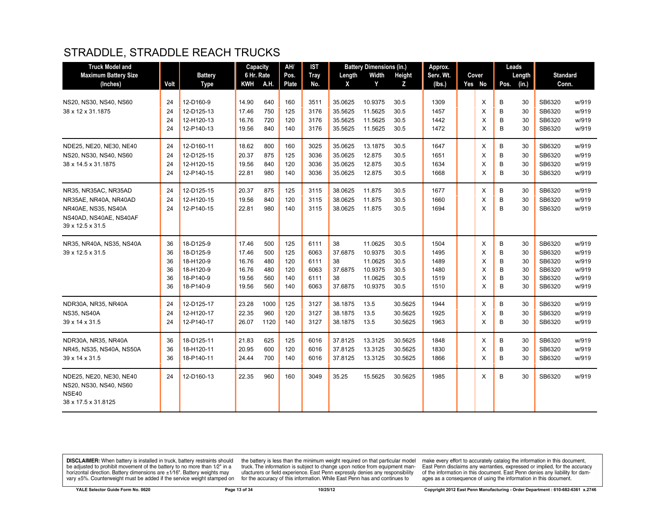## STRADDLE, STRADDLE REACH TRUCKS

| <b>Truck Model and</b>                     |      |                | Capacity   |      | AH/          | <b>IST</b>  |         | <b>Battery Dimensions (in.)</b> |         | Approx.   |        |      | Leads  |                 |       |
|--------------------------------------------|------|----------------|------------|------|--------------|-------------|---------|---------------------------------|---------|-----------|--------|------|--------|-----------------|-------|
| <b>Maximum Battery Size</b>                |      | <b>Battery</b> | 6 Hr. Rate |      | Pos.         | <b>Tray</b> | Length  | Width                           | Height  | Serv. Wt. | Cover  |      | Length | <b>Standard</b> |       |
| (Inches)                                   | Volt | <b>Type</b>    | <b>KWH</b> | A.H. | <b>Plate</b> | No.         | X       | Y                               | Z       | (lbs.)    | Yes No | Pos. | (in.)  | Conn.           |       |
| NS20, NS30, NS40, NS60                     | 24   | 12-D160-9      | 14.90      | 640  | 160          | 3511        | 35.0625 | 10.9375                         | 30.5    | 1309      | X      | B    | 30     | SB6320          | w/919 |
| 38 x 12 x 31.1875                          | 24   | 12-D125-13     | 17.46      | 750  | 125          | 3176        | 35.5625 | 11.5625                         | 30.5    | 1457      | X      | B    | 30     | SB6320          | w/919 |
|                                            | 24   | 12-H120-13     | 16.76      | 720  | 120          | 3176        | 35.5625 | 11.5625                         | 30.5    | 1442      | X      | B    | 30     | SB6320          | w/919 |
|                                            | 24   | 12-P140-13     | 19.56      | 840  | 140          | 3176        | 35.5625 | 11.5625                         | 30.5    | 1472      | X      | B    | 30     | SB6320          | w/919 |
| NDE25, NE20, NE30, NE40                    | 24   | 12-D160-11     | 18.62      | 800  | 160          | 3025        | 35.0625 | 13.1875                         | 30.5    | 1647      | X      | B    | 30     | SB6320          | w/919 |
| NS20, NS30, NS40, NS60                     | 24   | 12-D125-15     | 20.37      | 875  | 125          | 3036        | 35.0625 | 12.875                          | 30.5    | 1651      | X      | B    | 30     | SB6320          | w/919 |
| 38 x 14.5 x 31.1875                        | 24   | 12-H120-15     | 19.56      | 840  | 120          | 3036        | 35.0625 | 12.875                          | 30.5    | 1634      | X      | B    | 30     | SB6320          | w/919 |
|                                            | 24   | 12-P140-15     | 22.81      | 980  | 140          | 3036        | 35.0625 | 12.875                          | 30.5    | 1668      | X      | B    | 30     | SB6320          | w/919 |
| NR35, NR35AC, NR35AD                       | 24   | 12-D125-15     | 20.37      | 875  | 125          | 3115        | 38.0625 | 11.875                          | 30.5    | 1677      | X      | B    | 30     | SB6320          | w/919 |
| NR35AE, NR40A, NR40AD                      | 24   | 12-H120-15     | 19.56      | 840  | 120          | 3115        | 38.0625 | 11.875                          | 30.5    | 1660      | X      | B    | 30     | SB6320          | w/919 |
| NR40AE, NS35, NS40A                        | 24   | 12-P140-15     | 22.81      | 980  | 140          | 3115        | 38.0625 | 11.875                          | 30.5    | 1694      | X      | B    | 30     | SB6320          | w/919 |
| NS40AD, NS40AE, NS40AF<br>39 x 12.5 x 31.5 |      |                |            |      |              |             |         |                                 |         |           |        |      |        |                 |       |
| NR35, NR40A, NS35, NS40A                   | 36   | 18-D125-9      | 17.46      | 500  | 125          | 6111        | 38      | 11.0625                         | 30.5    | 1504      | X      | В    | 30     | SB6320          | w/919 |
| 39 x 12.5 x 31.5                           | 36   | 18-D125-9      | 17.46      | 500  | 125          | 6063        | 37.6875 | 10.9375                         | 30.5    | 1495      | X      | B    | 30     | SB6320          | w/919 |
|                                            | 36   | 18-H120-9      | 16.76      | 480  | 120          | 6111        | 38      | 11.0625                         | 30.5    | 1489      | X      | B    | 30     | SB6320          | w/919 |
|                                            | 36   | 18-H120-9      | 16.76      | 480  | 120          | 6063        | 37.6875 | 10.9375                         | 30.5    | 1480      | X      | B    | 30     | SB6320          | w/919 |
|                                            | 36   | 18-P140-9      | 19.56      | 560  | 140          | 6111        | 38      | 11.0625                         | 30.5    | 1519      | X      | B    | 30     | SB6320          | w/919 |
|                                            | 36   | 18-P140-9      | 19.56      | 560  | 140          | 6063        | 37.6875 | 10.9375                         | 30.5    | 1510      | X      | B    | 30     | SB6320          | w/919 |
| NDR30A, NR35, NR40A                        | 24   | 12-D125-17     | 23.28      | 1000 | 125          | 3127        | 38.1875 | 13.5                            | 30.5625 | 1944      | X      | B    | 30     | SB6320          | w/919 |
| <b>NS35, NS40A</b>                         | 24   | 12-H120-17     | 22.35      | 960  | 120          | 3127        | 38.1875 | 13.5                            | 30.5625 | 1925      | X      | B    | 30     | SB6320          | w/919 |
| 39 x 14 x 31.5                             | 24   | 12-P140-17     | 26.07      | 1120 | 140          | 3127        | 38.1875 | 13.5                            | 30.5625 | 1963      | X      | B    | 30     | SB6320          | w/919 |
| NDR30A, NR35, NR40A                        | 36   | 18-D125-11     | 21.83      | 625  | 125          | 6016        | 37.8125 | 13.3125                         | 30.5625 | 1848      | X      | B    | 30     | SB6320          | w/919 |
| NR45, NS35, NS40A, NS50A                   | 36   | 18-H120-11     | 20.95      | 600  | 120          | 6016        | 37.8125 | 13.3125                         | 30.5625 | 1830      | X      | B    | 30     | SB6320          | w/919 |
| 39 x 14 x 31.5                             | 36   | 18-P140-11     | 24.44      | 700  | 140          | 6016        | 37.8125 | 13.3125                         | 30.5625 | 1866      | X      | B    | 30     | SB6320          | w/919 |
| NDE25, NE20, NE30, NE40                    | 24   | 12-D160-13     | 22.35      | 960  | 160          | 3049        | 35.25   | 15.5625                         | 30.5625 | 1985      | X      | B    | 30     | SB6320          | w/919 |
| NS20, NS30, NS40, NS60                     |      |                |            |      |              |             |         |                                 |         |           |        |      |        |                 |       |
| NSE40<br>38 x 17.5 x 31.8125               |      |                |            |      |              |             |         |                                 |         |           |        |      |        |                 |       |
|                                            |      |                |            |      |              |             |         |                                 |         |           |        |      |        |                 |       |

**DISCLAIMER:** When battery is installed in truck, battery restraints should be adjusted to prohibit movement of the battery to no more than  $1/2$ " in a horizontal direction. Battery dimensions are  $\pm 1/16$ ". Battery weig

the battery is less than the minimum weight required on that particular model<br>truck. The information is subject to change upon notice from equipment man-<br>ufacturers or field experience. East Penn expressly denies any respo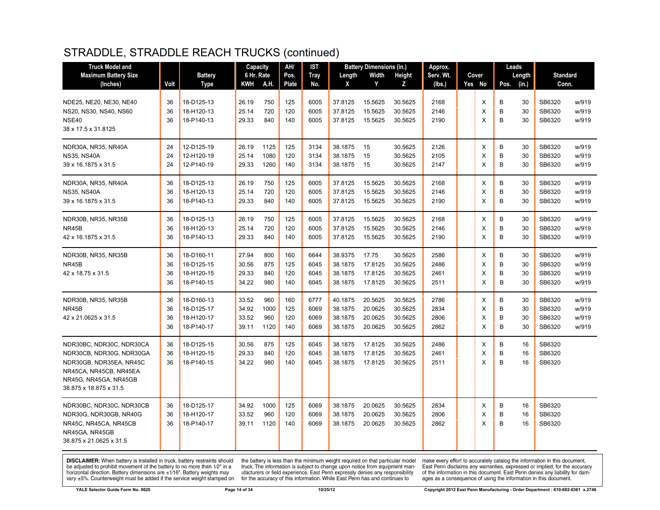| <b>Truck Model and</b>                          |      |                | Capacity   |      | AH/   | IST         |         | <b>Battery Dimensions (in.)</b> |         | Approx.   |        |      | Leads  |                 |       |
|-------------------------------------------------|------|----------------|------------|------|-------|-------------|---------|---------------------------------|---------|-----------|--------|------|--------|-----------------|-------|
| <b>Maximum Battery Size</b>                     |      | <b>Battery</b> | 6 Hr. Rate |      | Pos.  | <b>Tray</b> | Length  | Width                           | Height  | Serv. Wt. | Cover  |      | Length | <b>Standard</b> |       |
| (Inches)                                        | Volt | Type           | KWH        | A.H. | Plate | No.         | X       | Y                               | z       | (lbs.)    | Yes No | Pos. | (in.)  | Conn.           |       |
| NDE25, NE20, NE30, NE40                         | 36   | 18-D125-13     | 26.19      | 750  | 125   | 6005        | 37.8125 | 15.5625                         | 30.5625 | 2168      | Χ      | B    | 30     | SB6320          | w/919 |
| NS20, NS30, NS40, NS60                          | 36   | 18-H120-13     | 25.14      | 720  | 120   | 6005        | 37.8125 | 15.5625                         | 30.5625 | 2146      | X      | B    | 30     | SB6320          | w/919 |
| NSE40                                           | 36   | 18-P140-13     | 29.33      | 840  | 140   | 6005        | 37.8125 | 15.5625                         | 30.5625 | 2190      | X      | B    | 30     | SB6320          | w/919 |
| 38 x 17.5 x 31.8125                             |      |                |            |      |       |             |         |                                 |         |           |        |      |        |                 |       |
| NDR30A, NR35, NR40A                             | 24   | 12-D125-19     | 26.19      | 1125 | 125   | 3134        | 38.1875 | 15                              | 30.5625 | 2126      | X      | B    | 30     | SB6320          | w/919 |
| <b>NS35, NS40A</b>                              | 24   | 12-H120-19     | 25.14      | 1080 | 120   | 3134        | 38.1875 | 15                              | 30.5625 | 2105      | X      | B    | 30     | SB6320          | w/919 |
| 39 x 16.1875 x 31.5                             | 24   | 12-P140-19     | 29.33      | 1260 | 140   | 3134        | 38.1875 | 15                              | 30.5625 | 2147      | X      | B    | 30     | SB6320          | w/919 |
| NDR30A, NR35, NR40A                             | 36   | 18-D125-13     | 26.19      | 750  | 125   | 6005        | 37.8125 | 15.5625                         | 30.5625 | 2168      | X      | B    | 30     | SB6320          | w/919 |
| <b>NS35, NS40A</b>                              | 36   | 18-H120-13     | 25.14      | 720  | 120   | 6005        | 37.8125 | 15.5625                         | 30.5625 | 2146      | X      | B    | 30     | SB6320          | w/919 |
| 39 x 16.1875 x 31.5                             | 36   | 18-P140-13     | 29.33      | 840  | 140   | 6005        | 37.8125 | 15.5625                         | 30.5625 | 2190      | X      | B    | 30     | SB6320          | w/919 |
| NDR30B, NR35, NR35B                             | 36   | 18-D125-13     | 26.19      | 750  | 125   | 6005        | 37.8125 | 15.5625                         | 30.5625 | 2168      | X      | B    | 30     | SB6320          | w/919 |
| NR45B                                           | 36   | 18-H120-13     | 25.14      | 720  | 120   | 6005        | 37.8125 | 15.5625                         | 30.5625 | 2146      | X      | B    | 30     | SB6320          | w/919 |
| 42 x 16.1875 x 31.5                             | 36   | 18-P140-13     | 29.33      | 840  | 140   | 6005        | 37.8125 | 15.5625                         | 30.5625 | 2190      | X      | B    | 30     | SB6320          | w/919 |
| NDR30B, NR35, NR35B                             | 36   | 18-D160-11     | 27.94      | 800  | 160   | 6644        | 38.9375 | 17.75                           | 30.5625 | 2586      | X      | B    | 30     | SB6320          | w/919 |
| NR45B                                           | 36   | 18-D125-15     | 30.56      | 875  | 125   | 6045        | 38.1875 | 17.8125                         | 30.5625 | 2486      | X      | B    | 30     | SB6320          | w/919 |
| 42 x 18.75 x 31.5                               | 36   | 18-H120-15     | 29.33      | 840  | 120   | 6045        | 38.1875 | 17.8125                         | 30.5625 | 2461      | X      | B    | 30     | SB6320          | w/919 |
|                                                 | 36   | 18-P140-15     | 34.22      | 980  | 140   | 6045        | 38.1875 | 17.8125                         | 30.5625 | 2511      | X      | B    | 30     | SB6320          | w/919 |
| NDR30B, NR35, NR35B                             | 36   | 18-D160-13     | 33.52      | 960  | 160   | 6777        | 40.1875 | 20.5625                         | 30.5625 | 2786      | X      | B    | 30     | SB6320          | w/919 |
| NR45B                                           | 36   | 18-D125-17     | 34.92      | 1000 | 125   | 6069        | 38.1875 | 20.0625                         | 30.5625 | 2834      | X      | B    | 30     | SB6320          | w/919 |
| 42 x 21.0625 x 31.5                             | 36   | 18-H120-17     | 33.52      | 960  | 120   | 6069        | 38.1875 | 20.0625                         | 30.5625 | 2806      | X      | B    | 30     | SB6320          | w/919 |
|                                                 | 36   | 18-P140-17     | 39.11      | 1120 | 140   | 6069        | 38.1875 | 20.0625                         | 30.5625 | 2862      | X      | B    | 30     | SB6320          | w/919 |
| NDR30BC, NDR30C, NDR30CA                        | 36   | 18-D125-15     | 30.56      | 875  | 125   | 6045        | 38.1875 | 17.8125                         | 30.5625 | 2486      | X      | B    | 16     | SB6320          |       |
| NDR30CB, NDR30G, NDR30GA                        | 36   | 18-H120-15     | 29.33      | 840  | 120   | 6045        | 38.1875 | 17.8125                         | 30.5625 | 2461      | X      | B    | 16     | SB6320          |       |
| NDR30GB, NDR35EA, NR45C                         | 36   | 18-P140-15     | 34.22      | 980  | 140   | 6045        | 38.1875 | 17.8125                         | 30.5625 | 2511      | X      | B    | 16     | SB6320          |       |
| NR45CA, NR45CB, NR45EA                          |      |                |            |      |       |             |         |                                 |         |           |        |      |        |                 |       |
| NR45G, NR45GA, NR45GB<br>38.875 x 18.875 x 31.5 |      |                |            |      |       |             |         |                                 |         |           |        |      |        |                 |       |
|                                                 |      |                |            |      |       |             |         |                                 |         |           |        |      |        |                 |       |
| NDR30BC, NDR30C, NDR30CB                        | 36   | 18-D125-17     | 34.92      | 1000 | 125   | 6069        | 38.1875 | 20.0625                         | 30.5625 | 2834      | X      | B    | 16     | SB6320          |       |
| NDR30G, NDR30GB, NR40G                          | 36   | 18-H120-17     | 33.52      | 960  | 120   | 6069        | 38.1875 | 20.0625                         | 30.5625 | 2806      | X      | B    | 16     | SB6320          |       |
| NR45C, NR45CA, NR45CB                           | 36   | 18-P140-17     | 39.11      | 1120 | 140   | 6069        | 38.1875 | 20.0625                         | 30.5625 | 2862      | X      | B    | 16     | SB6320          |       |
| NR45GA, NR45GB<br>38.875 x 21.0625 x 31.5       |      |                |            |      |       |             |         |                                 |         |           |        |      |        |                 |       |
|                                                 |      |                |            |      |       |             |         |                                 |         |           |        |      |        |                 |       |

**DISCLAIMER:** When battery is installed in truck, battery restraints should be adjusted to prohibit movement of the battery to no more than  $1/2$ " in a horizontal direction. Battery dimensions are  $\pm 1/16$ ". Battery weig

the battery is less than the minimum weight required on that particular model<br>truck. The information is subject to change upon notice from equipment manufacturers or field experience. East Penn expressly denies any responsibility for the accuracy of this information. While East Penn has and continues to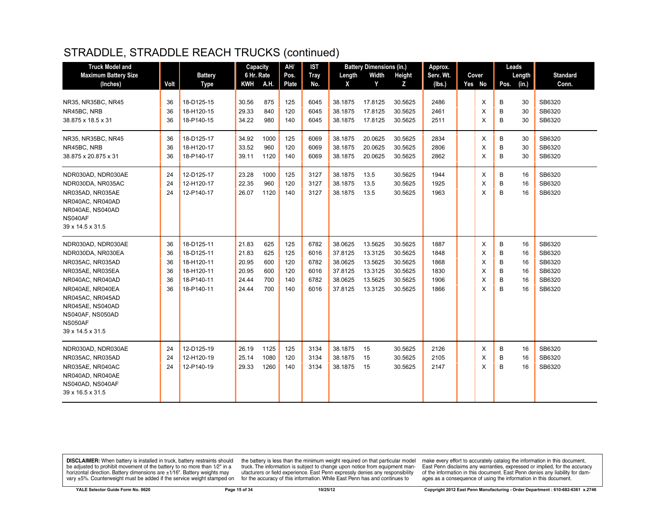| <b>Truck Model and</b>                                                                                                                                                                                                    |                                  |                                                                                  | Capacity                                           |                                        | AH/                                    | <b>IST</b>                                   |                                                                | <b>Battery Dimensions (in.)</b>                                |                                                                | Approx.                                      |                            | Leads                      |                                  |                                                          |
|---------------------------------------------------------------------------------------------------------------------------------------------------------------------------------------------------------------------------|----------------------------------|----------------------------------------------------------------------------------|----------------------------------------------------|----------------------------------------|----------------------------------------|----------------------------------------------|----------------------------------------------------------------|----------------------------------------------------------------|----------------------------------------------------------------|----------------------------------------------|----------------------------|----------------------------|----------------------------------|----------------------------------------------------------|
| <b>Maximum Battery Size</b><br>(Inches)                                                                                                                                                                                   | Volt                             | <b>Battery</b><br><b>Type</b>                                                    | 6 Hr. Rate<br><b>KWH</b>                           | A.H.                                   | Pos.<br>Plate                          | <b>Tray</b><br>No.                           | Length<br>X                                                    | Width<br>Y                                                     | <b>Height</b><br>Z                                             | Serv. Wt.<br>(lbs.)                          | Cover<br>Yes No            | Length<br>(in.)<br>Pos.    |                                  | <b>Standard</b><br>Conn.                                 |
| NR35, NR35BC, NR45<br>NR45BC, NRB<br>38.875 x 18.5 x 31                                                                                                                                                                   | 36<br>36<br>36                   | 18-D125-15<br>18-H120-15<br>18-P140-15                                           | 30.56<br>29.33<br>34.22                            | 875<br>840<br>980                      | 125<br>120<br>140                      | 6045<br>6045<br>6045                         | 38.1875<br>38.1875<br>38.1875                                  | 17.8125<br>17.8125<br>17.8125                                  | 30.5625<br>30.5625<br>30.5625                                  | 2486<br>2461<br>2511                         | Χ<br>X<br>X                | B<br>B<br>B                | 30<br>30<br>30                   | SB6320<br>SB6320<br>SB6320                               |
| NR35, NR35BC, NR45<br>NR45BC, NRB<br>38.875 x 20.875 x 31                                                                                                                                                                 | 36<br>36<br>36                   | 18-D125-17<br>18-H120-17<br>18-P140-17                                           | 34.92<br>33.52<br>39.11                            | 1000<br>960<br>1120                    | 125<br>120<br>140                      | 6069<br>6069<br>6069                         | 38.1875<br>38.1875<br>38.1875                                  | 20.0625<br>20.0625<br>20.0625                                  | 30.5625<br>30.5625<br>30.5625                                  | 2834<br>2806<br>2862                         | X<br>X<br>X                | B<br>B<br>B                | 30<br>30<br>30                   | SB6320<br>SB6320<br>SB6320                               |
| NDR030AD, NDR030AE<br>NDR030DA, NR035AC<br>NR035AD, NR035AE<br>NR040AC, NR040AD<br>NR040AE, NS040AD<br>NS040AF<br>39 x 14.5 x 31.5                                                                                        | 24<br>24<br>24                   | 12-D125-17<br>12-H120-17<br>12-P140-17                                           | 23.28<br>22.35<br>26.07                            | 1000<br>960<br>1120                    | 125<br>120<br>140                      | 3127<br>3127<br>3127                         | 38.1875<br>38.1875<br>38.1875                                  | 13.5<br>13.5<br>13.5                                           | 30.5625<br>30.5625<br>30.5625                                  | 1944<br>1925<br>1963                         | X<br>X<br>X                | B<br>B<br>B                | 16<br>16<br>16                   | SB6320<br>SB6320<br>SB6320                               |
| NDR030AD, NDR030AE<br>NDR030DA, NR030EA<br>NR035AC, NR035AD<br>NR035AE, NR035EA<br>NR040AC, NR040AD<br>NR040AE, NR040EA<br>NR045AC, NR045AD<br>NR045AE, NS040AD<br>NS040AF, NS050AD<br><b>NS050AF</b><br>39 x 14.5 x 31.5 | 36<br>36<br>36<br>36<br>36<br>36 | 18-D125-11<br>18-D125-11<br>18-H120-11<br>18-H120-11<br>18-P140-11<br>18-P140-11 | 21.83<br>21.83<br>20.95<br>20.95<br>24.44<br>24.44 | 625<br>625<br>600<br>600<br>700<br>700 | 125<br>125<br>120<br>120<br>140<br>140 | 6782<br>6016<br>6782<br>6016<br>6782<br>6016 | 38.0625<br>37.8125<br>38.0625<br>37.8125<br>38.0625<br>37.8125 | 13.5625<br>13.3125<br>13.5625<br>13.3125<br>13.5625<br>13.3125 | 30.5625<br>30.5625<br>30.5625<br>30.5625<br>30.5625<br>30.5625 | 1887<br>1848<br>1868<br>1830<br>1906<br>1866 | X<br>X<br>X<br>X<br>X<br>X | B<br>B<br>B<br>B<br>B<br>B | 16<br>16<br>16<br>16<br>16<br>16 | SB6320<br>SB6320<br>SB6320<br>SB6320<br>SB6320<br>SB6320 |
| NDR030AD, NDR030AE<br>NR035AC, NR035AD<br>NR035AE, NR040AC<br>NR040AD, NR040AE<br>NS040AD, NS040AF<br>39 x 16.5 x 31.5                                                                                                    | 24<br>24<br>24                   | 12-D125-19<br>12-H120-19<br>12-P140-19                                           | 26.19<br>25.14<br>29.33                            | 1125<br>1080<br>1260                   | 125<br>120<br>140                      | 3134<br>3134<br>3134                         | 38.1875<br>38.1875<br>38.1875                                  | 15<br>15<br>15                                                 | 30.5625<br>30.5625<br>30.5625                                  | 2126<br>2105<br>2147                         | Х<br>X<br>X                | B<br>B<br>B                | 16<br>16<br>16                   | SB6320<br>SB6320<br>SB6320                               |

**DISCLAIMER:** When battery is installed in truck, battery restraints should be adjusted to prohibit movement of the battery to no more than  $1/2$ " in a horizontal direction. Battery dimensions are  $\pm 1/16$ ". Battery weig

the battery is less than the minimum weight required on that particular model<br>truck. The information is subject to change upon notice from equipment manufacturers or field experience. East Penn expressly denies any responsibility for the accuracy of this information. While East Penn has and continues to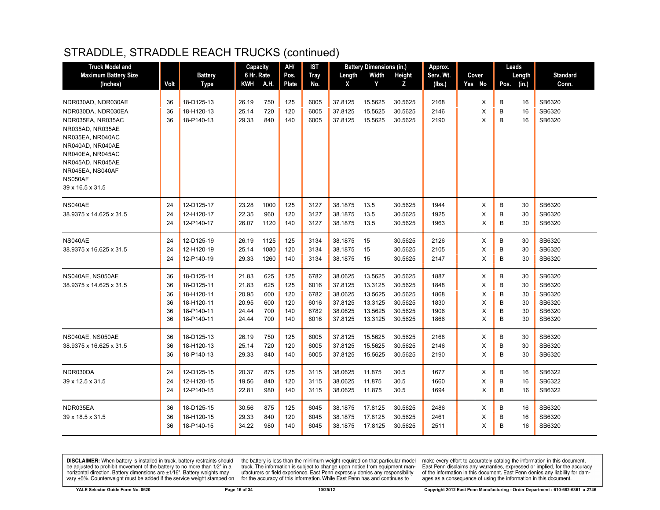| <b>Truck Model and</b>                                                                                                                                                                |                                  |                                                                                  | Capacity                                           |                                        | AH/                                    | IST                                          |                                                                | <b>Battery Dimensions (in.)</b>                                |                                                                | Approx.                                      |                            | Leads                      |                                  |                                                          |
|---------------------------------------------------------------------------------------------------------------------------------------------------------------------------------------|----------------------------------|----------------------------------------------------------------------------------|----------------------------------------------------|----------------------------------------|----------------------------------------|----------------------------------------------|----------------------------------------------------------------|----------------------------------------------------------------|----------------------------------------------------------------|----------------------------------------------|----------------------------|----------------------------|----------------------------------|----------------------------------------------------------|
| <b>Maximum Battery Size</b>                                                                                                                                                           |                                  | <b>Battery</b>                                                                   | 6 Hr. Rate                                         |                                        | Pos.                                   | <b>Tray</b>                                  | Length                                                         | Width                                                          | <b>Height</b>                                                  | Serv. Wt.                                    | Cover                      |                            | Length                           | <b>Standard</b>                                          |
| (Inches)                                                                                                                                                                              | Volt                             | Type                                                                             | <b>KWH</b>                                         | A.H.                                   | <b>Plate</b>                           | No.                                          | X                                                              | Y                                                              | z                                                              | (Ibs.)                                       | Yes No                     | Pos.                       | (in.)                            | Conn.                                                    |
| NDR030AD, NDR030AE<br>NDR030DA, NDR030EA<br>NDR035EA, NR035AC<br>NR035AD. NR035AE<br>NR035EA, NR040AC<br>NR040AD, NR040AE<br>NR040EA, NR045AC<br>NR045AD, NR045AE<br>NR045EA, NS040AF | 36<br>36<br>36                   | 18-D125-13<br>18-H120-13<br>18-P140-13                                           | 26.19<br>25.14<br>29.33                            | 750<br>720<br>840                      | 125<br>120<br>140                      | 6005<br>6005<br>6005                         | 37.8125<br>37.8125<br>37.8125                                  | 15.5625<br>15.5625<br>15.5625                                  | 30.5625<br>30.5625<br>30.5625                                  | 2168<br>2146<br>2190                         | X<br>X<br>X                | B<br>B<br>B                | 16<br>16<br>16                   | SB6320<br>SB6320<br>SB6320                               |
| NS050AF<br>39 x 16.5 x 31.5                                                                                                                                                           |                                  |                                                                                  |                                                    |                                        |                                        |                                              |                                                                |                                                                |                                                                |                                              |                            |                            |                                  |                                                          |
| NS040AE<br>38.9375 x 14.625 x 31.5                                                                                                                                                    | 24<br>24<br>24                   | 12-D125-17<br>12-H120-17<br>12-P140-17                                           | 23.28<br>22.35<br>26.07                            | 1000<br>960<br>1120                    | 125<br>120<br>140                      | 3127<br>3127<br>3127                         | 38.1875<br>38.1875<br>38.1875                                  | 13.5<br>13.5<br>13.5                                           | 30.5625<br>30.5625<br>30.5625                                  | 1944<br>1925<br>1963                         | Х<br>X<br>X                | В<br>B<br>B                | 30<br>30<br>30                   | SB6320<br>SB6320<br>SB6320                               |
| NS040AE<br>38.9375 x 16.625 x 31.5                                                                                                                                                    | 24<br>24<br>24                   | 12-D125-19<br>12-H120-19<br>12-P140-19                                           | 26.19<br>25.14<br>29.33                            | 1125<br>1080<br>1260                   | 125<br>120<br>140                      | 3134<br>3134<br>3134                         | 38.1875<br>38.1875<br>38.1875                                  | 15<br>15<br>15                                                 | 30.5625<br>30.5625<br>30.5625                                  | 2126<br>2105<br>2147                         | X<br>X<br>X                | B<br>B<br>B                | 30<br>30<br>30                   | SB6320<br>SB6320<br>SB6320                               |
| NS040AE, NS050AE<br>38.9375 x 14.625 x 31.5                                                                                                                                           | 36<br>36<br>36<br>36<br>36<br>36 | 18-D125-11<br>18-D125-11<br>18-H120-11<br>18-H120-11<br>18-P140-11<br>18-P140-11 | 21.83<br>21.83<br>20.95<br>20.95<br>24.44<br>24.44 | 625<br>625<br>600<br>600<br>700<br>700 | 125<br>125<br>120<br>120<br>140<br>140 | 6782<br>6016<br>6782<br>6016<br>6782<br>6016 | 38.0625<br>37.8125<br>38.0625<br>37.8125<br>38.0625<br>37.8125 | 13.5625<br>13.3125<br>13.5625<br>13.3125<br>13.5625<br>13.3125 | 30.5625<br>30.5625<br>30.5625<br>30.5625<br>30.5625<br>30.5625 | 1887<br>1848<br>1868<br>1830<br>1906<br>1866 | X<br>X<br>X<br>X<br>Х<br>X | В<br>B<br>B<br>B<br>B<br>B | 30<br>30<br>30<br>30<br>30<br>30 | SB6320<br>SB6320<br>SB6320<br>SB6320<br>SB6320<br>SB6320 |
| NS040AE, NS050AE<br>38.9375 x 16.625 x 31.5                                                                                                                                           | 36<br>36<br>36                   | 18-D125-13<br>18-H120-13<br>18-P140-13                                           | 26.19<br>25.14<br>29.33                            | 750<br>720<br>840                      | 125<br>120<br>140                      | 6005<br>6005<br>6005                         | 37.8125<br>37.8125<br>37.8125                                  | 15.5625<br>15.5625<br>15.5625                                  | 30.5625<br>30.5625<br>30.5625                                  | 2168<br>2146<br>2190                         | Х<br>X<br>X                | B<br>B<br>B                | 30<br>30<br>30                   | SB6320<br>SB6320<br>SB6320                               |
| NDR030DA<br>39 x 12.5 x 31.5                                                                                                                                                          | 24<br>24<br>24                   | 12-D125-15<br>12-H120-15<br>12-P140-15                                           | 20.37<br>19.56<br>22.81                            | 875<br>840<br>980                      | 125<br>120<br>140                      | 3115<br>3115<br>3115                         | 38.0625<br>38.0625<br>38.0625                                  | 11.875<br>11.875<br>11.875                                     | 30.5<br>30.5<br>30.5                                           | 1677<br>1660<br>1694                         | Х<br>X<br>X                | В<br>B<br>B                | 16<br>16<br>16                   | SB6322<br>SB6322<br>SB6322                               |
| NDR035EA<br>39 x 18.5 x 31.5                                                                                                                                                          | 36<br>36<br>36                   | 18-D125-15<br>18-H120-15<br>18-P140-15                                           | 30.56<br>29.33<br>34.22                            | 875<br>840<br>980                      | 125<br>120<br>140                      | 6045<br>6045<br>6045                         | 38.1875<br>38.1875<br>38.1875                                  | 17.8125<br>17.8125<br>17.8125                                  | 30.5625<br>30.5625<br>30.5625                                  | 2486<br>2461<br>2511                         | Х<br>X<br>Х                | В<br>B<br>B                | 16<br>16<br>16                   | SB6320<br>SB6320<br>SB6320                               |

**DISCLAIMER:** When battery is installed in truck, battery restraints should be adjusted to prohibit movement of the battery to no more than  $1/2$ " in a horizontal direction. Battery dimensions are  $\pm 1/16$ ". Battery weig

the battery is less than the minimum weight required on that particular model<br>truck. The information is subject to change upon notice from equipment manufacturers or field experience. East Penn expressly denies any responsibility for the accuracy of this information. While East Penn has and continues to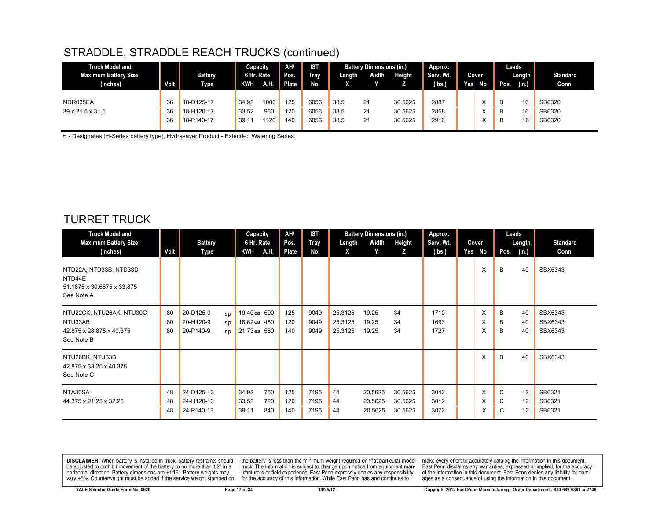| <b>Truck Model and</b><br><b>Maximum Battery Size</b><br>(Inches) | Volt     | <b>Battery</b><br><b>Type</b> | Capacity<br>6 Hr. Rate<br><b>KWH</b> | AH.         | AH/<br>Pos.<br><b>Plate</b> | <b>IST</b><br><b>Tray</b><br>No. | Length       | <b>Battery Dimensions (in.)</b><br>Width | Height             | Approx.<br>Serv. Wt.<br>(lbs.) | Yes | Cover<br>No       | Pos.   | Leads<br>Length<br>(in.) | <b>Standard</b><br>Conn. |
|-------------------------------------------------------------------|----------|-------------------------------|--------------------------------------|-------------|-----------------------------|----------------------------------|--------------|------------------------------------------|--------------------|--------------------------------|-----|-------------------|--------|--------------------------|--------------------------|
| NDR035EA                                                          | 36       | 18-D125-17                    | 34.92                                | 1000        | 125                         | 6056                             | 38.5         | 21                                       | 30.5625            | 2887                           |     |                   | B      | 16                       | SB6320                   |
| $39 \times 21.5 \times 31.5$                                      | 36<br>36 | 18-H120-17<br>18-P140-17      | 33.52<br>39.11                       | 960<br>1120 | 120<br>140                  | 6056<br>6056                     | 38.5<br>38.5 | 21<br>21                                 | 30.5625<br>30.5625 | 2858<br>2916                   |     | ∧<br>$\checkmark$ | в<br>в | 16<br>16                 | SB6320<br>SB6320         |

H - Designates (H-Series battery type), Hydrasaver Product - Extended Watering Series.

#### TURRET TRUCK

| <b>Truck Model and</b><br><b>Maximum Battery Size</b>                                    |                | <b>Battery</b>                                        | Capacity<br>6 Hr. Rate                       | AH/<br>Pos.       | <b>IST</b><br><b>Tray</b> | Length                        | <b>Battery Dimensions (in.)</b><br>Width | Height                        | Approx.<br>Serv. Wt. | Cover       | Leads       | Length         | <b>Standard</b>               |
|------------------------------------------------------------------------------------------|----------------|-------------------------------------------------------|----------------------------------------------|-------------------|---------------------------|-------------------------------|------------------------------------------|-------------------------------|----------------------|-------------|-------------|----------------|-------------------------------|
| (Inches)<br>NTD22A, NTD33B, NTD33D<br>NTD44E<br>51.1875 x 30.6875 x 33.875<br>See Note A | Volt           | Type                                                  | <b>KWH</b><br>A.H.                           | Plate             | No.                       | X                             | Y                                        | z                             | (lbs.)               | Yes No<br>X | Pos.<br>B   | (in.)<br>40    | Conn.<br>SBX6343              |
| NTU22CK, NTU26AK, NTU30C<br>NTU33AB<br>42.875 x 28.875 x 40.375<br>See Note B            | 80<br>80<br>80 | 20-D125-9<br>SD<br>20-H120-9<br>SD<br>20-P140-9<br>SD | 19.40 ea 500<br>18.62 ea 480<br>21.73 ea 560 | 125<br>120<br>140 | 9049<br>9049<br>9049      | 25.3125<br>25.3125<br>25.3125 | 19.25<br>19.25<br>19.25                  | 34<br>34<br>34                | 1710<br>1693<br>1727 | X<br>X<br>х | B<br>B<br>B | 40<br>40<br>40 | SBX6343<br>SBX6343<br>SBX6343 |
| NTU26BK, NTU33B<br>42.875 x 33.25 x 40.375<br>See Note C                                 |                |                                                       |                                              |                   |                           |                               |                                          |                               |                      | X           | B           | 40             | SBX6343                       |
| NTA30SA<br>44.375 x 21.25 x 32.25                                                        | 48<br>48<br>48 | 24-D125-13<br>24-H120-13<br>24-P140-13                | 750<br>34.92<br>33.52<br>720<br>39.11<br>840 | 125<br>120<br>140 | 7195<br>7195<br>7195      | 44<br>44<br>44                | 20.5625<br>20.5625<br>20.5625            | 30.5625<br>30.5625<br>30.5625 | 3042<br>3012<br>3072 | X<br>X<br>X | C<br>C<br>C | 12<br>12<br>12 | SB6321<br>SB6321<br>SB6321    |

**DISCLAIMER:** When battery is installed in truck, battery restraints should be adjusted to prohibit movement of the battery to no more than  $1/2$ " in a horizontal direction. Battery dimensions are  $\pm 1/16$ ". Battery weig

the battery is less than the minimum weight required on that particular model<br>truck. The information is subject to change upon notice from equipment manufacturers or field experience. East Penn expressly denies any responsibility for the accuracy of this information. While East Penn has and continues to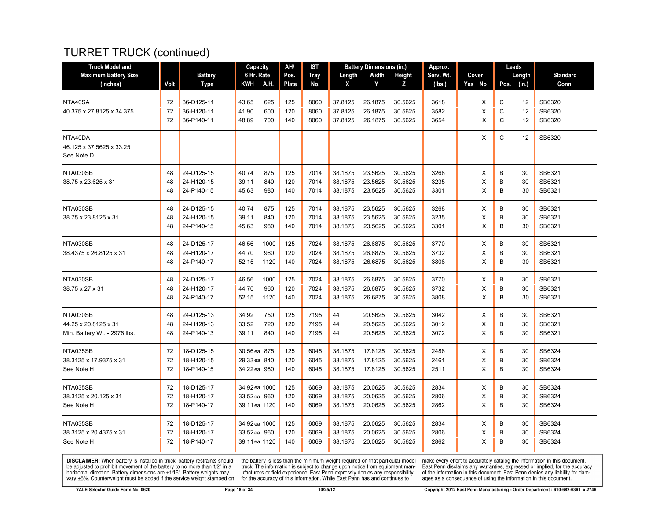# TURRET TRUCK (continued)

| <b>Truck Model and</b>                 |      |                | <b>Capacity</b> |      | AH/   | IST         |         | <b>Battery Dimensions (in.)</b> |         | Approx.   |        |              | Leads  |                 |
|----------------------------------------|------|----------------|-----------------|------|-------|-------------|---------|---------------------------------|---------|-----------|--------|--------------|--------|-----------------|
| <b>Maximum Battery Size</b>            |      | <b>Battery</b> | 6 Hr. Rate      |      | Pos.  | <b>Tray</b> | Length  | Width                           | Height  | Serv. Wt. | Cover  |              | Length | <b>Standard</b> |
| (Inches)                               | Volt | <b>Type</b>    | KWH             | A.H. | Plate | No.         | X       | Y                               | Z       | (lbs.)    | Yes No | Pos.         | (in.)  | Conn.           |
| NTA40SA                                | 72   | 36-D125-11     | 43.65           | 625  | 125   | 8060        | 37.8125 | 26.1875                         | 30.5625 | 3618      | Х      | С            | 12     | SB6320          |
| 40.375 x 27.8125 x 34.375              | 72   | 36-H120-11     | 41.90           | 600  | 120   | 8060        | 37.8125 | 26.1875                         | 30.5625 | 3582      | X      | C            | 12     | SB6320          |
|                                        | 72   | 36-P140-11     | 48.89           | 700  | 140   | 8060        | 37.8125 | 26.1875                         | 30.5625 | 3654      | X      | $\mathsf{C}$ | 12     | SB6320          |
| NTA40DA                                |      |                |                 |      |       |             |         |                                 |         |           | X      | C            | 12     | SB6320          |
| 46.125 x 37.5625 x 33.25<br>See Note D |      |                |                 |      |       |             |         |                                 |         |           |        |              |        |                 |
| NTA030SB                               | 48   | 24-D125-15     | 40.74           | 875  | 125   | 7014        | 38.1875 | 23.5625                         | 30.5625 | 3268      | X      | B            | 30     | SB6321          |
| 38.75 x 23.625 x 31                    | 48   | 24-H120-15     | 39.11           | 840  | 120   | 7014        | 38.1875 | 23.5625                         | 30.5625 | 3235      | X      | B            | 30     | SB6321          |
|                                        | 48   | 24-P140-15     | 45.63           | 980  | 140   | 7014        | 38.1875 | 23.5625                         | 30.5625 | 3301      | X      | B            | 30     | SB6321          |
| NTA030SB                               | 48   | 24-D125-15     | 40.74           | 875  | 125   | 7014        | 38.1875 | 23.5625                         | 30.5625 | 3268      | X      | B            | 30     | SB6321          |
| 38.75 x 23.8125 x 31                   | 48   | 24-H120-15     | 39.11           | 840  | 120   | 7014        | 38.1875 | 23.5625                         | 30.5625 | 3235      | X      | B            | 30     | SB6321          |
|                                        | 48   | 24-P140-15     | 45.63           | 980  | 140   | 7014        | 38.1875 | 23.5625                         | 30.5625 | 3301      | X      | B            | 30     | SB6321          |
| NTA030SB                               | 48   | 24-D125-17     | 46.56           | 1000 | 125   | 7024        | 38.1875 | 26.6875                         | 30.5625 | 3770      | х      | В            | 30     | SB6321          |
| 38.4375 x 26.8125 x 31                 | 48   | 24-H120-17     | 44.70           | 960  | 120   | 7024        | 38.1875 | 26.6875                         | 30.5625 | 3732      | X      | B            | 30     | SB6321          |
|                                        | 48   | 24-P140-17     | 52.15           | 1120 | 140   | 7024        | 38.1875 | 26.6875                         | 30.5625 | 3808      | X      | B            | 30     | SB6321          |
| NTA030SB                               | 48   | 24-D125-17     | 46.56           | 1000 | 125   | 7024        | 38.1875 | 26.6875                         | 30.5625 | 3770      | X      | B            | 30     | SB6321          |
| 38.75 x 27 x 31                        | 48   | 24-H120-17     | 44.70           | 960  | 120   | 7024        | 38.1875 | 26.6875                         | 30.5625 | 3732      | X      | B            | 30     | SB6321          |
|                                        | 48   | 24-P140-17     | 52.15           | 1120 | 140   | 7024        | 38.1875 | 26.6875                         | 30.5625 | 3808      | X      | B            | 30     | SB6321          |
| NTA030SB                               | 48   | 24-D125-13     | 34.92           | 750  | 125   | 7195        | 44      | 20.5625                         | 30.5625 | 3042      | X      | B            | 30     | SB6321          |
| 44.25 x 20.8125 x 31                   | 48   | 24-H120-13     | 33.52           | 720  | 120   | 7195        | 44      | 20.5625                         | 30.5625 | 3012      | X      | B            | 30     | SB6321          |
| Min. Battery Wt. - 2976 lbs.           | 48   | 24-P140-13     | 39.11           | 840  | 140   | 7195        | 44      | 20.5625                         | 30.5625 | 3072      | X      | B            | 30     | SB6321          |
| NTA035SB                               | 72   | 18-D125-15     | 30.56 ea 875    |      | 125   | 6045        | 38.1875 | 17.8125                         | 30.5625 | 2486      | х      | B            | 30     | SB6324          |
| 38.3125 x 17.9375 x 31                 | 72   | 18-H120-15     | 29.33 ea 840    |      | 120   | 6045        | 38.1875 | 17.8125                         | 30.5625 | 2461      | X      | B            | 30     | SB6324          |
| See Note H                             | 72   | 18-P140-15     | 34.22 ea 980    |      | 140   | 6045        | 38.1875 | 17.8125                         | 30.5625 | 2511      | X      | B            | 30     | SB6324          |
| NTA035SB                               | 72   | 18-D125-17     | 34.92 ea 1000   |      | 125   | 6069        | 38.1875 | 20.0625                         | 30.5625 | 2834      | Х      | B            | 30     | SB6324          |
| 38.3125 x 20.125 x 31                  | 72   | 18-H120-17     | 33.52 ea 960    |      | 120   | 6069        | 38.1875 | 20.0625                         | 30.5625 | 2806      | X      | B            | 30     | SB6324          |
| See Note H                             | 72   | 18-P140-17     | 39.11 ea 1120   |      | 140   | 6069        | 38.1875 | 20.0625                         | 30.5625 | 2862      | X      | B            | 30     | SB6324          |
| NTA035SB                               | 72   | 18-D125-17     | 34.92 ea 1000   |      | 125   | 6069        | 38.1875 | 20.0625                         | 30.5625 | 2834      | х      | B            | 30     | SB6324          |
| 38.3125 x 20.4375 x 31                 | 72   | 18-H120-17     | 33.52 ea 960    |      | 120   | 6069        | 38.1875 | 20.0625                         | 30.5625 | 2806      | X      | B            | 30     | SB6324          |
| See Note H                             | 72   | 18-P140-17     | 39.11 ea 1120   |      | 140   | 6069        | 38.1875 | 20.0625                         | 30.5625 | 2862      | X      | B            | 30     | SB6324          |

**DISCLAIMER:** When battery is installed in truck, battery restraints should be adjusted to prohibit movement of the battery to no more than  $1/2$ " in a horizontal direction. Battery dimensions are  $\pm 1/16$ ". Battery weig

the battery is less than the minimum weight required on that particular model<br>truck. The information is subject to change upon notice from equipment man-<br>ufacturers or field experience. East Penn expressly denies any respo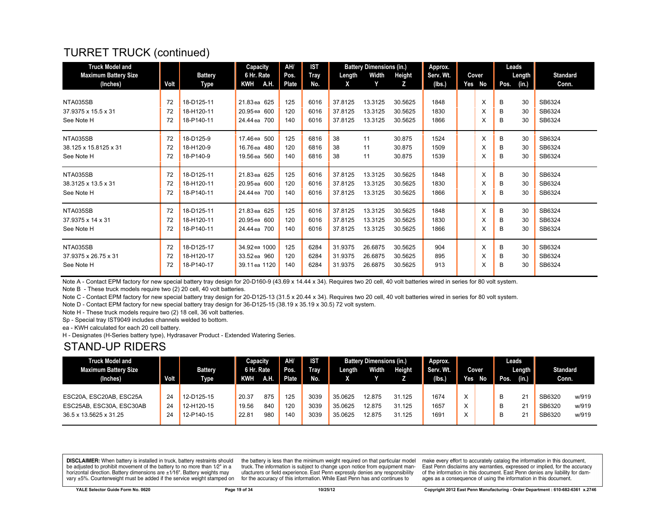# TURRET TRUCK (continued)

| <b>Truck Model and</b><br><b>Maximum Battery Size</b> |      | <b>Battery</b> | Capacity<br>6 Hr. Rate | AH/<br>Pos. | <b>IST</b><br><b>Tray</b> | Length  | <b>Battery Dimensions (in.)</b><br>Width | Height  | Approx.<br>Serv. Wt. |     | Cover |      | Leads<br>Length | <b>Standard</b> |
|-------------------------------------------------------|------|----------------|------------------------|-------------|---------------------------|---------|------------------------------------------|---------|----------------------|-----|-------|------|-----------------|-----------------|
| (Inches)                                              | Volt | Type           | <b>KWH</b><br>A.H.     | Plate       | No.                       | X       | Y                                        | z       | (Ibs.)               | Yes | No    | Pos. | (in.)           | Conn.           |
| NTA035SB                                              | 72   | 18-D125-11     | 21.83 ea 625           | 125         | 6016                      | 37.8125 | 13.3125                                  | 30.5625 | 1848                 |     | X     |      | 30              | SB6324          |
|                                                       |      |                |                        |             |                           |         |                                          |         |                      |     |       | В    |                 |                 |
| 37.9375 x 15.5 x 31                                   | 72   | 18-H120-11     | 20.95 ea 600           | 120         | 6016                      | 37.8125 | 13.3125                                  | 30.5625 | 1830                 |     | X     | B    | 30              | SB6324          |
| See Note H                                            | 72   | 18-P140-11     | 24.44 ea 700           | 140         | 6016                      | 37.8125 | 13.3125                                  | 30.5625 | 1866                 |     | X     | B    | 30              | SB6324          |
| NTA035SB                                              | 72   | 18-D125-9      | 17.46 ea 500           | 125         | 6816                      | 38      | 11                                       | 30.875  | 1524                 |     | X     | B    | 30              | SB6324          |
| 38.125 x 15.8125 x 31                                 | 72   | 18-H120-9      | 16.76 ea 480           | 120         | 6816                      | 38      | 11                                       | 30.875  | 1509                 |     | X     | B    | 30              | SB6324          |
| See Note H                                            | 72   | 18-P140-9      | 19.56 ea 560           | 140         | 6816                      | 38      | 11                                       | 30.875  | 1539                 |     | X     | B    | 30              | SB6324          |
| NTA035SB                                              | 72   | 18-D125-11     | 21.83 ea 625           | 125         | 6016                      | 37.8125 | 13.3125                                  | 30.5625 | 1848                 |     | X     | B    | 30              | SB6324          |
| 38.3125 x 13.5 x 31                                   | 72   | 18-H120-11     | 20.95 ea 600           | 120         | 6016                      | 37.8125 | 13.3125                                  | 30.5625 | 1830                 |     | X     | В    | 30              | SB6324          |
| See Note H                                            | 72   | 18-P140-11     | 24,44 ea 700           | 140         | 6016                      | 37.8125 | 13.3125                                  | 30.5625 | 1866                 |     | X     | B    | 30              | SB6324          |
| NTA035SB                                              | 72   | 18-D125-11     | 21.83 ea 625           | 125         | 6016                      | 37.8125 | 13.3125                                  | 30.5625 | 1848                 |     | X     | B    | 30              | SB6324          |
| 37.9375 x 14 x 31                                     | 72   | 18-H120-11     | 20.95 ea 600           | 120         | 6016                      | 37.8125 | 13.3125                                  | 30.5625 | 1830                 |     | X     | B    | 30              | SB6324          |
| See Note H                                            | 72   | 18-P140-11     | 24,44 ea 700           | 140         | 6016                      | 37.8125 | 13.3125                                  | 30.5625 | 1866                 |     | X     | в    | 30              | SB6324          |
| NTA035SB                                              | 72   | 18-D125-17     | 34.92 ea 1000          | 125         | 6284                      | 31.9375 | 26.6875                                  | 30.5625 | 904                  |     | X     | B    | 30              | SB6324          |
| 37.9375 x 26.75 x 31                                  | 72   | 18-H120-17     | 33.52 ea 960           | 120         | 6284                      | 31.9375 | 26.6875                                  | 30.5625 | 895                  |     | X     | В    | 30              | SB6324          |
| See Note H                                            | 72   | 18-P140-17     | 39.11 ea 1120          | 140         | 6284                      | 31.9375 | 26.6875                                  | 30.5625 | 913                  |     | X     | B    | 30              | SB6324          |

Note A - Contact EPM factory for new special battery tray design for 20-D160-9 (43.69 x 14.44 x 34). Requires two 20 cell, 40 volt batteries wired in series for 80 volt system.

Note B - These truck models require two (2) 20 cell, 40 volt batteries.

Note C - Contact EPM factory for new special battery tray design for 20-D125-13 (31.5 x 20.44 x 34). Requires two 20 cell, 40 volt batteries wired in series for 80 volt system.

Note D - Contact EPM factory for new special battery tray design for 36-D125-15 (38.19 x 35.19 x 30.5) 72 volt system.

Note H - These truck models require two (2) 18 cell, 36 volt batteries.

Sp - Special tray IST9049 includes channels welded to bottom.

ea - KWH calculated for each 20 cell battery.

H - Designates (H-Series battery type), Hydrasaver Product - Extended Watering Series.

#### STAND-UP RIDERS

| <b>Truck Model and</b>   |             |                | Capacity   |     | AH/          | <b>IST</b>  |         | <b>Battery Dimensions (in.)</b> |               | Approx.   |              |       |      | Leads  |                 |       |
|--------------------------|-------------|----------------|------------|-----|--------------|-------------|---------|---------------------------------|---------------|-----------|--------------|-------|------|--------|-----------------|-------|
| Maximum Battery Size     |             | <b>Battery</b> | 6 Hr. Rate |     | Pos.         | <b>Tray</b> | Length  | Width                           | <b>Height</b> | Serv. Wt. |              | Cover |      | Length | <b>Standard</b> |       |
| (Inches)                 | <b>Volt</b> | Type           | KWH        | AH. | <b>Plate</b> | No.         |         |                                 |               | (lbs.)    | Yes          | No    | Pos. | (in.)  | Conn.           |       |
|                          |             |                |            |     |              |             |         |                                 |               |           |              |       |      |        |                 |       |
| ESC20A, ESC20AB, ESC25A  | 24          | 12-D125-15     | 20.37      | 875 | 125          | 3039        | 35.0625 | 12.875                          | 31.125        | 1674      | X            |       | В    | 21     | SB6320          | w/919 |
| ESC25AB, ESC30A, ESC30AB | 24          | 12-H120-15     | 19.56      | 840 | 120          | 3039        | 35.0625 | 12.875                          | 31.125        | 1657      | X            |       |      | 21     | SB6320          | w/919 |
| 36.5 x 13.5625 x 31.25   | 24          | 12-P140-15     | 22.81      | 980 | 140          | 3039        | 35.0625 | 12.875                          | 31.125        | 1691      | $\checkmark$ |       | B    | 21     | SB6320          | w/919 |

**DISCLAIMER:** When battery is installed in truck, battery restraints should be adjusted to prohibit movement of the battery to no more than 1/2" in a horizontal direction. Battery dimensions are  $\pm 1/16$ ". Battery weights may vary ±5%. Counterweight must be added if the service weight stamped on

the battery is less than the minimum weight required on that particular model truck. The information is subject to change upon notice from equipment manufacturers or field experience. East Penn expressly denies any responsibility for the accuracy of this information. While East Penn has and continues to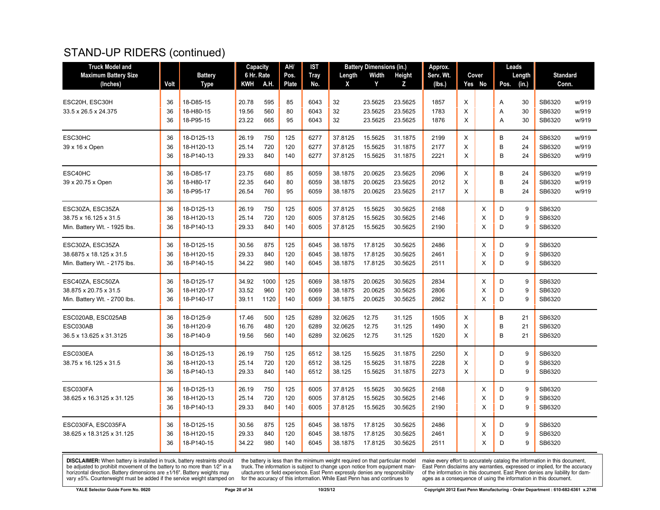#### STAND-UP RIDERS (continued)

| <b>Truck Model and</b>                  |      |                               | <b>Capacity</b>   |      | AH/           | <b>IST</b>         |             | <b>Battery Dimensions (in.)</b> |             | Approx.             |          |                 |      | Leads           |                          |       |
|-----------------------------------------|------|-------------------------------|-------------------|------|---------------|--------------------|-------------|---------------------------------|-------------|---------------------|----------|-----------------|------|-----------------|--------------------------|-------|
| <b>Maximum Battery Size</b><br>(Inches) | Volt | <b>Battery</b><br><b>Type</b> | 6 Hr. Rate<br>KWH | A.H. | Pos.<br>Plate | <b>Tray</b><br>No. | Length<br>X | Width<br>Y                      | Height<br>Z | Serv. Wt.<br>(lbs.) |          | Cover<br>Yes No | Pos. | Length<br>(in.) | <b>Standard</b><br>Conn. |       |
|                                         |      |                               |                   |      |               |                    |             |                                 |             |                     |          |                 |      |                 |                          |       |
| ESC20H, ESC30H                          | 36   | 18-D85-15                     | 20.78             | 595  | 85            | 6043               | 32          | 23.5625                         | 23.5625     | 1857                | X        |                 | Α    | 30              | SB6320                   | w/919 |
| 33.5 x 26.5 x 24.375                    | 36   | 18-H80-15                     | 19.56             | 560  | 80            | 6043               | 32          | 23.5625                         | 23.5625     | 1783                | X        |                 | Α    | 30              | SB6320                   | w/919 |
|                                         | 36   | 18-P95-15                     | 23.22             | 665  | 95            | 6043               | 32          | 23.5625                         | 23.5625     | 1876                | X        |                 | A    | 30              | SB6320                   | w/919 |
| ESC30HC                                 | 36   | 18-D125-13                    | 26.19             | 750  | 125           | 6277               | 37.8125     | 15.5625                         | 31.1875     | 2199                | X        |                 | B    | 24              | SB6320                   | w/919 |
| 39 x 16 x Open                          | 36   | 18-H120-13                    | 25.14             | 720  | 120           | 6277               | 37.8125     | 15.5625                         | 31.1875     | 2177                | X        |                 | B    | 24              | SB6320                   | w/919 |
|                                         | 36   | 18-P140-13                    | 29.33             | 840  | 140           | 6277               | 37.8125     | 15.5625                         | 31.1875     | 2221                | Χ        |                 | B    | 24              | SB6320                   | w/919 |
| ESC40HC                                 | 36   | 18-D85-17                     | 23.75             | 680  | 85            | 6059               | 38.1875     | 20.0625                         | 23.5625     | 2096                | X        |                 | B    | 24              | SB6320                   | w/919 |
| 39 x 20.75 x Open                       | 36   | 18-H80-17                     | 22.35             | 640  | 80            | 6059               | 38.1875     | 20.0625                         | 23.5625     | 2012                | X        |                 | B    | 24              | SB6320                   | w/919 |
|                                         | 36   | 18-P95-17                     | 26.54             | 760  | 95            | 6059               | 38.1875     | 20.0625                         | 23.5625     | 2117                | X        |                 | B    | 24              | SB6320                   | w/919 |
| ESC30ZA, ESC35ZA                        | 36   | 18-D125-13                    | 26.19             | 750  | 125           | 6005               | 37.8125     | 15.5625                         | 30.5625     | 2168                |          | X               | D    | 9               | SB6320                   |       |
| 38.75 x 16.125 x 31.5                   | 36   | 18-H120-13                    | 25.14             | 720  | 120           | 6005               | 37.8125     | 15.5625                         | 30.5625     | 2146                |          | X               | D    | 9               | SB6320                   |       |
| Min. Battery Wt. - 1925 lbs.            | 36   | 18-P140-13                    | 29.33             | 840  | 140           | 6005               | 37.8125     | 15.5625                         | 30.5625     | 2190                |          | X               | D    | 9               | SB6320                   |       |
| ESC30ZA, ESC35ZA                        | 36   | 18-D125-15                    | 30.56             | 875  | 125           | 6045               | 38.1875     | 17.8125                         | 30.5625     | 2486                |          | X               | D    | 9               | SB6320                   |       |
| 38.6875 x 18.125 x 31.5                 | 36   | 18-H120-15                    | 29.33             | 840  | 120           | 6045               | 38.1875     | 17.8125                         | 30.5625     | 2461                |          | X               | D    | 9               | SB6320                   |       |
| Min. Battery Wt. - 2175 lbs.            | 36   | 18-P140-15                    | 34.22             | 980  | 140           | 6045               | 38.1875     | 17.8125                         | 30.5625     | 2511                |          | X               | D    | 9               | SB6320                   |       |
| ESC40ZA, ESC50ZA                        | 36   | 18-D125-17                    | 34.92             | 1000 | 125           | 6069               | 38.1875     | 20.0625                         | 30.5625     | 2834                |          | Χ               | D    | 9               | SB6320                   |       |
| 38.875 x 20.75 x 31.5                   | 36   | 18-H120-17                    | 33.52             | 960  | 120           | 6069               | 38.1875     | 20.0625                         | 30.5625     | 2806                |          | X               | D    | 9               | SB6320                   |       |
| Min. Battery Wt. - 2700 lbs.            | 36   | 18-P140-17                    | 39.11             | 1120 | 140           | 6069               | 38.1875     | 20.0625                         | 30.5625     | 2862                |          | X               | D    | 9               | SB6320                   |       |
| ESC020AB, ESC025AB                      | 36   | 18-D125-9                     | 17.46             | 500  | 125           | 6289               | 32.0625     | 12.75                           | 31.125      | 1505                | Χ        |                 | В    | 21              | SB6320                   |       |
| ESC030AB                                | 36   | 18-H120-9                     | 16.76             | 480  | 120           | 6289               | 32.0625     | 12.75                           | 31.125      | 1490                | X        |                 | B    | 21              | SB6320                   |       |
| 36.5 x 13.625 x 31.3125                 | 36   | 18-P140-9                     | 19.56             | 560  | 140           | 6289               | 32.0625     | 12.75                           | 31.125      | 1520                | X        |                 | B    | 21              | SB6320                   |       |
| ESC030EA                                | 36   | 18-D125-13                    | 26.19             | 750  | 125           | 6512               | 38.125      | 15.5625                         | 31.1875     | 2250                | X        |                 | D    | 9               | SB6320                   |       |
| 38.75 x 16.125 x 31.5                   | 36   | 18-H120-13                    | 25.14             | 720  | 120           | 6512               | 38.125      | 15.5625                         | 31.1875     | 2228                | $\times$ |                 | D    | 9               | SB6320                   |       |
|                                         | 36   | 18-P140-13                    | 29.33             | 840  | 140           | 6512               | 38.125      | 15.5625                         | 31.1875     | 2273                | X        |                 | D    | 9               | SB6320                   |       |
| ESC030FA                                | 36   | 18-D125-13                    | 26.19             | 750  | 125           | 6005               | 37.8125     | 15.5625                         | 30.5625     | 2168                |          | Χ               | D    | 9               | SB6320                   |       |
| 38.625 x 16.3125 x 31.125               | 36   | 18-H120-13                    | 25.14             | 720  | 120           | 6005               | 37.8125     | 15.5625                         | 30.5625     | 2146                |          | X               | D    | 9               | SB6320                   |       |
|                                         | 36   | 18-P140-13                    | 29.33             | 840  | 140           | 6005               | 37.8125     | 15.5625                         | 30.5625     | 2190                |          | $\times$        | D    | 9               | SB6320                   |       |
| ESC030FA, ESC035FA                      | 36   | 18-D125-15                    | 30.56             | 875  | 125           | 6045               | 38.1875     | 17.8125                         | 30.5625     | 2486                |          | Χ               | D    | 9               | SB6320                   |       |
| 38.625 x 18.3125 x 31.125               | 36   | 18-H120-15                    | 29.33             | 840  | 120           | 6045               | 38.1875     | 17.8125                         | 30.5625     | 2461                |          | X               | D    | 9               | SB6320                   |       |
|                                         | 36   | 18-P140-15                    | 34.22             | 980  | 140           | 6045               | 38.1875     | 17.8125                         | 30.5625     | 2511                |          | X               | D    | 9               | SB6320                   |       |

**DISCLAIMER:** When battery is installed in truck, battery restraints should be adjusted to prohibit movement of the battery to no more than  $1/2$ " in a horizontal direction. Battery dimensions are  $\pm 1/16$ ". Battery weig

the battery is less than the minimum weight required on that particular model<br>truck. The information is subject to change upon notice from equipment man-<br>ufacturers or field experience. East Penn expressly denies any respo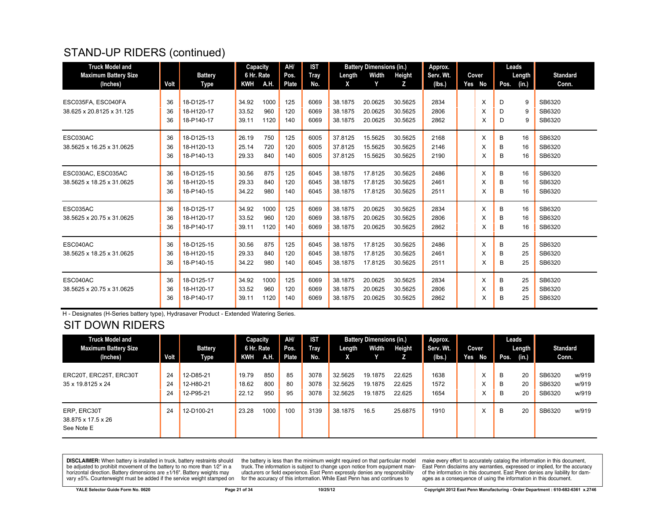# STAND-UP RIDERS (continued)

| <b>Truck Model and</b>      |      |                | Capacity   |      | AH/   | <b>IST</b>  |         | <b>Battery Dimensions (in.)</b> |         | Approx.   |        | Leads |        |                 |
|-----------------------------|------|----------------|------------|------|-------|-------------|---------|---------------------------------|---------|-----------|--------|-------|--------|-----------------|
| <b>Maximum Battery Size</b> |      | <b>Battery</b> | 6 Hr. Rate |      | Pos.  | <b>Tray</b> | Length  | Width                           | Height  | Serv. Wt. | Cover  |       | Length | <b>Standard</b> |
| (Inches)                    | Volt | Type           | KWH        | A.H. | Plate | No.         | x       | Y                               | z       | (lbs.)    | Yes No | Pos.  | (in.)  | Conn.           |
|                             |      |                |            |      |       |             |         |                                 |         |           |        |       |        |                 |
| ESC035FA, ESC040FA          | 36   | 18-D125-17     | 34.92      | 1000 | 125   | 6069        | 38.1875 | 20.0625                         | 30.5625 | 2834      | X      | D     | 9      | SB6320          |
| 38.625 x 20.8125 x 31.125   | 36   | 18-H120-17     | 33.52      | 960  | 120   | 6069        | 38.1875 | 20.0625                         | 30.5625 | 2806      | X      | D     | 9      | SB6320          |
|                             | 36   | 18-P140-17     | 39.11      | 1120 | 140   | 6069        | 38.1875 | 20.0625                         | 30.5625 | 2862      | X      | D     | 9      | SB6320          |
| ESC030AC                    | 36   | 18-D125-13     | 26.19      | 750  | 125   | 6005        | 37.8125 | 15.5625                         | 30.5625 | 2168      | X      | В     | 16     | SB6320          |
| 38.5625 x 16.25 x 31.0625   | 36   | 18-H120-13     | 25.14      | 720  | 120   | 6005        | 37.8125 | 15.5625                         | 30.5625 | 2146      | X      | в     | 16     | SB6320          |
|                             | 36   | 18-P140-13     | 29.33      | 840  | 140   | 6005        | 37.8125 | 15.5625                         | 30.5625 | 2190      | X      | B     | 16     | SB6320          |
| ESC030AC, ESC035AC          | 36   | 18-D125-15     | 30.56      | 875  | 125   | 6045        | 38.1875 | 17.8125                         | 30.5625 | 2486      | X      | B     | 16     | SB6320          |
| 38.5625 x 18.25 x 31.0625   | 36   | 18-H120-15     | 29.33      | 840  | 120   | 6045        | 38.1875 | 17.8125                         | 30.5625 | 2461      | X      | B     | 16     | SB6320          |
|                             | 36   | 18-P140-15     | 34.22      | 980  | 140   | 6045        | 38.1875 | 17.8125                         | 30.5625 | 2511      | X      | B     | 16     | SB6320          |
|                             |      |                |            |      |       |             |         |                                 |         |           |        |       |        |                 |
| ESC035AC                    | 36   | 18-D125-17     | 34.92      | 1000 | 125   | 6069        | 38.1875 | 20.0625                         | 30.5625 | 2834      | X      | B     | 16     | SB6320          |
| 38.5625 x 20.75 x 31.0625   | 36   | 18-H120-17     | 33.52      | 960  | 120   | 6069        | 38.1875 | 20.0625                         | 30.5625 | 2806      | X      | B     | 16     | SB6320          |
|                             | 36   | 18-P140-17     | 39.11      | 1120 | 140   | 6069        | 38.1875 | 20.0625                         | 30.5625 | 2862      | X      | B     | 16     | SB6320          |
| ESC040AC                    | 36   | 18-D125-15     | 30.56      | 875  | 125   | 6045        | 38.1875 | 17.8125                         | 30.5625 | 2486      | X      | B     | 25     | SB6320          |
| 38.5625 x 18.25 x 31.0625   | 36   | 18-H120-15     | 29.33      | 840  | 120   | 6045        | 38.1875 | 17.8125                         | 30.5625 | 2461      | X      | B     | 25     | SB6320          |
|                             | 36   | 18-P140-15     | 34.22      | 980  | 140   | 6045        | 38.1875 | 17.8125                         | 30.5625 | 2511      | X      | в     | 25     | SB6320          |
|                             |      |                |            |      |       |             |         |                                 |         |           |        |       |        |                 |
| ESC040AC                    | 36   | 18-D125-17     | 34.92      | 1000 | 125   | 6069        | 38.1875 | 20.0625                         | 30.5625 | 2834      | X      | B     | 25     | SB6320          |
| 38.5625 x 20.75 x 31.0625   | 36   | 18-H120-17     | 33.52      | 960  | 120   | 6069        | 38.1875 | 20.0625                         | 30.5625 | 2806      | X      | в     | 25     | SB6320          |
|                             | 36   | 18-P140-17     | 39.11      | 1120 | 140   | 6069        | 38.1875 | 20.0625                         | 30.5625 | 2862      | X      | B     | 25     | SB6320          |

H - Designates (H-Series battery type), Hydrasaver Product - Extended Watering Series.

# SIT DOWN RIDERS

| <b>Truck Model and</b><br><b>Maximum Battery Size</b> |                | <b>Battery</b>                      | Capacity<br>6 Hr. Rate  |                   | AH/<br>Pos.    | <b>IST</b><br>Tray   | Length                        | <b>Battery Dimensions (in.)</b><br>Width | Height                     | Approx.<br>Serv. Wt. |     | Cover  |             | Leads<br>Length | <b>Standard</b>            |                         |
|-------------------------------------------------------|----------------|-------------------------------------|-------------------------|-------------------|----------------|----------------------|-------------------------------|------------------------------------------|----------------------------|----------------------|-----|--------|-------------|-----------------|----------------------------|-------------------------|
| (Inches)                                              | Volt           | Type                                | KWH                     | <b>A.H.</b>       | Plate          | No.                  | X.                            |                                          |                            | (lbs.)               | Yes | No     | Pos.        | (in.)           | Conn.                      |                         |
| ERC20T, ERC25T, ERC30T<br>35 x 19.8125 x 24           | 24<br>24<br>24 | 12-D85-21<br>12-H80-21<br>12-P95-21 | 19.79<br>18.62<br>22.12 | 850<br>800<br>950 | 85<br>80<br>95 | 3078<br>3078<br>3078 | 32.5625<br>32.5625<br>32.5625 | 19.1875<br>19.1875<br>19.1875            | 22.625<br>22.625<br>22.625 | 1638<br>1572<br>1654 |     | ㅅ<br>ㅅ | B<br>B<br>B | 20<br>20<br>20  | SB6320<br>SB6320<br>SB6320 | w/919<br>w/919<br>w/919 |
| ERP, ERC30T<br>38.875 x 17.5 x 26<br>See Note E       | 24             | 12-D100-21                          | 23.28                   | 1000              | 100            | 3139                 | 38.1875                       | 16.5                                     | 25.6875                    | 1910                 |     |        | B           | 20              | SB6320                     | w/919                   |

**DISCLAIMER:** When battery is installed in truck, battery restraints should be adjusted to prohibit movement of the battery to no more than  $1/2$ " in a horizontal direction. Battery dimensions are  $\pm 1/16$ ". Battery weig

the battery is less than the minimum weight required on that particular model<br>truck. The information is subject to change upon notice from equipment manufacturers or field experience. East Penn expressly denies any responsibility for the accuracy of this information. While East Penn has and continues to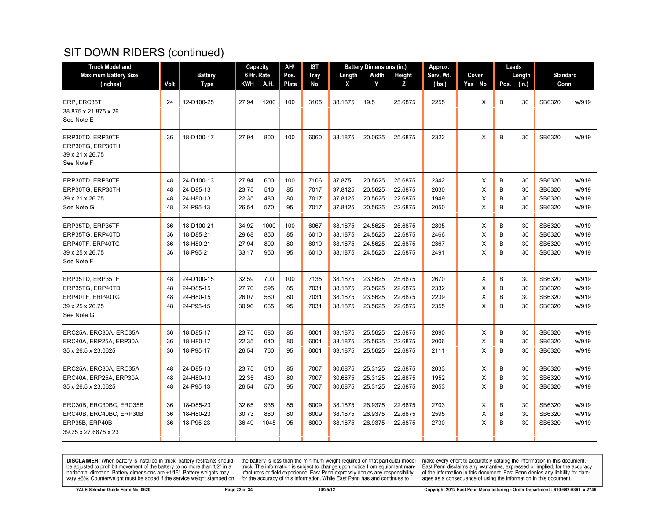| <b>Truck Model and</b>                                                                       |                      |                                                   | Capacity                         |                           | AH/                   | <b>IST</b>                   |                                          | <b>Battery Dimensions (in.)</b>          |                                          | Approx.                      |                  |                  | Leads                |                                      |                                  |
|----------------------------------------------------------------------------------------------|----------------------|---------------------------------------------------|----------------------------------|---------------------------|-----------------------|------------------------------|------------------------------------------|------------------------------------------|------------------------------------------|------------------------------|------------------|------------------|----------------------|--------------------------------------|----------------------------------|
| <b>Maximum Battery Size</b>                                                                  |                      | <b>Battery</b>                                    | 6 Hr. Rate                       | A.H                       | Pos.                  | <b>Tray</b>                  | Length                                   | Width<br>Y                               | Height                                   | Serv. Wt.                    | Cover            |                  | Length               | <b>Standard</b><br>Conn.             |                                  |
| (Inches)                                                                                     | Volt                 | <b>Type</b>                                       | KWH                              |                           | Plate                 | No.                          | Χ                                        |                                          | z                                        | (lbs.)                       | Yes No           | Pos.             | (in.)                |                                      |                                  |
| ERP, ERC35T<br>38.875 x 21.875 x 26<br>See Note E                                            | 24                   | 12-D100-25                                        | 27.94                            | 1200                      | 100                   | 3105                         | 38.1875                                  | 19.5                                     | 25.6875                                  | 2255                         | X                | B                | 30                   | SB6320                               | w/919                            |
| ERP30TD, ERP30TF<br>ERP30TG, ERP30TH<br>39 x 21 x 26.75<br>See Note F                        | 36                   | 18-D100-17                                        | 27.94                            | 800                       | 100                   | 6060                         | 38.1875                                  | 20.0625                                  | 25.6875                                  | 2322                         | X                | B                | 30                   | SB6320                               | w/919                            |
| ERP30TD, ERP30TF<br>ERP30TG, ERP30TH<br>39 x 21 x 26.75<br>See Note G                        | 48<br>48<br>48<br>48 | 24-D100-13<br>24-D85-13<br>24-H80-13<br>24-P95-13 | 27.94<br>23.75<br>22.35<br>26.54 | 600<br>510<br>480<br>570  | 100<br>85<br>80<br>95 | 7106<br>7017<br>7017<br>7017 | 37.875<br>37.8125<br>37.8125<br>37.8125  | 20.5625<br>20.5625<br>20.5625<br>20.5625 | 25.6875<br>22.6875<br>22.6875<br>22.6875 | 2342<br>2030<br>1949<br>2050 | X<br>X<br>X<br>X | B<br>B<br>B<br>B | 30<br>30<br>30<br>30 | SB6320<br>SB6320<br>SB6320<br>SB6320 | w/919<br>w/919<br>w/919<br>w/919 |
| ERP35TD, ERP35TF<br>ERP35TG, ERP40TD<br>ERP40TF, ERP40TG<br>39 x 25 x 26.75<br>See Note F    | 36<br>36<br>36<br>36 | 18-D100-21<br>18-D85-21<br>18-H80-21<br>18-P95-21 | 34.92<br>29.68<br>27.94<br>33.17 | 1000<br>850<br>800<br>950 | 100<br>85<br>80<br>95 | 6067<br>6010<br>6010<br>6010 | 38.1875<br>38.1875<br>38.1875<br>38.1875 | 24.5625<br>24.5625<br>24.5625<br>24.5625 | 25.6875<br>22.6875<br>22.6875<br>22.6875 | 2805<br>2466<br>2367<br>2491 | X<br>X<br>X<br>X | B<br>B<br>B<br>B | 30<br>30<br>30<br>30 | SB6320<br>SB6320<br>SB6320<br>SB6320 | w/919<br>w/919<br>w/919<br>w/919 |
| ERP35TD, ERP35TF<br>ERP35TG, ERP40TD<br>ERP40TF, ERP40TG<br>39 x 25 x 26.75<br>See Note G    | 48<br>48<br>48<br>48 | 24-D100-15<br>24-D85-15<br>24-H80-15<br>24-P95-15 | 32.59<br>27.70<br>26.07<br>30.96 | 700<br>595<br>560<br>665  | 100<br>85<br>80<br>95 | 7135<br>7031<br>7031<br>7031 | 38.1875<br>38.1875<br>38.1875<br>38.1875 | 23.5625<br>23.5625<br>23.5625<br>23.5625 | 25.6875<br>22.6875<br>22.6875<br>22.6875 | 2670<br>2332<br>2239<br>2355 | X<br>X<br>X<br>X | B<br>B<br>B<br>B | 30<br>30<br>30<br>30 | SB6320<br>SB6320<br>SB6320<br>SB6320 | w/919<br>w/919<br>w/919<br>w/919 |
| ERC25A, ERC30A, ERC35A<br>ERC40A, ERP25A, ERP30A<br>35 x 26.5 x 23.0625                      | 36<br>36<br>36       | 18-D85-17<br>18-H80-17<br>18-P95-17               | 23.75<br>22.35<br>26.54          | 680<br>640<br>760         | 85<br>80<br>95        | 6001<br>6001<br>6001         | 33.1875<br>33.1875<br>33.1875            | 25.5625<br>25.5625<br>25.5625            | 22.6875<br>22.6875<br>22.6875            | 2090<br>2006<br>2111         | X<br>X<br>X      | B<br>B<br>B      | 30<br>30<br>30       | SB6320<br>SB6320<br>SB6320           | w/919<br>w/919<br>w/919          |
| ERC25A, ERC30A, ERC35A<br>ERC40A, ERP25A, ERP30A<br>35 x 26.5 x 23.0625                      | 48<br>48<br>48       | 24-D85-13<br>24-H80-13<br>24-P95-13               | 23.75<br>22.35<br>26.54          | 510<br>480<br>570         | 85<br>80<br>95        | 7007<br>7007<br>7007         | 30.6875<br>30.6875<br>30.6875            | 25.3125<br>25.3125<br>25.3125            | 22.6875<br>22.6875<br>22.6875            | 2033<br>1952<br>2053         | X<br>X<br>X      | B<br>B<br>B      | 30<br>30<br>30       | SB6320<br>SB6320<br>SB6320           | w/919<br>w/919<br>w/919          |
| ERC30B, ERC30BC, ERC35B<br>ERC40B, ERC40BC, ERP30B<br>ERP35B, ERP40B<br>39.25 x 27.6875 x 23 | 36<br>36<br>36       | 18-D85-23<br>18-H80-23<br>18-P95-23               | 32.65<br>30.73<br>36.49          | 935<br>880<br>1045        | 85<br>80<br>95        | 6009<br>6009<br>6009         | 38.1875<br>38.1875<br>38.1875            | 26.9375<br>26.9375<br>26.9375            | 22.6875<br>22.6875<br>22.6875            | 2703<br>2595<br>2730         | X<br>X<br>X      | B<br>B<br>B      | 30<br>30<br>30       | SB6320<br>SB6320<br>SB6320           | w/919<br>w/919<br>w/919          |

**DISCLAIMER:** When battery is installed in truck, battery restraints should be adjusted to prohibit movement of the battery to no more than  $1/2$ " in a horizontal direction. Battery dimensions are  $\pm 1/16$ ". Battery weig

the battery is less than the minimum weight required on that particular model<br>truck. The information is subject to change upon notice from equipment man-<br>ufacturers or field experience. East Penn expressly denies any respo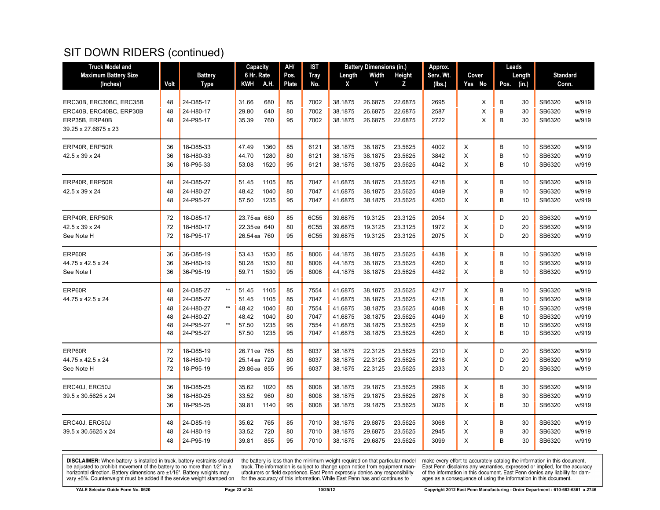| <b>Truck Model and</b>      |      |                              | Capacity     |      | AH/   | <b>IST</b>  |         | <b>Battery Dimensions (in.)</b> |         | Approx.   |   |        |      | Leads  |                 |       |
|-----------------------------|------|------------------------------|--------------|------|-------|-------------|---------|---------------------------------|---------|-----------|---|--------|------|--------|-----------------|-------|
| <b>Maximum Battery Size</b> |      | <b>Battery</b>               | 6 Hr. Rate   |      | Pos.  | <b>Tray</b> | Length  | Width                           | Height  | Serv. Wt. |   | Cover  |      | Length | <b>Standard</b> |       |
| (Inches)                    | Volt | Type                         | <b>KWH</b>   | A.H. | Plate | No.         | χ       | Y                               | Z       | (lbs.)    |   | Yes No | Pos. | (in.)  | Conn.           |       |
|                             |      |                              |              |      |       |             |         |                                 |         |           |   |        |      |        |                 |       |
| ERC30B, ERC30BC, ERC35B     | 48   | 24-D85-17                    | 31.66        | 680  | 85    | 7002        | 38.1875 | 26.6875                         | 22.6875 | 2695      |   | X      | B    | 30     | SB6320          | w/919 |
| ERC40B, ERC40BC, ERP30B     | 48   | 24-H80-17                    | 29.80        | 640  | 80    | 7002        | 38.1875 | 26.6875                         | 22.6875 | 2587      |   | X      | B    | 30     | SB6320          | w/919 |
| ERP35B, ERP40B              | 48   | 24-P95-17                    | 35.39        | 760  | 95    | 7002        | 38.1875 | 26.6875                         | 22.6875 | 2722      |   | X      | B    | 30     | SB6320          | w/919 |
| 39.25 x 27.6875 x 23        |      |                              |              |      |       |             |         |                                 |         |           |   |        |      |        |                 |       |
| ERP40R, ERP50R              | 36   | 18-D85-33                    | 47.49        | 1360 | 85    | 6121        | 38.1875 | 38.1875                         | 23.5625 | 4002      | X |        | B    | 10     | SB6320          | w/919 |
| 42.5 x 39 x 24              | 36   | 18-H80-33                    | 44.70        | 1280 | 80    | 6121        | 38.1875 | 38.1875                         | 23.5625 | 3842      | X |        | B    | 10     | SB6320          | w/919 |
|                             | 36   | 18-P95-33                    | 53.08        | 1520 | 95    | 6121        | 38.1875 | 38.1875                         | 23.5625 | 4042      | X |        | B    | 10     | SB6320          | w/919 |
|                             |      |                              |              |      |       |             |         |                                 |         |           |   |        |      |        |                 |       |
| ERP40R, ERP50R              | 48   | 24-D85-27                    | 51.45        | 1105 | 85    | 7047        | 41.6875 | 38.1875                         | 23.5625 | 4218      | X |        | B    | 10     | SB6320          | w/919 |
| 42.5 x 39 x 24              | 48   | 24-H80-27                    | 48.42        | 1040 | 80    | 7047        | 41.6875 | 38.1875                         | 23.5625 | 4049      | X |        | B    | 10     | SB6320          | w/919 |
|                             | 48   | 24-P95-27                    | 57.50        | 1235 | 95    | 7047        | 41.6875 | 38.1875                         | 23.5625 | 4260      | X |        | B    | 10     | SB6320          | w/919 |
| ERP40R, ERP50R              | 72   | 18-D85-17                    | 23.75 ea 680 |      | 85    | 6C55        | 39.6875 | 19.3125                         | 23.3125 | 2054      | X |        | D    | 20     | SB6320          | w/919 |
| 42.5 x 39 x 24              | 72   | 18-H80-17                    | 22.35 ea 640 |      | 80    | 6C55        | 39.6875 | 19.3125                         | 23.3125 | 1972      | X |        | D    | 20     | SB6320          | w/919 |
| See Note H                  | 72   | 18-P95-17                    | 26.54 ea 760 |      | 95    | 6C55        | 39.6875 | 19.3125                         | 23.3125 | 2075      | X |        | D    | 20     | SB6320          | w/919 |
|                             |      |                              |              |      |       |             |         |                                 |         |           |   |        |      |        |                 |       |
| ERP60R                      | 36   | 36-D85-19                    | 53.43        | 1530 | 85    | 8006        | 44.1875 | 38.1875                         | 23.5625 | 4438      | X |        | B    | 10     | SB6320          | w/919 |
| 44.75 x 42.5 x 24           | 36   | 36-H80-19                    | 50.28        | 1530 | 80    | 8006        | 44.1875 | 38.1875                         | 23.5625 | 4260      | X |        | B    | 10     | SB6320          | w/919 |
| See Note I                  | 36   | 36-P95-19                    | 59.71        | 1530 | 95    | 8006        | 44.1875 | 38.1875                         | 23.5625 | 4482      | X |        | B    | 10     | SB6320          | w/919 |
| ERP60R                      | 48   | $^{\star\star}$<br>24-D85-27 | 51.45        | 1105 | 85    | 7554        | 41.6875 | 38.1875                         | 23.5625 | 4217      | X |        | B    | 10     | SB6320          | w/919 |
| 44.75 x 42.5 x 24           | 48   | 24-D85-27                    | 51.45        | 1105 | 85    | 7047        | 41.6875 | 38.1875                         | 23.5625 | 4218      | X |        | B    | 10     | SB6320          | w/919 |
|                             | 48   | $^{\star\star}$<br>24-H80-27 | 48.42        | 1040 | 80    | 7554        | 41.6875 | 38.1875                         | 23.5625 | 4048      | X |        | B    | 10     | SB6320          | w/919 |
|                             | 48   | 24-H80-27                    | 48.42        | 1040 | 80    | 7047        | 41.6875 | 38.1875                         | 23.5625 | 4049      | X |        | B    | 10     | SB6320          | w/919 |
|                             | 48   | $\star\star$<br>24-P95-27    | 57.50        | 1235 | 95    | 7554        | 41.6875 | 38.1875                         | 23.5625 | 4259      | X |        | B    | 10     | SB6320          | w/919 |
|                             | 48   | 24-P95-27                    | 57.50        | 1235 | 95    | 7047        | 41.6875 | 38.1875                         | 23.5625 | 4260      | X |        | B    | 10     | SB6320          | w/919 |
| ERP60R                      | 72   | 18-D85-19                    | 26.71 ea 765 |      | 85    | 6037        | 38.1875 | 22.3125                         | 23.5625 | 2310      | X |        | D    | 20     | SB6320          | w/919 |
| 44.75 x 42.5 x 24           | 72   | 18-H80-19                    | 25.14 ea 720 |      | 80    | 6037        | 38.1875 | 22.3125                         | 23.5625 | 2218      | X |        | D    | 20     | SB6320          | w/919 |
| See Note H                  | 72   | 18-P95-19                    | 29.86 ea 855 |      | 95    | 6037        | 38.1875 | 22.3125                         | 23.5625 | 2333      | X |        | D    | 20     | SB6320          | w/919 |
|                             |      |                              |              |      |       |             |         |                                 |         |           |   |        |      |        |                 |       |
| ERC40J, ERC50J              | 36   | 18-D85-25                    | 35.62        | 1020 | 85    | 6008        | 38.1875 | 29.1875                         | 23.5625 | 2996      | X |        | B    | 30     | SB6320          | w/919 |
| 39.5 x 30.5625 x 24         | 36   | 18-H80-25                    | 33.52        | 960  | 80    | 6008        | 38.1875 | 29.1875                         | 23.5625 | 2876      | X |        | B    | 30     | SB6320          | w/919 |
|                             | 36   | 18-P95-25                    | 39.81        | 1140 | 95    | 6008        | 38.1875 | 29.1875                         | 23.5625 | 3026      | X |        | B    | 30     | SB6320          | w/919 |
| ERC40J, ERC50J              | 48   | 24-D85-19                    | 35.62        | 765  | 85    | 7010        | 38.1875 | 29.6875                         | 23.5625 | 3068      | X |        | B    | 30     | SB6320          | w/919 |
| 39.5 x 30.5625 x 24         | 48   | 24-H80-19                    | 33.52        | 720  | 80    | 7010        | 38.1875 | 29.6875                         | 23.5625 | 2945      | X |        | B    | 30     | SB6320          | w/919 |
|                             | 48   | 24-P95-19                    | 39.81        | 855  | 95    | 7010        | 38.1875 | 29.6875                         | 23.5625 | 3099      | X |        | B    | 30     | SB6320          | w/919 |
|                             |      |                              |              |      |       |             |         |                                 |         |           |   |        |      |        |                 |       |

**DISCLAIMER:** When battery is installed in truck, battery restraints should be adjusted to prohibit movement of the battery to no more than  $1/2$ " in a horizontal direction. Battery dimensions are  $\pm 1/16$ ". Battery weig

the battery is less than the minimum weight required on that particular model<br>truck. The information is subject to change upon notice from equipment man-<br>ufacturers or field experience. East Penn expressly denies any respo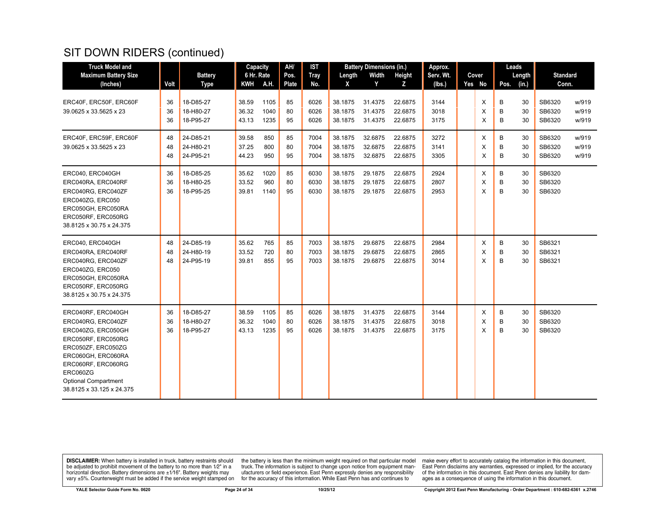| <b>Truck Model and</b>                   |      |                | Capacity   |      | AH/          | <b>IST</b>  |         | <b>Battery Dimensions (in.)</b> |         | Approx.   |        |       | Leads  |        |                 |       |
|------------------------------------------|------|----------------|------------|------|--------------|-------------|---------|---------------------------------|---------|-----------|--------|-------|--------|--------|-----------------|-------|
| <b>Maximum Battery Size</b>              |      | <b>Battery</b> | 6 Hr. Rate |      | Pos.         | <b>Tray</b> | Length  | Width                           | Height  | Serv. Wt. |        | Cover |        | Length | <b>Standard</b> |       |
| (Inches)                                 | Volt | Type           | KWH A.H.   |      | <b>Plate</b> | No.         | X       | Y                               | z       | (Ibs.)    | Yes No |       | Pos.   | (in.)  | Conn.           |       |
| ERC40F, ERC50F, ERC60F                   | 36   | 18-D85-27      | 38.59      | 1105 | 85           | 6026        | 38.1875 | 31.4375                         | 22.6875 | 3144      |        | X     | B      | 30     | SB6320          | w/919 |
| 39.0625 x 33.5625 x 23                   | 36   | 18-H80-27      | 36.32      | 1040 | 80           | 6026        | 38.1875 | 31.4375                         | 22.6875 | 3018      |        | X     | B      | 30     | SB6320          | w/919 |
|                                          | 36   | 18-P95-27      | 43.13      | 1235 | 95           | 6026        | 38.1875 | 31.4375                         | 22.6875 | 3175      |        | X     | B      | 30     | SB6320          | w/919 |
| ERC40F, ERC59F, ERC60F                   | 48   | 24-D85-21      | 39.58      | 850  | 85           | 7004        | 38.1875 | 32.6875                         | 22.6875 | 3272      |        | Χ     | B      | 30     | SB6320          | w/919 |
| 39.0625 x 33.5625 x 23                   | 48   | 24-H80-21      | 37.25      | 800  | 80           | 7004        | 38.1875 | 32.6875                         | 22.6875 | 3141      |        | X     | B      | 30     | SB6320          | w/919 |
|                                          | 48   | 24-P95-21      | 44.23      | 950  | 95           | 7004        | 38.1875 | 32.6875                         | 22.6875 | 3305      |        | X     | B      | 30     | SB6320          | w/919 |
| ERC040, ERC040GH                         | 36   | 18-D85-25      | 35.62      | 1020 | 85           | 6030        | 38.1875 | 29.1875                         | 22.6875 | 2924      |        | X     | В      | 30     | SB6320          |       |
| ERC040RA, ERC040RF                       | 36   | 18-H80-25      | 33.52      | 960  | 80           | 6030        | 38.1875 | 29.1875                         | 22.6875 | 2807      |        | X     | B      | 30     | SB6320          |       |
| ERC040RG, ERC040ZF                       | 36   | 18-P95-25      | 39.81      | 1140 | 95           | 6030        | 38.1875 | 29.1875                         | 22.6875 | 2953      |        | X     | B      | 30     | SB6320          |       |
| ERC040ZG. ERC050                         |      |                |            |      |              |             |         |                                 |         |           |        |       |        |        |                 |       |
| ERC050GH, ERC050RA<br>ERC050RF, ERC050RG |      |                |            |      |              |             |         |                                 |         |           |        |       |        |        |                 |       |
| 38.8125 x 30.75 x 24.375                 |      |                |            |      |              |             |         |                                 |         |           |        |       |        |        |                 |       |
|                                          |      |                |            |      |              |             |         |                                 |         |           |        |       |        |        |                 |       |
| ERC040, ERC040GH                         | 48   | 24-D85-19      | 35.62      | 765  | 85           | 7003        | 38.1875 | 29.6875                         | 22.6875 | 2984      |        | X     | B      | 30     | SB6321          |       |
| ERC040RA, ERC040RF                       | 48   | 24-H80-19      | 33.52      | 720  | 80           | 7003        | 38.1875 | 29.6875                         | 22.6875 | 2865      |        | X     | B<br>B | 30     | SB6321          |       |
| ERC040RG, ERC040ZF<br>ERC040ZG, ERC050   | 48   | 24-P95-19      | 39.81      | 855  | 95           | 7003        | 38.1875 | 29.6875                         | 22.6875 | 3014      |        | X     |        | 30     | SB6321          |       |
| ERC050GH, ERC050RA                       |      |                |            |      |              |             |         |                                 |         |           |        |       |        |        |                 |       |
| ERC050RF, ERC050RG                       |      |                |            |      |              |             |         |                                 |         |           |        |       |        |        |                 |       |
| 38.8125 x 30.75 x 24.375                 |      |                |            |      |              |             |         |                                 |         |           |        |       |        |        |                 |       |
| ERC040RF, ERC040GH                       | 36   | 18-D85-27      | 38.59      | 1105 | 85           | 6026        | 38.1875 | 31.4375                         | 22.6875 | 3144      |        | Χ     | В      | 30     | SB6320          |       |
| ERC040RG, ERC040ZF                       | 36   | 18-H80-27      | 36.32      | 1040 | 80           | 6026        | 38.1875 | 31.4375                         | 22.6875 | 3018      |        | X     | B      | 30     | SB6320          |       |
| ERC040ZG, ERC050GH                       | 36   | 18-P95-27      | 43.13      | 1235 | 95           | 6026        | 38.1875 | 31.4375                         | 22.6875 | 3175      |        | X     | B      | 30     | SB6320          |       |
| ERC050RF, ERC050RG                       |      |                |            |      |              |             |         |                                 |         |           |        |       |        |        |                 |       |
| ERC050ZF, ERC050ZG                       |      |                |            |      |              |             |         |                                 |         |           |        |       |        |        |                 |       |
| ERC060GH, ERC060RA<br>ERC060RF, ERC060RG |      |                |            |      |              |             |         |                                 |         |           |        |       |        |        |                 |       |
| ERC060ZG                                 |      |                |            |      |              |             |         |                                 |         |           |        |       |        |        |                 |       |
| <b>Optional Compartment</b>              |      |                |            |      |              |             |         |                                 |         |           |        |       |        |        |                 |       |
| 38.8125 x 33.125 x 24.375                |      |                |            |      |              |             |         |                                 |         |           |        |       |        |        |                 |       |

**DISCLAIMER:** When battery is installed in truck, battery restraints should be adjusted to prohibit movement of the battery to no more than  $1/2$ " in a horizontal direction. Battery dimensions are  $\pm 1/16$ ". Battery weig

the battery is less than the minimum weight required on that particular model<br>truck. The information is subject to change upon notice from equipment man-<br>ufacturers or field experience. East Penn expressly denies any respo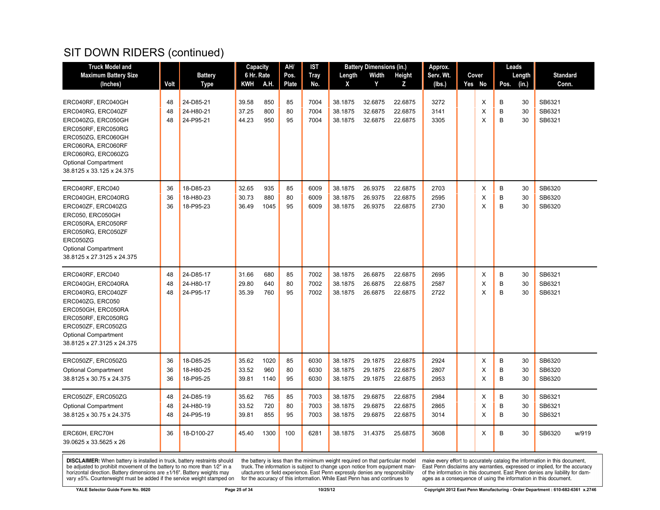| <b>Truck Model and</b>                                                                                                                                                                                             |                |                                     | Capacity                |                     | AH/            | IST                  |                               | <b>Battery Dimensions (in.)</b> |                               | Approx.              |             |             | Leads          |                            |       |
|--------------------------------------------------------------------------------------------------------------------------------------------------------------------------------------------------------------------|----------------|-------------------------------------|-------------------------|---------------------|----------------|----------------------|-------------------------------|---------------------------------|-------------------------------|----------------------|-------------|-------------|----------------|----------------------------|-------|
| <b>Maximum Battery Size</b>                                                                                                                                                                                        |                | <b>Battery</b>                      | 6 Hr. Rate              |                     | Pos.           | <b>Tray</b>          | Length                        | Width                           | Height                        | Serv. Wt.            | Cover       |             | Length         | <b>Standard</b>            |       |
| (Inches)                                                                                                                                                                                                           | Volt           | <b>Type</b>                         | KWH                     | A.H.                | <b>Plate</b>   | No.                  | X                             | Y                               | Z                             | (lbs.)               | Yes No      | Pos.        | (in.)          | Conn.                      |       |
| ERC040RF, ERC040GH<br>ERC040RG, ERC040ZF<br>ERC040ZG, ERC050GH<br>ERC050RF, ERC050RG<br>ERC050ZG, ERC060GH<br>ERC060RA, ERC060RF<br>ERC060RG, ERC060ZG<br><b>Optional Compartment</b><br>38.8125 x 33.125 x 24.375 | 48<br>48<br>48 | 24-D85-21<br>24-H80-21<br>24-P95-21 | 39.58<br>37.25<br>44.23 | 850<br>800<br>950   | 85<br>80<br>95 | 7004<br>7004<br>7004 | 38.1875<br>38.1875<br>38.1875 | 32.6875<br>32.6875<br>32.6875   | 22.6875<br>22.6875<br>22.6875 | 3272<br>3141<br>3305 | Х<br>Х<br>X | B<br>B<br>B | 30<br>30<br>30 | SB6321<br>SB6321<br>SB6321 |       |
| ERC040RF, ERC040<br>ERC040GH, ERC040RG<br>ERC040ZF, ERC040ZG<br>ERC050, ERC050GH<br>ERC050RA, ERC050RF<br>ERC050RG, ERC050ZF<br>ERC050ZG<br><b>Optional Compartment</b><br>38.8125 x 27.3125 x 24.375              | 36<br>36<br>36 | 18-D85-23<br>18-H80-23<br>18-P95-23 | 32.65<br>30.73<br>36.49 | 935<br>880<br>1045  | 85<br>80<br>95 | 6009<br>6009<br>6009 | 38.1875<br>38.1875<br>38.1875 | 26.9375<br>26.9375<br>26.9375   | 22.6875<br>22.6875<br>22.6875 | 2703<br>2595<br>2730 | х<br>X<br>X | В<br>B<br>B | 30<br>30<br>30 | SB6320<br>SB6320<br>SB6320 |       |
| ERC040RF, ERC040<br>ERC040GH, ERC040RA<br>ERC040RG, ERC040ZF<br>ERC040ZG, ERC050<br>ERC050GH, ERC050RA<br>ERC050RF, ERC050RG<br>ERC050ZF, ERC050ZG<br><b>Optional Compartment</b><br>38.8125 x 27.3125 x 24.375    | 48<br>48<br>48 | 24-D85-17<br>24-H80-17<br>24-P95-17 | 31.66<br>29.80<br>35.39 | 680<br>640<br>760   | 85<br>80<br>95 | 7002<br>7002<br>7002 | 38.1875<br>38.1875<br>38.1875 | 26.6875<br>26.6875<br>26.6875   | 22.6875<br>22.6875<br>22.6875 | 2695<br>2587<br>2722 | X<br>X<br>X | B<br>B<br>B | 30<br>30<br>30 | SB6321<br>SB6321<br>SB6321 |       |
| ERC050ZF, ERC050ZG<br><b>Optional Compartment</b><br>38.8125 x 30.75 x 24.375                                                                                                                                      | 36<br>36<br>36 | 18-D85-25<br>18-H80-25<br>18-P95-25 | 35.62<br>33.52<br>39.81 | 1020<br>960<br>1140 | 85<br>80<br>95 | 6030<br>6030<br>6030 | 38.1875<br>38.1875<br>38.1875 | 29.1875<br>29.1875<br>29.1875   | 22.6875<br>22.6875<br>22.6875 | 2924<br>2807<br>2953 | Х<br>X<br>X | В<br>B<br>B | 30<br>30<br>30 | SB6320<br>SB6320<br>SB6320 |       |
| ERC050ZF, ERC050ZG<br><b>Optional Compartment</b><br>38.8125 x 30.75 x 24.375                                                                                                                                      | 48<br>48<br>48 | 24-D85-19<br>24-H80-19<br>24-P95-19 | 35.62<br>33.52<br>39.81 | 765<br>720<br>855   | 85<br>80<br>95 | 7003<br>7003<br>7003 | 38.1875<br>38.1875<br>38.1875 | 29.6875<br>29.6875<br>29.6875   | 22.6875<br>22.6875<br>22.6875 | 2984<br>2865<br>3014 | х<br>Х<br>X | В<br>B<br>B | 30<br>30<br>30 | SB6321<br>SB6321<br>SB6321 |       |
| ERC60H, ERC70H<br>39.0625 x 33.5625 x 26                                                                                                                                                                           | 36             | 18-D100-27                          | 45.40                   | 1300                | 100            | 6281                 | 38.1875                       | 31.4375                         | 25.6875                       | 3608                 | X           | B           | 30             | SB6320                     | w/919 |

**DISCLAIMER:** When battery is installed in truck, battery restraints should be adjusted to prohibit movement of the battery to no more than  $1/2$ " in a horizontal direction. Battery dimensions are  $\pm 1/16$ ". Battery weig

the battery is less than the minimum weight required on that particular model<br>truck. The information is subject to change upon notice from equipment man-<br>ufacturers or field experience. East Penn expressly denies any respo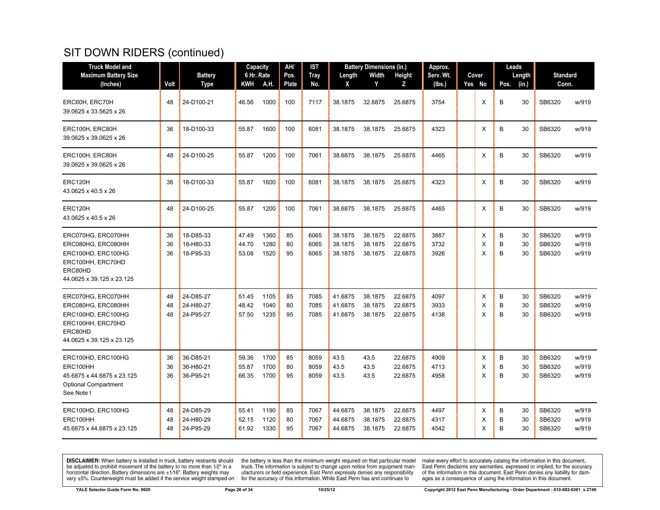| <b>Truck Model and</b>                                                                                                      |                |                                     | Capacity                |                      | AH/            | IST                  |                               | <b>Battery Dimensions (in.)</b> |                               | Approx.              |             |             | Leads          |                            |                         |
|-----------------------------------------------------------------------------------------------------------------------------|----------------|-------------------------------------|-------------------------|----------------------|----------------|----------------------|-------------------------------|---------------------------------|-------------------------------|----------------------|-------------|-------------|----------------|----------------------------|-------------------------|
| <b>Maximum Battery Size</b>                                                                                                 |                | <b>Battery</b>                      | 6 Hr. Rate              |                      | Pos.           | <b>Tray</b>          | Length                        | Width                           | Height                        | Serv. Wt.            | Cover       |             | Length         | <b>Standard</b>            |                         |
| (Inches)                                                                                                                    | Volt           | <b>Type</b>                         | KWH                     | A.H.                 | Plate          | No.                  | X                             | Y                               | z                             | (lbs.)               | Yes No      | Pos.        | (in.)          | Conn.                      |                         |
| ERC60H, ERC70H<br>39.0625 x 33.5625 x 26                                                                                    | 48             | 24-D100-21                          | 46.56                   | 1000                 | 100            | 7117                 | 38.1875                       | 32.6875                         | 25.6875                       | 3754                 | X           | B           | 30             | SB6320                     | w/919                   |
| ERC100H, ERC80H<br>39.0625 x 39.0625 x 26                                                                                   | 36             | 18-D100-33                          | 55.87                   | 1600                 | 100            | 6081                 | 38.1875                       | 38.1875                         | 25.6875                       | 4323                 | X           | B           | 30             | SB6320                     | w/919                   |
| ERC100H, ERC80H<br>39.0625 x 39.0625 x 26                                                                                   | 48             | 24-D100-25                          | 55.87                   | 1200                 | 100            | 7061                 | 38.6875                       | 38.1875                         | 25.6875                       | 4465                 | X           | B           | 30             | SB6320                     | w/919                   |
| ERC120H<br>43.0625 x 40.5 x 26                                                                                              | 36             | 18-D100-33                          | 55.87                   | 1600                 | 100            | 6081                 | 38.1875                       | 38.1875                         | 25.6875                       | 4323                 | X           | B           | 30             | SB6320                     | w/919                   |
| ERC120H<br>43.0625 x 40.5 x 26                                                                                              | 48             | 24-D100-25                          | 55.87                   | 1200                 | 100            | 7061                 | 38.6875                       | 38.1875                         | 25.6875                       | 4465                 | х           | B           | 30             | SB6320                     | w/919                   |
| ERC070HG, ERC070HH<br>ERC080HG, ERC080HH<br>ERC100HD, ERC100HG<br>ERC100HH, ERC70HD<br>ERC80HD<br>44.0625 x 39.125 x 23.125 | 36<br>36<br>36 | 18-D85-33<br>18-H80-33<br>18-P95-33 | 47.49<br>44.70<br>53.08 | 1360<br>1280<br>1520 | 85<br>80<br>95 | 6065<br>6065<br>6065 | 38.1875<br>38.1875<br>38.1875 | 38.1875<br>38.1875<br>38.1875   | 22.6875<br>22.6875<br>22.6875 | 3887<br>3732<br>3926 | X<br>X<br>X | B<br>B<br>B | 30<br>30<br>30 | SB6320<br>SB6320<br>SB6320 | w/919<br>w/919<br>w/919 |
| ERC070HG, ERC070HH<br>ERC080HG, ERC080HH<br>ERC100HD, ERC100HG<br>ERC100HH, ERC70HD<br>ERC80HD<br>44.0625 x 39.125 x 23.125 | 48<br>48<br>48 | 24-D85-27<br>24-H80-27<br>24-P95-27 | 51.45<br>48.42<br>57.50 | 1105<br>1040<br>1235 | 85<br>80<br>95 | 7085<br>7085<br>7085 | 41.6875<br>41.6875<br>41.6875 | 38.1875<br>38.1875<br>38.1875   | 22.6875<br>22.6875<br>22.6875 | 4097<br>3933<br>4138 | X<br>X<br>X | B<br>B<br>B | 30<br>30<br>30 | SB6320<br>SB6320<br>SB6320 | w/919<br>w/919<br>w/919 |
| ERC100HD, ERC100HG<br>ERC100HH<br>45.6875 x 44.6875 x 23.125<br><b>Optional Compartment</b><br>See Note I                   | 36<br>36<br>36 | 36-D85-21<br>36-H80-21<br>36-P95-21 | 59.36<br>55.87<br>66.35 | 1700<br>1700<br>1700 | 85<br>80<br>95 | 8059<br>8059<br>8059 | 43.5<br>43.5<br>43.5          | 43.5<br>43.5<br>43.5            | 22.6875<br>22.6875<br>22.6875 | 4909<br>4713<br>4958 | X<br>X<br>Χ | B<br>B<br>B | 30<br>30<br>30 | SB6320<br>SB6320<br>SB6320 | w/919<br>w/919<br>w/919 |
| ERC100HD, ERC100HG<br>ERC100HH<br>45.6875 x 44.6875 x 23.125                                                                | 48<br>48<br>48 | 24-D85-29<br>24-H80-29<br>24-P95-29 | 55.41<br>52.15<br>61.92 | 1190<br>1120<br>1330 | 85<br>80<br>95 | 7067<br>7067<br>7067 | 44.6875<br>44.6875<br>44.6875 | 38.1875<br>38.1875<br>38.1875   | 22.6875<br>22.6875<br>22.6875 | 4497<br>4317<br>4542 | X<br>X<br>X | B<br>B<br>B | 30<br>30<br>30 | SB6320<br>SB6320<br>SB6320 | w/919<br>w/919<br>w/919 |

**DISCLAIMER:** When battery is installed in truck, battery restraints should be adjusted to prohibit movement of the battery to no more than  $1/2$ " in a horizontal direction. Battery dimensions are  $\pm 1/16$ ". Battery weig

the battery is less than the minimum weight required on that particular model<br>truck. The information is subject to change upon notice from equipment man-<br>ufacturers or field experience. East Penn expressly denies any respo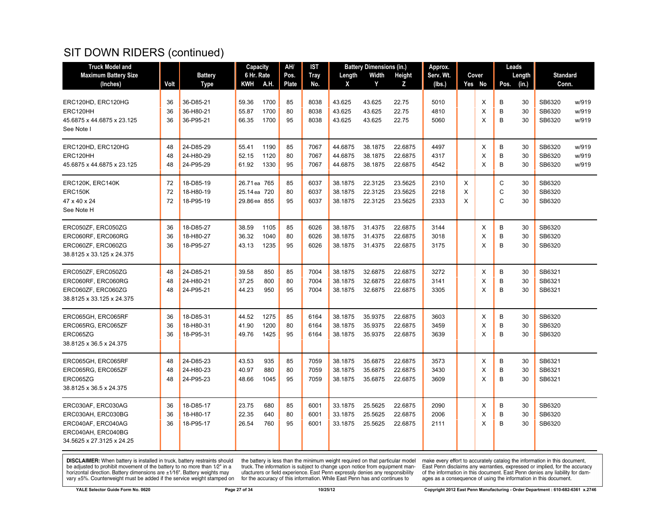| <b>Truck Model and</b>      |      |                | <b>Capacity</b> |      | AH/   | IST         |         | <b>Battery Dimensions (in.)</b> |               | Approx.   |   |        |              | Leads  |                 |       |
|-----------------------------|------|----------------|-----------------|------|-------|-------------|---------|---------------------------------|---------------|-----------|---|--------|--------------|--------|-----------------|-------|
| <b>Maximum Battery Size</b> |      | <b>Battery</b> | 6 Hr. Rate      |      | Pos.  | <b>Tray</b> | Length  | Width                           | <b>Height</b> | Serv. Wt. |   | Cover  |              | Length | <b>Standard</b> |       |
| (Inches)                    | Volt | Type           | KWH             | A.H. | Plate | No.         | X       | Y                               | z             | (lbs.)    |   | Yes No | Pos.         | (in.)  | Conn.           |       |
|                             |      |                |                 |      |       |             |         |                                 |               |           |   |        |              |        |                 |       |
| ERC120HD, ERC120HG          | 36   | 36-D85-21      | 59.36           | 1700 | 85    | 8038        | 43.625  | 43.625                          | 22.75         | 5010      |   | X      | B            | 30     | SB6320          | w/919 |
| ERC120HH                    | 36   | 36-H80-21      | 55.87           | 1700 | 80    | 8038        | 43.625  | 43.625                          | 22.75         | 4810      |   | X      | B            | 30     | SB6320          | w/919 |
| 45.6875 x 44.6875 x 23.125  | 36   | 36-P95-21      | 66.35           | 1700 | 95    | 8038        | 43.625  | 43.625                          | 22.75         | 5060      |   | X      | B            | 30     | SB6320          | w/919 |
| See Note I                  |      |                |                 |      |       |             |         |                                 |               |           |   |        |              |        |                 |       |
| ERC120HD, ERC120HG          | 48   | 24-D85-29      | 55.41           | 1190 | 85    | 7067        | 44.6875 | 38.1875                         | 22.6875       | 4497      |   | Х      | B            | 30     | SB6320          | w/919 |
| ERC120HH                    | 48   | 24-H80-29      | 52.15           | 1120 | 80    | 7067        | 44.6875 | 38.1875                         | 22.6875       | 4317      |   | X      | B            | 30     | SB6320          | w/919 |
| 45.6875 x 44.6875 x 23.125  | 48   | 24-P95-29      | 61.92           | 1330 | 95    | 7067        | 44.6875 | 38.1875                         | 22.6875       | 4542      |   | X      | B            | 30     | SB6320          | w/919 |
|                             |      |                |                 |      |       |             |         |                                 |               |           |   |        |              |        |                 |       |
| ERC120K, ERC140K            | 72   | 18-D85-19      | 26.71 ea 765    |      | 85    | 6037        | 38.1875 | 22.3125                         | 23.5625       | 2310      | X |        | C            | 30     | SB6320          |       |
| <b>ERC150K</b>              | 72   | 18-H80-19      | 25.14 ea 720    |      | 80    | 6037        | 38.1875 | 22.3125                         | 23.5625       | 2218      | X |        | $\mathsf{C}$ | 30     | SB6320          |       |
| 47 x 40 x 24                | 72   | 18-P95-19      | 29.86 ea 855    |      | 95    | 6037        | 38.1875 | 22.3125                         | 23.5625       | 2333      | X |        | C            | 30     | SB6320          |       |
| See Note H                  |      |                |                 |      |       |             |         |                                 |               |           |   |        |              |        |                 |       |
| ERC050ZF, ERC050ZG          | 36   | 18-D85-27      | 38.59           | 1105 | 85    | 6026        | 38.1875 | 31.4375                         | 22.6875       | 3144      |   | Х      | В            | 30     | SB6320          |       |
| ERC060RF, ERC060RG          | 36   | 18-H80-27      | 36.32           | 1040 | 80    | 6026        | 38.1875 | 31.4375                         | 22.6875       | 3018      |   | X      | B            | 30     | SB6320          |       |
| ERC060ZF, ERC060ZG          | 36   | 18-P95-27      | 43.13           | 1235 | 95    | 6026        | 38.1875 | 31.4375                         | 22.6875       | 3175      |   | X      | B            | 30     | SB6320          |       |
| 38.8125 x 33.125 x 24.375   |      |                |                 |      |       |             |         |                                 |               |           |   |        |              |        |                 |       |
|                             |      |                |                 |      |       |             |         |                                 |               |           |   |        |              |        |                 |       |
| ERC050ZF, ERC050ZG          | 48   | 24-D85-21      | 39.58           | 850  | 85    | 7004        | 38.1875 | 32.6875                         | 22.6875       | 3272      |   | X      | B            | 30     | SB6321          |       |
| ERC060RF, ERC060RG          | 48   | 24-H80-21      | 37.25           | 800  | 80    | 7004        | 38.1875 | 32.6875                         | 22.6875       | 3141      |   | X      | B            | 30     | SB6321          |       |
| ERC060ZF, ERC060ZG          | 48   | 24-P95-21      | 44.23           | 950  | 95    | 7004        | 38.1875 | 32.6875                         | 22.6875       | 3305      |   | X      | B            | 30     | SB6321          |       |
| 38.8125 x 33.125 x 24.375   |      |                |                 |      |       |             |         |                                 |               |           |   |        |              |        |                 |       |
| ERC065GH, ERC065RF          | 36   | 18-D85-31      | 44.52           | 1275 | 85    | 6164        | 38.1875 | 35.9375                         | 22.6875       | 3603      |   | Х      | В            | 30     | SB6320          |       |
| ERC065RG, ERC065ZF          | 36   | 18-H80-31      | 41.90           | 1200 | 80    | 6164        | 38.1875 | 35.9375                         | 22.6875       | 3459      |   | X      | B            | 30     | SB6320          |       |
| ERC065ZG                    | 36   | 18-P95-31      | 49.76           | 1425 | 95    | 6164        | 38.1875 | 35.9375                         | 22.6875       | 3639      |   | X      | B            | 30     | SB6320          |       |
| 38.8125 x 36.5 x 24.375     |      |                |                 |      |       |             |         |                                 |               |           |   |        |              |        |                 |       |
|                             |      |                |                 |      |       |             |         |                                 |               |           |   |        |              |        |                 |       |
| ERC065GH, ERC065RF          | 48   | 24-D85-23      | 43.53           | 935  | 85    | 7059        | 38.1875 | 35.6875                         | 22.6875       | 3573      |   | Х      | B            | 30     | SB6321          |       |
| ERC065RG, ERC065ZF          | 48   | 24-H80-23      | 40.97           | 880  | 80    | 7059        | 38.1875 | 35.6875                         | 22.6875       | 3430      |   | X      | B            | 30     | SB6321          |       |
| ERC065ZG                    | 48   | 24-P95-23      | 48.66           | 1045 | 95    | 7059        | 38.1875 | 35.6875                         | 22.6875       | 3609      |   | X      | B            | 30     | SB6321          |       |
| 38.8125 x 36.5 x 24.375     |      |                |                 |      |       |             |         |                                 |               |           |   |        |              |        |                 |       |
| ERC030AF, ERC030AG          | 36   | 18-D85-17      | 23.75           | 680  | 85    | 6001        | 33.1875 | 25.5625                         | 22.6875       | 2090      |   | Х      | B            | 30     | SB6320          |       |
| ERC030AH, ERC030BG          | 36   | 18-H80-17      | 22.35           | 640  | 80    | 6001        | 33.1875 | 25.5625                         | 22.6875       | 2006      |   | X      | B            | 30     | SB6320          |       |
| ERC040AF, ERC040AG          | 36   | 18-P95-17      | 26.54           | 760  | 95    | 6001        | 33.1875 | 25.5625                         | 22.6875       | 2111      |   | X      | B            | 30     | SB6320          |       |
| ERC040AH, ERC040BG          |      |                |                 |      |       |             |         |                                 |               |           |   |        |              |        |                 |       |
| 34.5625 x 27.3125 x 24.25   |      |                |                 |      |       |             |         |                                 |               |           |   |        |              |        |                 |       |
|                             |      |                |                 |      |       |             |         |                                 |               |           |   |        |              |        |                 |       |

**DISCLAIMER:** When battery is installed in truck, battery restraints should be adjusted to prohibit movement of the battery to no more than  $1/2$ " in a horizontal direction. Battery dimensions are  $\pm 1/16$ ". Battery weig

the battery is less than the minimum weight required on that particular model<br>truck. The information is subject to change upon notice from equipment man-<br>ufacturers or field experience. East Penn expressly denies any respo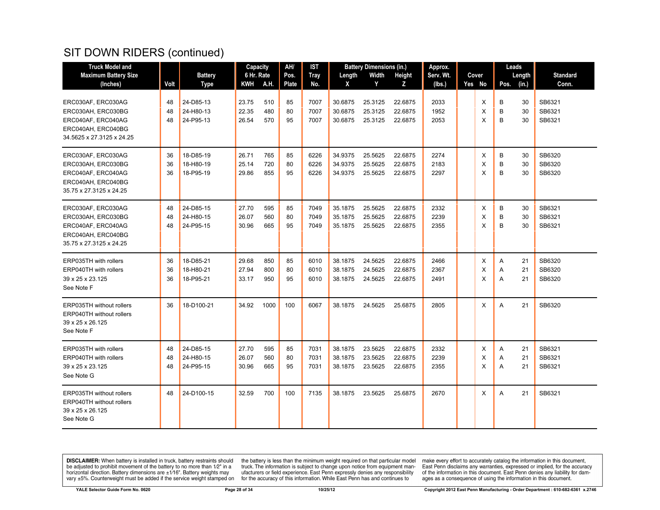| <b>Truck Model and</b>                                                                                          |                |                                     | Capacity                |                   | AH/            | IST                  |                               | <b>Battery Dimensions (in.)</b> |                               | Approx.              |             |             | Leads          |                            |
|-----------------------------------------------------------------------------------------------------------------|----------------|-------------------------------------|-------------------------|-------------------|----------------|----------------------|-------------------------------|---------------------------------|-------------------------------|----------------------|-------------|-------------|----------------|----------------------------|
| <b>Maximum Battery Size</b>                                                                                     |                | <b>Battery</b>                      | 6 Hr. Rate              |                   | Pos.           | <b>Tray</b>          | Length                        | Width                           | Height                        | Serv. Wt.            | Cover       |             | Length         | <b>Standard</b>            |
| (Inches)                                                                                                        | Volt           | <b>Type</b>                         | KWH                     | A.H.              | Plate          | No.                  | X                             | Y                               | Z                             | (lbs.)               | Yes No      | Pos.        | (in.)          | Conn.                      |
| ERC030AF, ERC030AG<br>ERC030AH, ERC030BG                                                                        | 48<br>48       | 24-D85-13<br>24-H80-13              | 23.75<br>22.35          | 510<br>480        | 85<br>80       | 7007<br>7007         | 30.6875<br>30.6875            | 25.3125<br>25.3125              | 22.6875<br>22.6875            | 2033<br>1952         | X<br>X      | B<br>B      | 30<br>30       | SB6321<br>SB6321           |
| ERC040AF, ERC040AG<br>ERC040AH, ERC040BG<br>34.5625 x 27.3125 x 24.25                                           | 48             | 24-P95-13                           | 26.54                   | 570               | 95             | 7007                 | 30.6875                       | 25.3125                         | 22.6875                       | 2053                 | X           | B           | 30             | SB6321                     |
| ERC030AF, ERC030AG<br>ERC030AH, ERC030BG<br>ERC040AF, ERC040AG<br>ERC040AH, ERC040BG<br>35.75 x 27.3125 x 24.25 | 36<br>36<br>36 | 18-D85-19<br>18-H80-19<br>18-P95-19 | 26.71<br>25.14<br>29.86 | 765<br>720<br>855 | 85<br>80<br>95 | 6226<br>6226<br>6226 | 34.9375<br>34.9375<br>34.9375 | 25.5625<br>25.5625<br>25.5625   | 22.6875<br>22.6875<br>22.6875 | 2274<br>2183<br>2297 | X<br>Х<br>X | B<br>B<br>B | 30<br>30<br>30 | SB6320<br>SB6320<br>SB6320 |
| ERC030AF, ERC030AG<br>ERC030AH, ERC030BG<br>ERC040AF, ERC040AG<br>ERC040AH, ERC040BG<br>35.75 x 27.3125 x 24.25 | 48<br>48<br>48 | 24-D85-15<br>24-H80-15<br>24-P95-15 | 27.70<br>26.07<br>30.96 | 595<br>560<br>665 | 85<br>80<br>95 | 7049<br>7049<br>7049 | 35.1875<br>35.1875<br>35.1875 | 25.5625<br>25.5625<br>25.5625   | 22.6875<br>22.6875<br>22.6875 | 2332<br>2239<br>2355 | X<br>X<br>X | B<br>B<br>B | 30<br>30<br>30 | SB6321<br>SB6321<br>SB6321 |
| ERP035TH with rollers<br>ERP040TH with rollers<br>39 x 25 x 23.125<br>See Note F                                | 36<br>36<br>36 | 18-D85-21<br>18-H80-21<br>18-P95-21 | 29.68<br>27.94<br>33.17 | 850<br>800<br>950 | 85<br>80<br>95 | 6010<br>6010<br>6010 | 38.1875<br>38.1875<br>38.1875 | 24.5625<br>24.5625<br>24.5625   | 22.6875<br>22.6875<br>22.6875 | 2466<br>2367<br>2491 | X<br>X<br>X | A<br>A<br>A | 21<br>21<br>21 | SB6320<br>SB6320<br>SB6320 |
| <b>ERP035TH without rollers</b><br>ERP040TH without rollers<br>39 x 25 x 26.125<br>See Note F                   | 36             | 18-D100-21                          | 34.92                   | 1000              | 100            | 6067                 | 38.1875                       | 24.5625                         | 25.6875                       | 2805                 | X           | A           | 21             | SB6320                     |
| ERP035TH with rollers<br><b>ERP040TH with rollers</b><br>39 x 25 x 23.125<br>See Note G                         | 48<br>48<br>48 | 24-D85-15<br>24-H80-15<br>24-P95-15 | 27.70<br>26.07<br>30.96 | 595<br>560<br>665 | 85<br>80<br>95 | 7031<br>7031<br>7031 | 38.1875<br>38.1875<br>38.1875 | 23.5625<br>23.5625<br>23.5625   | 22.6875<br>22.6875<br>22.6875 | 2332<br>2239<br>2355 | X<br>X<br>X | A<br>Α<br>Α | 21<br>21<br>21 | SB6321<br>SB6321<br>SB6321 |
| <b>ERP035TH without rollers</b><br><b>ERP040TH</b> without rollers<br>39 x 25 x 26.125<br>See Note G            | 48             | 24-D100-15                          | 32.59                   | 700               | 100            | 7135                 | 38.1875                       | 23.5625                         | 25.6875                       | 2670                 | X           | A           | 21             | SB6321                     |

**DISCLAIMER:** When battery is installed in truck, battery restraints should be adjusted to prohibit movement of the battery to no more than  $1/2$ " in a horizontal direction. Battery dimensions are  $\pm 1/16$ ". Battery weig

the battery is less than the minimum weight required on that particular model<br>truck. The information is subject to change upon notice from equipment man-<br>ufacturers or field experience. East Penn expressly denies any respo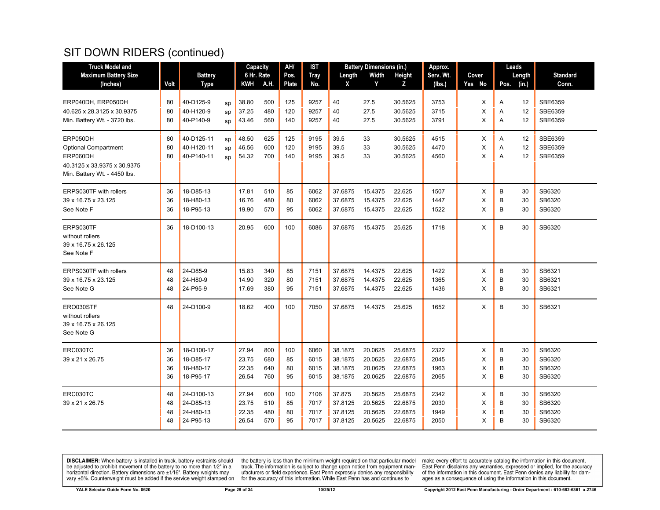| <b>Truck Model and</b>                                                                                             |                      |                                                          |                                  | Capacity                 | AH/                   | IST                          |                                          | <b>Battery Dimensions (in.)</b>          |                                          | Approx.                      |                  | Leads                                    |                                      |
|--------------------------------------------------------------------------------------------------------------------|----------------------|----------------------------------------------------------|----------------------------------|--------------------------|-----------------------|------------------------------|------------------------------------------|------------------------------------------|------------------------------------------|------------------------------|------------------|------------------------------------------|--------------------------------------|
| <b>Maximum Battery Size</b>                                                                                        |                      | <b>Battery</b>                                           |                                  | 6 Hr. Rate               | Pos.                  | <b>Tray</b>                  | Length                                   | Width                                    | Height                                   | Serv. Wt.                    | Cover            | Length                                   | <b>Standard</b>                      |
| (Inches)                                                                                                           | Volt                 | <b>Type</b>                                              | <b>KWH</b>                       | A.H.                     | <b>Plate</b>          | No.                          | X                                        | Y                                        | z                                        | (lbs.)                       | Yes No           | Pos.<br>(in.)                            | Conn.                                |
| ERP040DH, ERP050DH<br>40.625 x 28.3125 x 30.9375<br>Min. Battery Wt. - 3720 lbs.                                   | 80<br>80<br>80       | 40-D125-9<br>sp<br>40-H120-9<br>sp<br>40-P140-9<br>SD    | 38.80<br>37.25<br>43.46          | 500<br>480<br>560        | 125<br>120<br>140     | 9257<br>9257<br>9257         | 40<br>40<br>40                           | 27.5<br>27.5<br>27.5                     | 30.5625<br>30.5625<br>30.5625            | 3753<br>3715<br>3791         | X<br>X<br>X      | 12<br>A<br>12<br>Α<br>12<br>A            | SBE6359<br>SBE6359<br>SBE6359        |
| ERP050DH<br><b>Optional Compartment</b><br>ERP060DH<br>40.3125 x 33.9375 x 30.9375<br>Min. Battery Wt. - 4450 lbs. | 80<br>80<br>80       | 40-D125-11<br>sp<br>40-H120-11<br>sp<br>40-P140-11<br>SD | 48.50<br>46.56<br>54.32          | 625<br>600<br>700        | 125<br>120<br>140     | 9195<br>9195<br>9195         | 39.5<br>39.5<br>39.5                     | 33<br>33<br>33                           | 30.5625<br>30.5625<br>30.5625            | 4515<br>4470<br>4560         | X<br>X<br>X      | 12<br>Α<br>12<br>Α<br>A<br>12            | SBE6359<br>SBE6359<br>SBE6359        |
| ERPS030TF with rollers<br>39 x 16.75 x 23.125<br>See Note F                                                        | 36<br>36<br>36       | 18-D85-13<br>18-H80-13<br>18-P95-13                      | 17.81<br>16.76<br>19.90          | 510<br>480<br>570        | 85<br>80<br>95        | 6062<br>6062<br>6062         | 37.6875<br>37.6875<br>37.6875            | 15.4375<br>15.4375<br>15.4375            | 22.625<br>22.625<br>22.625               | 1507<br>1447<br>1522         | X<br>X<br>X      | B<br>30<br>B<br>30<br>B<br>30            | SB6320<br>SB6320<br>SB6320           |
| ERPS030TF<br>without rollers<br>39 x 16.75 x 26.125<br>See Note F                                                  | 36                   | 18-D100-13                                               | 20.95                            | 600                      | 100                   | 6086                         | 37.6875                                  | 15.4375                                  | 25.625                                   | 1718                         | X                | B<br>30                                  | SB6320                               |
| ERPS030TF with rollers<br>39 x 16.75 x 23.125<br>See Note G                                                        | 48<br>48<br>48       | 24-D85-9<br>24-H80-9<br>24-P95-9                         | 15.83<br>14.90<br>17.69          | 340<br>320<br>380        | 85<br>80<br>95        | 7151<br>7151<br>7151         | 37.6875<br>37.6875<br>37.6875            | 14.4375<br>14.4375<br>14.4375            | 22.625<br>22.625<br>22.625               | 1422<br>1365<br>1436         | X<br>X<br>X      | B<br>30<br>B<br>30<br>B<br>30            | SB6321<br>SB6321<br>SB6321           |
| ERO030STF<br>without rollers<br>39 x 16.75 x 26.125<br>See Note G                                                  | 48                   | 24-D100-9                                                | 18.62                            | 400                      | 100                   | 7050                         | 37.6875                                  | 14.4375                                  | 25.625                                   | 1652                         | X                | B<br>30                                  | SB6321                               |
| ERC030TC<br>39 x 21 x 26.75                                                                                        | 36<br>36<br>36<br>36 | 18-D100-17<br>18-D85-17<br>18-H80-17<br>18-P95-17        | 27.94<br>23.75<br>22.35<br>26.54 | 800<br>680<br>640<br>760 | 100<br>85<br>80<br>95 | 6060<br>6015<br>6015<br>6015 | 38.1875<br>38.1875<br>38.1875<br>38.1875 | 20.0625<br>20.0625<br>20.0625<br>20.0625 | 25.6875<br>22.6875<br>22.6875<br>22.6875 | 2322<br>2045<br>1963<br>2065 | X<br>X<br>X<br>X | B<br>30<br>B<br>30<br>B<br>30<br>B<br>30 | SB6320<br>SB6320<br>SB6320<br>SB6320 |
| ERC030TC<br>39 x 21 x 26.75                                                                                        | 48<br>48<br>48<br>48 | 24-D100-13<br>24-D85-13<br>24-H80-13<br>24-P95-13        | 27.94<br>23.75<br>22.35<br>26.54 | 600<br>510<br>480<br>570 | 100<br>85<br>80<br>95 | 7106<br>7017<br>7017<br>7017 | 37.875<br>37.8125<br>37.8125<br>37.8125  | 20.5625<br>20.5625<br>20.5625<br>20.5625 | 25.6875<br>22.6875<br>22.6875<br>22.6875 | 2342<br>2030<br>1949<br>2050 | X<br>X<br>X<br>X | B<br>30<br>B<br>30<br>B<br>30<br>B<br>30 | SB6320<br>SB6320<br>SB6320<br>SB6320 |

**DISCLAIMER:** When battery is installed in truck, battery restraints should be adjusted to prohibit movement of the battery to no more than  $1/2$ " in a horizontal direction. Battery dimensions are  $\pm 1/16$ ". Battery weig

the battery is less than the minimum weight required on that particular model<br>truck. The information is subject to change upon notice from equipment man-<br>ufacturers or field experience. East Penn expressly denies any respo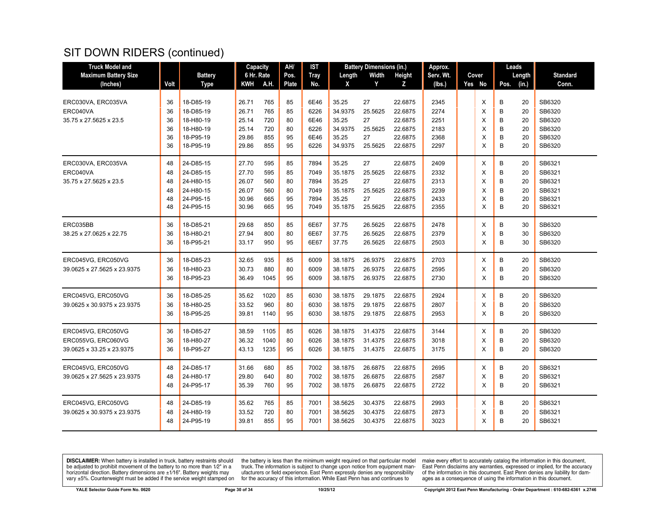| <b>Truck Model and</b>      |      |                | Capacity   |      | AH/   | IST         |         | <b>Battery Dimensions (in.)</b> |         | Approx.   |        |      | Leads  |                 |
|-----------------------------|------|----------------|------------|------|-------|-------------|---------|---------------------------------|---------|-----------|--------|------|--------|-----------------|
| <b>Maximum Battery Size</b> |      | <b>Battery</b> | 6 Hr. Rate |      | Pos.  | <b>Tray</b> | Length  | Width                           | Height  | Serv. Wt. | Cover  |      | Length | <b>Standard</b> |
| (Inches)                    | Volt | <b>Type</b>    | KWH        | A.H. | Plate | No.         | X       | Y                               | z       | (lbs.)    | Yes No | Pos. | (in.)  | Conn.           |
|                             |      |                |            |      |       |             |         |                                 |         |           |        |      |        |                 |
| ERC030VA, ERC035VA          | 36   | 18-D85-19      | 26.71      | 765  | 85    | 6E46        | 35.25   | 27                              | 22.6875 | 2345      | X      | B    | 20     | SB6320          |
| ERC040VA                    | 36   | 18-D85-19      | 26.71      | 765  | 85    | 6226        | 34.9375 | 25.5625                         | 22.6875 | 2274      | X      | B    | 20     | SB6320          |
| 35.75 x 27.5625 x 23.5      | 36   | 18-H80-19      | 25.14      | 720  | 80    | 6E46        | 35.25   | 27                              | 22.6875 | 2251      | X      | B    | 20     | SB6320          |
|                             | 36   | 18-H80-19      | 25.14      | 720  | 80    | 6226        | 34.9375 | 25.5625                         | 22.6875 | 2183      | X      | B    | 20     | SB6320          |
|                             | 36   | 18-P95-19      | 29.86      | 855  | 95    | 6E46        | 35.25   | 27                              | 22.6875 | 2368      | X      | B    | 20     | SB6320          |
|                             | 36   | 18-P95-19      | 29.86      | 855  | 95    | 6226        | 34.9375 | 25.5625                         | 22.6875 | 2297      | X      | B    | 20     | SB6320          |
| ERC030VA, ERC035VA          | 48   | 24-D85-15      | 27.70      | 595  | 85    | 7894        | 35.25   | 27                              | 22.6875 | 2409      | X      | B    | 20     | SB6321          |
| ERC040VA                    | 48   | 24-D85-15      | 27.70      | 595  | 85    | 7049        | 35.1875 | 25.5625                         | 22.6875 | 2332      | Χ      | B    | 20     | SB6321          |
| 35.75 x 27.5625 x 23.5      | 48   | 24-H80-15      | 26.07      | 560  | 80    | 7894        | 35.25   | 27                              | 22.6875 | 2313      | X      | B    | 20     | SB6321          |
|                             | 48   | 24-H80-15      | 26.07      | 560  | 80    | 7049        | 35.1875 | 25.5625                         | 22.6875 | 2239      | X      | B    | 20     | SB6321          |
|                             | 48   | 24-P95-15      | 30.96      | 665  | 95    | 7894        | 35.25   | 27                              | 22.6875 | 2433      | X      | B    | 20     | SB6321          |
|                             | 48   | 24-P95-15      | 30.96      | 665  | 95    | 7049        | 35.1875 | 25.5625                         | 22.6875 | 2355      | X      | B    | 20     | SB6321          |
| ERC035BB                    | 36   | 18-D85-21      | 29.68      | 850  | 85    | 6E67        | 37.75   | 26.5625                         | 22.6875 | 2478      | X      | B    | 30     | SB6320          |
| 38.25 x 27.0625 x 22.75     | 36   | 18-H80-21      | 27.94      | 800  | 80    | 6E67        | 37.75   | 26.5625                         | 22.6875 | 2379      | X      | B    | 30     | SB6320          |
|                             | 36   | 18-P95-21      | 33.17      | 950  | 95    | 6E67        | 37.75   | 26.5625                         | 22.6875 | 2503      | X      | B    | 30     | SB6320          |
| ERC045VG, ERC050VG          | 36   | 18-D85-23      | 32.65      | 935  | 85    | 6009        | 38.1875 | 26.9375                         | 22.6875 | 2703      | X      | B    | 20     | SB6320          |
| 39.0625 x 27.5625 x 23.9375 | 36   | 18-H80-23      | 30.73      | 880  | 80    | 6009        | 38.1875 | 26.9375                         | 22.6875 | 2595      | Х      | B    | 20     | SB6320          |
|                             | 36   | 18-P95-23      | 36.49      | 1045 | 95    | 6009        | 38.1875 | 26.9375                         | 22.6875 | 2730      | X      | B    | 20     | SB6320          |
| ERC045VG, ERC050VG          | 36   | 18-D85-25      | 35.62      | 1020 | 85    | 6030        | 38.1875 | 29.1875                         | 22.6875 | 2924      | X      | B    | 20     | SB6320          |
| 39.0625 x 30.9375 x 23.9375 | 36   | 18-H80-25      | 33.52      | 960  | 80    | 6030        | 38.1875 | 29.1875                         | 22.6875 | 2807      | X      | B    | 20     | SB6320          |
|                             | 36   | 18-P95-25      | 39.81      | 1140 | 95    | 6030        | 38.1875 | 29.1875                         | 22.6875 | 2953      | X      | B    | 20     | SB6320          |
| ERC045VG, ERC050VG          | 36   | 18-D85-27      | 38.59      | 1105 | 85    | 6026        | 38.1875 | 31.4375                         | 22.6875 | 3144      | X      | B    | 20     | SB6320          |
| ERC055VG, ERC060VG          | 36   | 18-H80-27      | 36.32      | 1040 | 80    | 6026        | 38.1875 | 31.4375                         | 22.6875 | 3018      | X      | B    | 20     | SB6320          |
| 39.0625 x 33.25 x 23.9375   | 36   | 18-P95-27      | 43.13      | 1235 | 95    | 6026        | 38.1875 | 31.4375                         | 22.6875 | 3175      | X      | B    | 20     | SB6320          |
| ERC045VG. ERC050VG          | 48   | 24-D85-17      | 31.66      | 680  | 85    | 7002        | 38.1875 | 26.6875                         | 22.6875 | 2695      | X      | B    | 20     | SB6321          |
| 39.0625 x 27.5625 x 23.9375 | 48   | 24-H80-17      | 29.80      | 640  | 80    | 7002        | 38.1875 | 26.6875                         | 22.6875 | 2587      | X      | B    | 20     | SB6321          |
|                             | 48   | 24-P95-17      | 35.39      | 760  | 95    | 7002        | 38.1875 | 26.6875                         | 22.6875 | 2722      | X      | B    | 20     | SB6321          |
| ERC045VG, ERC050VG          | 48   | 24-D85-19      | 35.62      | 765  | 85    | 7001        | 38.5625 | 30.4375                         | 22.6875 | 2993      | X      | B    | 20     | SB6321          |
| 39.0625 x 30.9375 x 23.9375 | 48   | 24-H80-19      | 33.52      | 720  | 80    | 7001        | 38.5625 | 30.4375                         | 22.6875 | 2873      | X      | B    | 20     | SB6321          |
|                             | 48   | 24-P95-19      | 39.81      | 855  | 95    | 7001        | 38.5625 | 30.4375                         | 22.6875 | 3023      | X      | B    | 20     | SB6321          |
|                             |      |                |            |      |       |             |         |                                 |         |           |        |      |        |                 |

**DISCLAIMER:** When battery is installed in truck, battery restraints should be adjusted to prohibit movement of the battery to no more than  $1/2$ " in a horizontal direction. Battery dimensions are  $\pm 1/16$ ". Battery weig

the battery is less than the minimum weight required on that particular model<br>truck. The information is subject to change upon notice from equipment man-<br>ufacturers or field experience. East Penn expressly denies any respo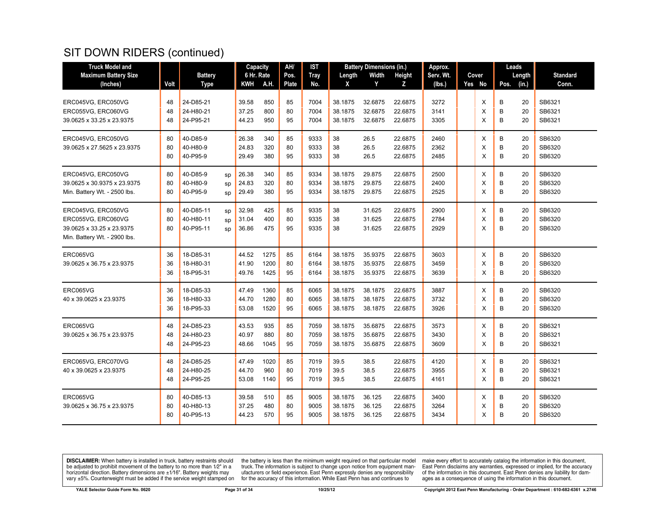| <b>Truck Model and</b>                                                                                |                |                                                       | Capacity                |                      | AH/            | IST                  |                               | <b>Battery Dimensions (in.)</b> |                               | Approx.              |             | Leads                         |                            |
|-------------------------------------------------------------------------------------------------------|----------------|-------------------------------------------------------|-------------------------|----------------------|----------------|----------------------|-------------------------------|---------------------------------|-------------------------------|----------------------|-------------|-------------------------------|----------------------------|
| <b>Maximum Battery Size</b>                                                                           |                | <b>Battery</b>                                        | 6 Hr. Rate              |                      | Pos.           | <b>Tray</b>          | Length                        | Width                           | Height                        | Serv. Wt.            | Cover       | Length                        | <b>Standard</b>            |
| (Inches)                                                                                              | Volt           | <b>Type</b>                                           | <b>KWH</b>              | A.H.                 | <b>Plate</b>   | No.                  | X                             | Y                               | z                             | (lbs.)               | Yes No      | Pos.<br>(in.)                 | Conn.                      |
| ERC045VG, ERC050VG<br>ERC055VG, ERC060VG<br>39.0625 x 33.25 x 23.9375                                 | 48<br>48<br>48 | 24-D85-21<br>24-H80-21<br>24-P95-21                   | 39.58<br>37.25<br>44.23 | 850<br>800<br>950    | 85<br>80<br>95 | 7004<br>7004<br>7004 | 38.1875<br>38.1875<br>38.1875 | 32.6875<br>32.6875<br>32.6875   | 22.6875<br>22.6875<br>22.6875 | 3272<br>3141<br>3305 | X<br>X<br>X | В<br>20<br>B<br>20<br>B<br>20 | SB6321<br>SB6321<br>SB6321 |
| ERC045VG, ERC050VG<br>39.0625 x 27.5625 x 23.9375                                                     | 80<br>80<br>80 | 40-D85-9<br>40-H80-9<br>40-P95-9                      | 26.38<br>24.83<br>29.49 | 340<br>320<br>380    | 85<br>80<br>95 | 9333<br>9333<br>9333 | 38<br>38<br>38                | 26.5<br>26.5<br>26.5            | 22.6875<br>22.6875<br>22.6875 | 2460<br>2362<br>2485 | X<br>X<br>X | B<br>20<br>B<br>20<br>B<br>20 | SB6320<br>SB6320<br>SB6320 |
| ERC045VG, ERC050VG<br>39.0625 x 30.9375 x 23.9375<br>Min. Battery Wt. - 2500 lbs.                     | 80<br>80<br>80 | 40-D85-9<br>sp<br>40-H80-9<br>sp<br>40-P95-9<br>sp    | 26.38<br>24.83<br>29.49 | 340<br>320<br>380    | 85<br>80<br>95 | 9334<br>9334<br>9334 | 38.1875<br>38.1875<br>38.1875 | 29.875<br>29.875<br>29.875      | 22.6875<br>22.6875<br>22.6875 | 2500<br>2400<br>2525 | X<br>X<br>X | B<br>20<br>B<br>20<br>B<br>20 | SB6320<br>SB6320<br>SB6320 |
| ERC045VG, ERC050VG<br>ERC055VG, ERC060VG<br>39.0625 x 33.25 x 23.9375<br>Min. Battery Wt. - 2900 lbs. | 80<br>80<br>80 | 40-D85-11<br>sp<br>40-H80-11<br>sp<br>40-P95-11<br>SD | 32.98<br>31.04<br>36.86 | 425<br>400<br>475    | 85<br>80<br>95 | 9335<br>9335<br>9335 | 38<br>38<br>38                | 31.625<br>31.625<br>31.625      | 22.6875<br>22.6875<br>22.6875 | 2900<br>2784<br>2929 | X<br>X<br>X | B<br>20<br>B<br>20<br>B<br>20 | SB6320<br>SB6320<br>SB6320 |
| ERC065VG<br>39.0625 x 36.75 x 23.9375                                                                 | 36<br>36<br>36 | 18-D85-31<br>18-H80-31<br>18-P95-31                   | 44.52<br>41.90<br>49.76 | 1275<br>1200<br>1425 | 85<br>80<br>95 | 6164<br>6164<br>6164 | 38.1875<br>38.1875<br>38.1875 | 35.9375<br>35.9375<br>35.9375   | 22.6875<br>22.6875<br>22.6875 | 3603<br>3459<br>3639 | X<br>X<br>X | B<br>20<br>B<br>20<br>B<br>20 | SB6320<br>SB6320<br>SB6320 |
| ERC065VG<br>40 x 39.0625 x 23.9375                                                                    | 36<br>36<br>36 | 18-D85-33<br>18-H80-33<br>18-P95-33                   | 47.49<br>44.70<br>53.08 | 1360<br>1280<br>1520 | 85<br>80<br>95 | 6065<br>6065<br>6065 | 38.1875<br>38.1875<br>38.1875 | 38.1875<br>38.1875<br>38.1875   | 22.6875<br>22.6875<br>22.6875 | 3887<br>3732<br>3926 | X<br>X<br>X | B<br>20<br>B<br>20<br>B<br>20 | SB6320<br>SB6320<br>SB6320 |
| ERC065VG<br>39.0625 x 36.75 x 23.9375                                                                 | 48<br>48<br>48 | 24-D85-23<br>24-H80-23<br>24-P95-23                   | 43.53<br>40.97<br>48.66 | 935<br>880<br>1045   | 85<br>80<br>95 | 7059<br>7059<br>7059 | 38.1875<br>38.1875<br>38.1875 | 35.6875<br>35.6875<br>35.6875   | 22.6875<br>22.6875<br>22.6875 | 3573<br>3430<br>3609 | X<br>X<br>X | B<br>20<br>B<br>20<br>B<br>20 | SB6321<br>SB6321<br>SB6321 |
| ERC065VG, ERC070VG<br>40 x 39.0625 x 23.9375                                                          | 48<br>48<br>48 | 24-D85-25<br>24-H80-25<br>24-P95-25                   | 47.49<br>44.70<br>53.08 | 1020<br>960<br>1140  | 85<br>80<br>95 | 7019<br>7019<br>7019 | 39.5<br>39.5<br>39.5          | 38.5<br>38.5<br>38.5            | 22.6875<br>22.6875<br>22.6875 | 4120<br>3955<br>4161 | X<br>X<br>X | B<br>20<br>B<br>20<br>B<br>20 | SB6321<br>SB6321<br>SB6321 |
| ERC065VG<br>39.0625 x 36.75 x 23.9375                                                                 | 80<br>80<br>80 | 40-D85-13<br>40-H80-13<br>40-P95-13                   | 39.58<br>37.25<br>44.23 | 510<br>480<br>570    | 85<br>80<br>95 | 9005<br>9005<br>9005 | 38.1875<br>38.1875<br>38.1875 | 36.125<br>36.125<br>36.125      | 22.6875<br>22.6875<br>22.6875 | 3400<br>3264<br>3434 | X<br>X<br>X | B<br>20<br>B<br>20<br>B<br>20 | SB6320<br>SB6320<br>SB6320 |

**DISCLAIMER:** When battery is installed in truck, battery restraints should be adjusted to prohibit movement of the battery to no more than  $1/2$ " in a horizontal direction. Battery dimensions are  $\pm 1/16$ ". Battery weig

the battery is less than the minimum weight required on that particular model<br>truck. The information is subject to change upon notice from equipment man-<br>ufacturers or field experience. East Penn expressly denies any respo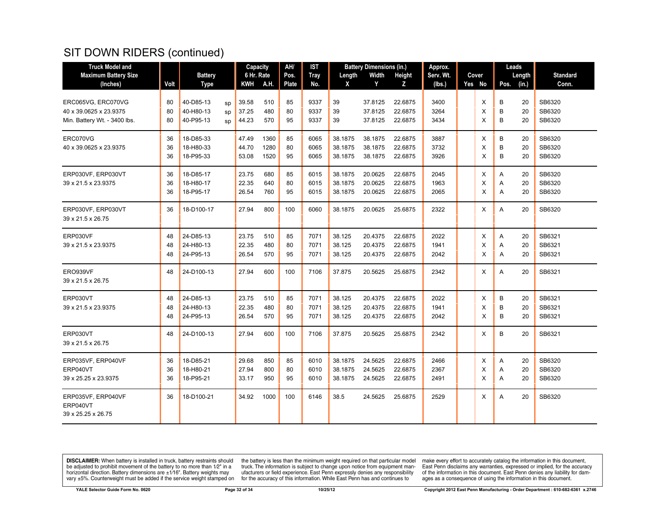| <b>Truck Model and</b>       |      |                |    | Capacity   |      | AH/          | IST         |         | <b>Battery Dimensions (in.)</b> |         | Approx.   |          | Leads         |                 |
|------------------------------|------|----------------|----|------------|------|--------------|-------------|---------|---------------------------------|---------|-----------|----------|---------------|-----------------|
| <b>Maximum Battery Size</b>  |      | <b>Battery</b> |    | 6 Hr. Rate |      | Pos.         | <b>Tray</b> | Length  | Width                           | Height  | Serv. Wt. | Cover    | Length        | <b>Standard</b> |
| (Inches)                     | Volt | <b>Type</b>    |    | KWH        | A.H. | <b>Plate</b> | No.         | X       | Y                               | z       | (lbs.)    | Yes No   | (in.)<br>Pos. | Conn.           |
|                              |      |                |    |            |      |              |             |         |                                 |         |           |          |               |                 |
| ERC065VG. ERC070VG           | 80   | 40-D85-13      | SD | 39.58      | 510  | 85           | 9337        | 39      | 37.8125                         | 22.6875 | 3400      | Χ        | B<br>20       | SB6320          |
| 40 x 39.0625 x 23.9375       | 80   | 40-H80-13      | sp | 37.25      | 480  | 80           | 9337        | 39      | 37.8125                         | 22.6875 | 3264      | X        | B<br>20       | SB6320          |
| Min. Battery Wt. - 3400 lbs. | 80   | 40-P95-13      | sp | 44.23      | 570  | 95           | 9337        | 39      | 37.8125                         | 22.6875 | 3434      | X        | B<br>20       | SB6320          |
| ERC070VG                     | 36   | 18-D85-33      |    | 47.49      | 1360 | 85           | 6065        | 38.1875 | 38.1875                         | 22.6875 | 3887      | X        | B<br>20       | SB6320          |
| 40 x 39.0625 x 23.9375       | 36   | 18-H80-33      |    | 44.70      | 1280 | 80           | 6065        | 38.1875 | 38.1875                         | 22.6875 | 3732      | X        | B<br>20       | SB6320          |
|                              | 36   | 18-P95-33      |    | 53.08      | 1520 | 95           | 6065        | 38.1875 | 38.1875                         | 22.6875 | 3926      | X        | B<br>20       | SB6320          |
| ERP030VF, ERP030VT           | 36   | 18-D85-17      |    | 23.75      | 680  | 85           | 6015        | 38.1875 | 20.0625                         | 22.6875 | 2045      | Χ        | Α<br>20       | SB6320          |
| 39 x 21.5 x 23.9375          | 36   | 18-H80-17      |    | 22.35      | 640  | 80           | 6015        | 38.1875 | 20.0625                         | 22.6875 | 1963      | X        | A<br>20       | SB6320          |
|                              | 36   | 18-P95-17      |    | 26.54      | 760  | 95           | 6015        | 38.1875 | 20.0625                         | 22.6875 | 2065      | X        | 20<br>A       | SB6320          |
| ERP030VF, ERP030VT           | 36   | 18-D100-17     |    | 27.94      | 800  | 100          | 6060        | 38.1875 | 20.0625                         | 25.6875 | 2322      | X        | A<br>20       | SB6320          |
| 39 x 21.5 x 26.75            |      |                |    |            |      |              |             |         |                                 |         |           |          |               |                 |
| ERP030VF                     | 48   | 24-D85-13      |    | 23.75      | 510  | 85           | 7071        | 38.125  | 20.4375                         | 22.6875 | 2022      | Χ        | A<br>20       | SB6321          |
| 39 x 21.5 x 23.9375          | 48   | 24-H80-13      |    | 22.35      | 480  | 80           | 7071        | 38.125  | 20.4375                         | 22.6875 | 1941      | X        | 20<br>Α       | SB6321          |
|                              | 48   | 24-P95-13      |    | 26.54      | 570  | 95           | 7071        | 38.125  | 20.4375                         | 22.6875 | 2042      | $\times$ | 20<br>A       | SB6321          |
| ERO939VF                     | 48   | 24-D100-13     |    | 27.94      | 600  | 100          | 7106        | 37.875  | 20.5625                         | 25.6875 | 2342      | X        | A<br>20       | SB6321          |
| 39 x 21.5 x 26.75            |      |                |    |            |      |              |             |         |                                 |         |           |          |               |                 |
| ERP030VT                     | 48   | 24-D85-13      |    | 23.75      | 510  | 85           | 7071        | 38.125  | 20.4375                         | 22.6875 | 2022      | X        | В<br>20       | SB6321          |
| 39 x 21.5 x 23.9375          | 48   | 24-H80-13      |    | 22.35      | 480  | 80           | 7071        | 38.125  | 20.4375                         | 22.6875 | 1941      | X        | B<br>20       | SB6321          |
|                              | 48   | 24-P95-13      |    | 26.54      | 570  | 95           | 7071        | 38.125  | 20.4375                         | 22.6875 | 2042      | X        | B<br>20       | SB6321          |
| ERP030VT                     | 48   | 24-D100-13     |    | 27.94      | 600  | 100          | 7106        | 37.875  | 20.5625                         | 25.6875 | 2342      | X        | B<br>20       | SB6321          |
| 39 x 21.5 x 26.75            |      |                |    |            |      |              |             |         |                                 |         |           |          |               |                 |
| ERP035VF, ERP040VF           | 36   | 18-D85-21      |    | 29.68      | 850  | 85           | 6010        | 38.1875 | 24.5625                         | 22.6875 | 2466      | X        | A<br>20       | SB6320          |
| ERP040VT                     | 36   | 18-H80-21      |    | 27.94      | 800  | 80           | 6010        | 38.1875 | 24.5625                         | 22.6875 | 2367      | X        | 20<br>A       | SB6320          |
| 39 x 25.25 x 23.9375         | 36   | 18-P95-21      |    | 33.17      | 950  | 95           | 6010        | 38.1875 | 24.5625                         | 22.6875 | 2491      | X        | A<br>20       | SB6320          |
| ERP035VF, ERP040VF           | 36   | 18-D100-21     |    | 34.92      | 1000 | 100          | 6146        | 38.5    | 24.5625                         | 25.6875 | 2529      | Χ        | 20<br>A       | SB6320          |
| ERP040VT                     |      |                |    |            |      |              |             |         |                                 |         |           |          |               |                 |
| 39 x 25.25 x 26.75           |      |                |    |            |      |              |             |         |                                 |         |           |          |               |                 |

**DISCLAIMER:** When battery is installed in truck, battery restraints should be adjusted to prohibit movement of the battery to no more than  $1/2$ " in a horizontal direction. Battery dimensions are  $\pm 1/16$ ". Battery weig

the battery is less than the minimum weight required on that particular model<br>truck. The information is subject to change upon notice from equipment man-<br>ufacturers or field experience. East Penn expressly denies any respo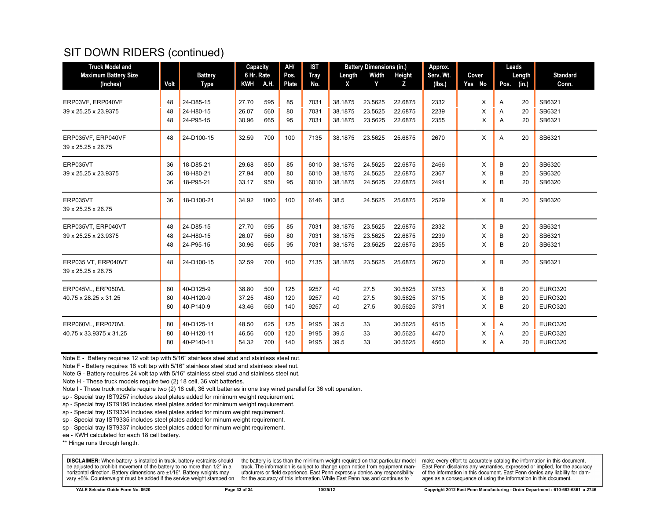| <b>Truck Model and</b>                   |      |                | Capacity   |      | AH/   | <b>IST</b>  | <b>Battery Dimensions (in.)</b> |         |         | Approx.   |  |        | Leads         |                 |
|------------------------------------------|------|----------------|------------|------|-------|-------------|---------------------------------|---------|---------|-----------|--|--------|---------------|-----------------|
| <b>Maximum Battery Size</b>              |      | <b>Battery</b> | 6 Hr. Rate |      | Pos.  | <b>Tray</b> | Length                          | Width   | Height  | Serv. Wt. |  | Cover  | Length        | <b>Standard</b> |
| (Inches)                                 | Volt | Type           | <b>KWH</b> | A.H. | Plate | No.         | X                               | Y       | Z       | (lbs.)    |  | Yes No | (in.)<br>Pos. | Conn.           |
| ERP03VF, ERP040VF                        | 48   | 24-D85-15      | 27.70      | 595  | 85    | 7031        | 38.1875                         | 23.5625 | 22.6875 | 2332      |  | X      | 20<br>A       | SB6321          |
| 39 x 25.25 x 23.9375                     | 48   | 24-H80-15      | 26.07      | 560  | 80    | 7031        | 38.1875                         | 23.5625 | 22.6875 | 2239      |  | X      | 20<br>A       | SB6321          |
|                                          | 48   | 24-P95-15      | 30.96      | 665  | 95    | 7031        | 38.1875                         | 23.5625 | 22.6875 | 2355      |  | X      | A<br>20       | SB6321          |
| ERP035VF, ERP040VF<br>39 x 25.25 x 26.75 | 48   | 24-D100-15     | 32.59      | 700  | 100   | 7135        | 38.1875                         | 23.5625 | 25.6875 | 2670      |  | X      | A<br>20       | SB6321          |
| ERP035VT                                 | 36   | 18-D85-21      | 29.68      | 850  | 85    | 6010        | 38.1875                         | 24.5625 | 22.6875 | 2466      |  | X      | в<br>20       | SB6320          |
| 39 x 25.25 x 23.9375                     | 36   | 18-H80-21      | 27.94      | 800  | 80    | 6010        | 38.1875                         | 24.5625 | 22.6875 | 2367      |  | Х      | B<br>20       | SB6320          |
|                                          | 36   | 18-P95-21      | 33.17      | 950  | 95    | 6010        | 38.1875                         | 24.5625 | 22.6875 | 2491      |  | X      | В<br>20       | SB6320          |
| ERP035VT                                 | 36   | 18-D100-21     | 34.92      | 1000 | 100   | 6146        | 38.5                            | 24.5625 | 25.6875 | 2529      |  | X      | 20<br>B       | SB6320          |
| 39 x 25.25 x 26.75                       |      |                |            |      |       |             |                                 |         |         |           |  |        |               |                 |
| ERP035VT, ERP040VT                       | 48   | 24-D85-15      | 27.70      | 595  | 85    | 7031        | 38.1875                         | 23.5625 | 22.6875 | 2332      |  | X      | B<br>20       | SB6321          |
| 39 x 25.25 x 23.9375                     | 48   | 24-H80-15      | 26.07      | 560  | 80    | 7031        | 38.1875                         | 23.5625 | 22.6875 | 2239      |  | X      | B<br>20       | SB6321          |
|                                          | 48   | 24-P95-15      | 30.96      | 665  | 95    | 7031        | 38.1875                         | 23.5625 | 22.6875 | 2355      |  | X      | В<br>20       | SB6321          |
| ERP035 VT. ERP040VT                      | 48   | 24-D100-15     | 32.59      | 700  | 100   | 7135        | 38.1875                         | 23.5625 | 25.6875 | 2670      |  | X      | B<br>20       | SB6321          |
| 39 x 25.25 x 26.75                       |      |                |            |      |       |             |                                 |         |         |           |  |        |               |                 |
| ERP045VL, ERP050VL                       | 80   | 40-D125-9      | 38.80      | 500  | 125   | 9257        | 40                              | 27.5    | 30.5625 | 3753      |  | X      | B<br>20       | <b>EURO320</b>  |
| 40.75 x 28.25 x 31.25                    | 80   | 40-H120-9      | 37.25      | 480  | 120   | 9257        | 40                              | 27.5    | 30.5625 | 3715      |  | Х      | B<br>20       | <b>EURO320</b>  |
|                                          | 80   | 40-P140-9      | 43.46      | 560  | 140   | 9257        | 40                              | 27.5    | 30.5625 | 3791      |  | X      | B<br>20       | <b>EURO320</b>  |
| ERP060VL, ERP070VL                       | 80   | 40-D125-11     | 48.50      | 625  | 125   | 9195        | 39.5                            | 33      | 30.5625 | 4515      |  | X      | 20<br>Α       | <b>EURO320</b>  |
| 40.75 x 33.9375 x 31.25                  | 80   | 40-H120-11     | 46.56      | 600  | 120   | 9195        | 39.5                            | 33      | 30.5625 | 4470      |  | X      | 20<br>A       | <b>EURO320</b>  |
|                                          | 80   | 40-P140-11     | 54.32      | 700  | 140   | 9195        | 39.5                            | 33      | 30.5625 | 4560      |  | X      | 20<br>A       | <b>EURO320</b>  |

Note E - Battery requires 12 volt tap with 5/16" stainless steel stud and stainless steel nut.

Note F - Battery requires 18 volt tap with 5/16" stainless steel stud and stainless steel nut.

Note G - Battery requires 24 volt tap with 5/16" stainless steel stud and stainless steel nut.

Note H - These truck models require two (2) 18 cell, 36 volt batteries.

Note I - These truck models require two (2) 18 cell, 36 volt batteries in one tray wired parallel for 36 volt operation.

sp - Special tray IST9257 includes steel plates added for minimum weight requiurement.

sp - Special tray IST9195 includes steel plates added for minimum weight requiurement.

sp - Special tray IST9334 includes steel plates added for minum weight requirement.

sp - Special tray IST9335 includes steel plates added for minum weight requirement.

sp - Special tray IST9337 includes steel plates added for minum weight requirement.

ea - KWH calculated for each 18 cell battery.

\*\* Hinge runs through length.

**DISCLAIMER:** When battery is installed in truck, battery restraints should be adjusted to prohibit movement of the battery to no more than 1/2" in a horizontal direction. Battery dimensions are  $\pm 1/16$ ". Battery weights may vary ±5%. Counterweight must be added if the service weight stamped on

the battery is less than the minimum weight required on that particular model truck. The information is subject to change upon notice from equipment manufacturers or field experience. East Penn expressly denies any responsibility for the accuracy of this information. While East Penn has and continues to